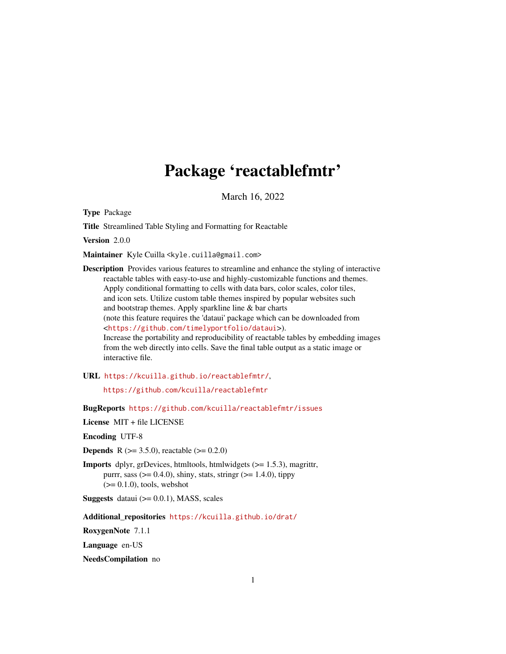# Package 'reactablefmtr'

March 16, 2022

Type Package

Title Streamlined Table Styling and Formatting for Reactable

Version 2.0.0

Maintainer Kyle Cuilla <kyle.cuilla@gmail.com>

Description Provides various features to streamline and enhance the styling of interactive reactable tables with easy-to-use and highly-customizable functions and themes. Apply conditional formatting to cells with data bars, color scales, color tiles, and icon sets. Utilize custom table themes inspired by popular websites such and bootstrap themes. Apply sparkline line & bar charts (note this feature requires the 'dataui' package which can be downloaded from <<https://github.com/timelyportfolio/dataui>>). Increase the portability and reproducibility of reactable tables by embedding images from the web directly into cells. Save the final table output as a static image or interactive file.

URL <https://kcuilla.github.io/reactablefmtr/>,

<https://github.com/kcuilla/reactablefmtr>

BugReports <https://github.com/kcuilla/reactablefmtr/issues>

License MIT + file LICENSE

Encoding UTF-8

**Depends** R ( $>= 3.5.0$ ), reactable ( $>= 0.2.0$ )

Imports dplyr, grDevices, htmltools, htmlwidgets (>= 1.5.3), magrittr, purrr, sass  $(>= 0.4.0)$ , shiny, stats, stringr  $(>= 1.4.0)$ , tippy  $(>= 0.1.0)$ , tools, webshot

**Suggests** dataui  $(>= 0.0.1)$ , MASS, scales

Additional\_repositories <https://kcuilla.github.io/drat/>

RoxygenNote 7.1.1

Language en-US

NeedsCompilation no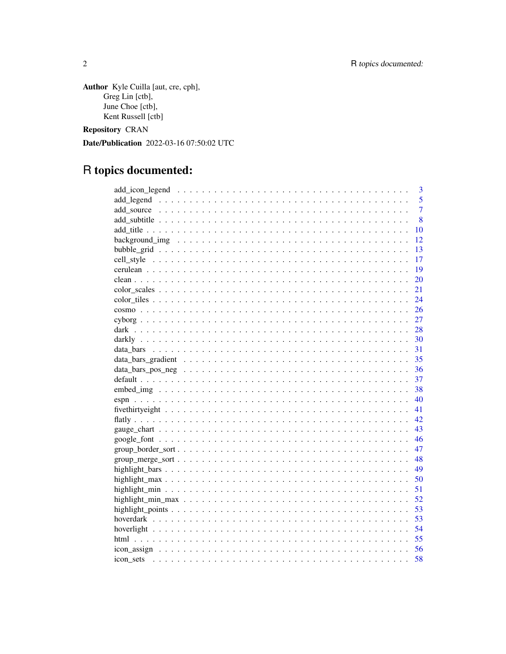Author Kyle Cuilla [aut, cre, cph], Greg Lin [ctb], June Choe  $[ctb]$ , Kent Russell [ctb]

**Repository CRAN** 

Date/Publication 2022-03-16 07:50:02 UTC

# R topics documented:

| 3              |
|----------------|
| 5              |
| $\overline{7}$ |
| 8              |
| 10             |
| 12             |
| 13             |
| 17             |
| -19            |
| 20             |
| 21             |
| 24             |
| 26             |
| 27             |
|                |
|                |
| 31             |
| 35             |
| 36             |
| 37             |
| -38            |
| 40             |
| 41             |
| 42             |
| 43             |
|                |
| 47             |
|                |
|                |
|                |
|                |
|                |
|                |
|                |
|                |
|                |
|                |
| 58             |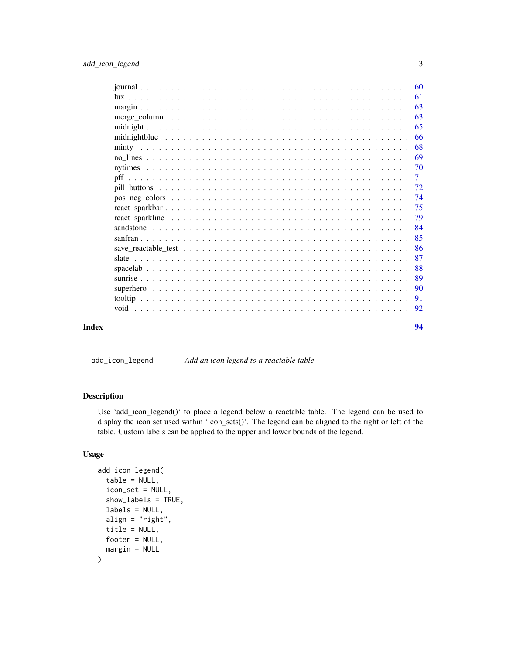<span id="page-2-0"></span>

| save reactable test $\ldots$ , $\ldots$ , $\ldots$ , $\ldots$ , $\ldots$ , $\ldots$ , $\ldots$ , $\ldots$ , $\ldots$ , $\ldots$ , $\ldots$ , $\ldots$ |  |  |  |  |
|-------------------------------------------------------------------------------------------------------------------------------------------------------|--|--|--|--|
|                                                                                                                                                       |  |  |  |  |
|                                                                                                                                                       |  |  |  |  |
|                                                                                                                                                       |  |  |  |  |
|                                                                                                                                                       |  |  |  |  |
| $pos\_neg\_colors \dots \dots \dots \dots \dots \dots \dots \dots \dots \dots \dots \dots \dots \dots \dots \dots$                                    |  |  |  |  |
|                                                                                                                                                       |  |  |  |  |
|                                                                                                                                                       |  |  |  |  |
|                                                                                                                                                       |  |  |  |  |
|                                                                                                                                                       |  |  |  |  |
|                                                                                                                                                       |  |  |  |  |
|                                                                                                                                                       |  |  |  |  |
|                                                                                                                                                       |  |  |  |  |
|                                                                                                                                                       |  |  |  |  |
|                                                                                                                                                       |  |  |  |  |
|                                                                                                                                                       |  |  |  |  |

add\_icon\_legend *Add an icon legend to a reactable table*

# Description

Use 'add\_icon\_legend()' to place a legend below a reactable table. The legend can be used to display the icon set used within 'icon\_sets()'. The legend can be aligned to the right or left of the table. Custom labels can be applied to the upper and lower bounds of the legend.

```
add_icon_legend(
  table = NULL,
  icon_set = NULL,
  show_labels = TRUE,
  labels = NULL,
  align = "right",
  title = NULL,
 footer = NULL,
  margin = NULL
\mathcal{E}
```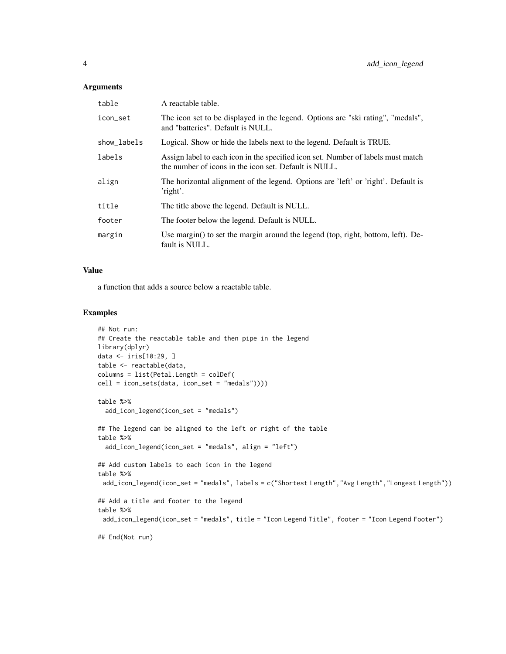### Arguments

| table       | A reactable table.                                                                                                                        |
|-------------|-------------------------------------------------------------------------------------------------------------------------------------------|
| icon_set    | The icon set to be displayed in the legend. Options are "ski rating", "medals",<br>and "batteries". Default is NULL.                      |
| show_labels | Logical. Show or hide the labels next to the legend. Default is TRUE.                                                                     |
| labels      | Assign label to each icon in the specified icon set. Number of labels must match<br>the number of icons in the icon set. Default is NULL. |
| align       | The horizontal alignment of the legend. Options are 'left' or 'right'. Default is<br>'right'.                                             |
| title       | The title above the legend. Default is NULL.                                                                                              |
| footer      | The footer below the legend. Default is NULL.                                                                                             |
| margin      | Use margin() to set the margin around the legend (top, right, bottom, left). De-<br>fault is NULL.                                        |

## Value

a function that adds a source below a reactable table.

```
## Not run:
## Create the reactable table and then pipe in the legend
library(dplyr)
data <- iris[10:29, ]
table <- reactable(data,
columns = list(Petal.Length = colDef(
cell = icon_sets(data, icon_set = "medals"))))
table %>%
  add_icon_legend(icon_set = "medals")
## The legend can be aligned to the left or right of the table
table %>%
  add_icon_legend(icon_set = "medals", align = "left")
## Add custom labels to each icon in the legend
table %>%
 add_icon_legend(icon_set = "medals", labels = c("Shortest Length","Avg Length","Longest Length"))
## Add a title and footer to the legend
table %>%
 add_icon_legend(icon_set = "medals", title = "Icon Legend Title", footer = "Icon Legend Footer")
## End(Not run)
```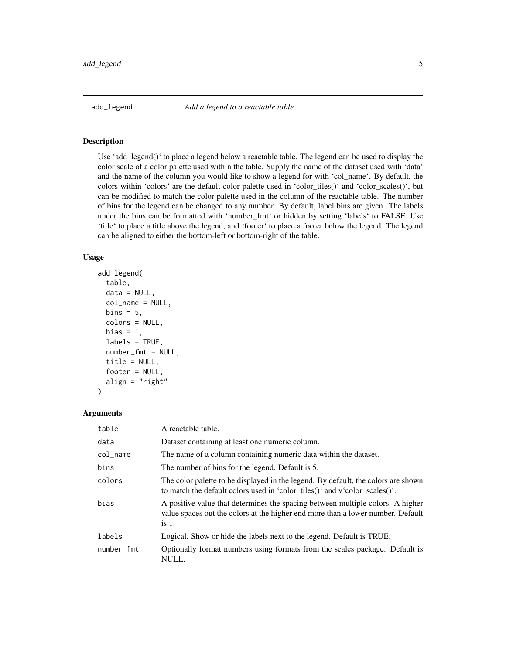<span id="page-4-0"></span>add\_legend *Add a legend to a reactable table*

## Description

Use 'add\_legend()' to place a legend below a reactable table. The legend can be used to display the color scale of a color palette used within the table. Supply the name of the dataset used with 'data' and the name of the column you would like to show a legend for with 'col\_name'. By default, the colors within 'colors' are the default color palette used in 'color\_tiles()' and 'color\_scales()', but can be modified to match the color palette used in the column of the reactable table. The number of bins for the legend can be changed to any number. By default, label bins are given. The labels under the bins can be formatted with 'number\_fmt' or hidden by setting 'labels' to FALSE. Use 'title' to place a title above the legend, and 'footer' to place a footer below the legend. The legend can be aligned to either the bottom-left or bottom-right of the table.

## Usage

```
add_legend(
  table,
  data = NULL,col_name = NULL,
 bins = 5,
  colors = NULL,
 bias = 1,
  labels = TRUE,number_fmt = NULL,
  title = NULL,
  footer = NULL,
  align = "right")
```

| table      | A reactable table.                                                                                                                                                           |
|------------|------------------------------------------------------------------------------------------------------------------------------------------------------------------------------|
| data       | Dataset containing at least one numeric column.                                                                                                                              |
| col name   | The name of a column containing numeric data within the dataset.                                                                                                             |
| bins       | The number of bins for the legend. Default is 5.                                                                                                                             |
| colors     | The color palette to be displayed in the legend. By default, the colors are shown<br>to match the default colors used in 'color_tiles()' and v'color_scales()'.              |
| bias       | A positive value that determines the spacing between multiple colors. A higher<br>value spaces out the colors at the higher end more than a lower number. Default<br>$is1$ . |
| labels     | Logical. Show or hide the labels next to the legend. Default is TRUE.                                                                                                        |
| number_fmt | Optionally format numbers using formats from the scales package. Default is<br>NULL.                                                                                         |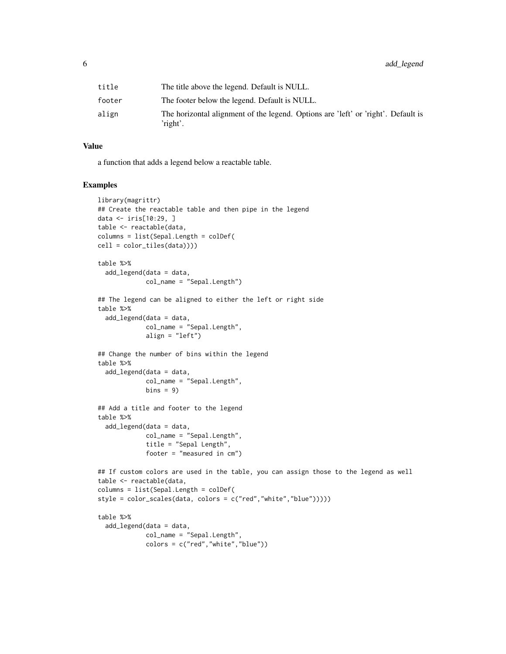| title  | The title above the legend. Default is NULL.                                                  |
|--------|-----------------------------------------------------------------------------------------------|
| footer | The footer below the legend. Default is NULL.                                                 |
| align  | The horizontal alignment of the legend. Options are 'left' or 'right'. Default is<br>'right'. |

a function that adds a legend below a reactable table.

```
library(magrittr)
## Create the reactable table and then pipe in the legend
data <- iris[10:29, ]
table <- reactable(data,
columns = list(Sepal.Length = colDef(
cell = color_tiles(data))))
table %>%
  add_legend(data = data,
             col_name = "Sepal.Length")
## The legend can be aligned to either the left or right side
table %>%
  add_legend(data = data,
             col_name = "Sepal.Length",
             align = "left")
## Change the number of bins within the legend
table %>%
  add_legend(data = data,
             col_name = "Sepal.Length",
             bins = 9)
## Add a title and footer to the legend
table %>%
  add_legend(data = data,
             col_name = "Sepal.Length",
             title = "Sepal Length",
             footer = "measured in cm")
## If custom colors are used in the table, you can assign those to the legend as well
table <- reactable(data,
columns = list(Sepal.Length = colDef(
style = color_scales(data, colors = c("red","white","blue")))))
table %>%
  add_legend(data = data,
             col_name = "Sepal.Length",
             colors = c("red","white","blue"))
```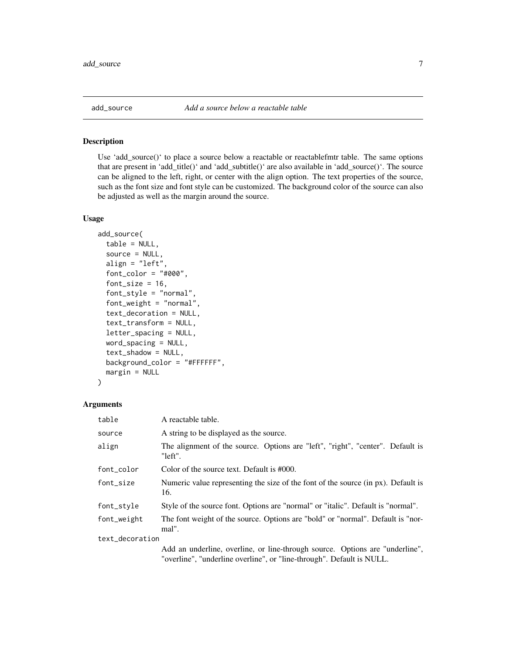<span id="page-6-0"></span>

#### Description

Use 'add\_source()' to place a source below a reactable or reactablefmtr table. The same options that are present in 'add\_title()' and 'add\_subtitle()' are also available in 'add\_source()'. The source can be aligned to the left, right, or center with the align option. The text properties of the source, such as the font size and font style can be customized. The background color of the source can also be adjusted as well as the margin around the source.

## Usage

```
add_source(
  table = NULL,source = NULL,
  align = "left",
  font_color = "#000",
  font_size = 16,
  font_style = "normal",
  font_weight = "normal",
  text_decoration = NULL,
  text_transform = NULL,
  letter_spacing = NULL,
  word_spacing = NULL,
  text_shadow = NULL,
  background_color = "#FFFFFF",
 margin = NULL
\mathcal{L}
```

| table           | A reactable table.                                                                                                                                    |
|-----------------|-------------------------------------------------------------------------------------------------------------------------------------------------------|
| source          | A string to be displayed as the source.                                                                                                               |
| align           | The alignment of the source. Options are "left", "right", "center". Default is<br>"left".                                                             |
| font_color      | Color of the source text. Default is #000.                                                                                                            |
| font_size       | Numeric value representing the size of the font of the source (in px). Default is<br>16.                                                              |
| font_style      | Style of the source font. Options are "normal" or "italic". Default is "normal".                                                                      |
| font_weight     | The font weight of the source. Options are "bold" or "normal". Default is "nor-<br>mal".                                                              |
| text_decoration |                                                                                                                                                       |
|                 | Add an underline, overline, or line-through source. Options are "underline",<br>"overline", "underline overline", or "line-through". Default is NULL. |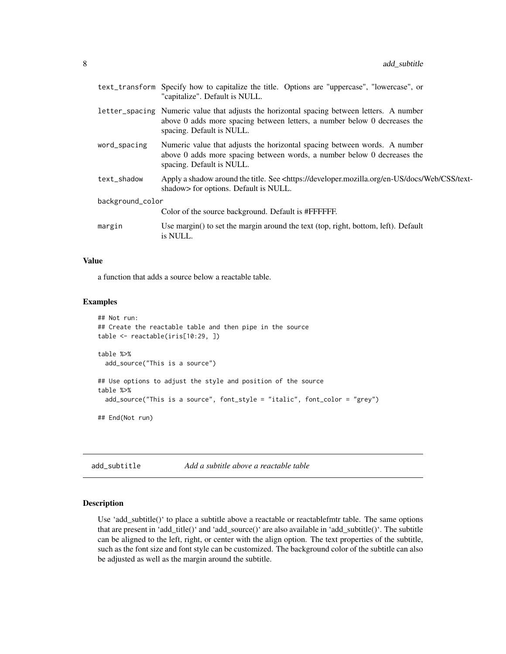<span id="page-7-0"></span>

| text_transform Specify how to capitalize the title. Options are "uppercase", "lowercase", or<br>"capitalize". Default is NULL.                                                                       |  |  |
|------------------------------------------------------------------------------------------------------------------------------------------------------------------------------------------------------|--|--|
| letter_spacing Numeric value that adjusts the horizontal spacing between letters. A number<br>above 0 adds more spacing between letters, a number below 0 decreases the<br>spacing. Default is NULL. |  |  |
| Numeric value that adjusts the horizontal spacing between words. A number<br>above 0 adds more spacing between words, a number below 0 decreases the<br>spacing. Default is NULL.                    |  |  |
| Apply a shadow around the title. See <https: css="" developer.mozilla.org="" docs="" en-us="" text-<br="" web="">shadow&gt; for options. Default is NULL.</https:>                                   |  |  |
| background_color                                                                                                                                                                                     |  |  |
| Color of the source background. Default is #FFFFFF.                                                                                                                                                  |  |  |
| Use margin() to set the margin around the text (top, right, bottom, left). Default<br>is NULL.                                                                                                       |  |  |
|                                                                                                                                                                                                      |  |  |

a function that adds a source below a reactable table.

## Examples

```
## Not run:
## Create the reactable table and then pipe in the source
table <- reactable(iris[10:29, ])
table %>%
 add_source("This is a source")
## Use options to adjust the style and position of the source
table %>%
 add_source("This is a source", font_style = "italic", font_color = "grey")
## End(Not run)
```
add\_subtitle *Add a subtitle above a reactable table*

## Description

Use 'add\_subtitle()' to place a subtitle above a reactable or reactablefmtr table. The same options that are present in 'add\_title()' and 'add\_source()' are also available in 'add\_subtitle()'. The subtitle can be aligned to the left, right, or center with the align option. The text properties of the subtitle, such as the font size and font style can be customized. The background color of the subtitle can also be adjusted as well as the margin around the subtitle.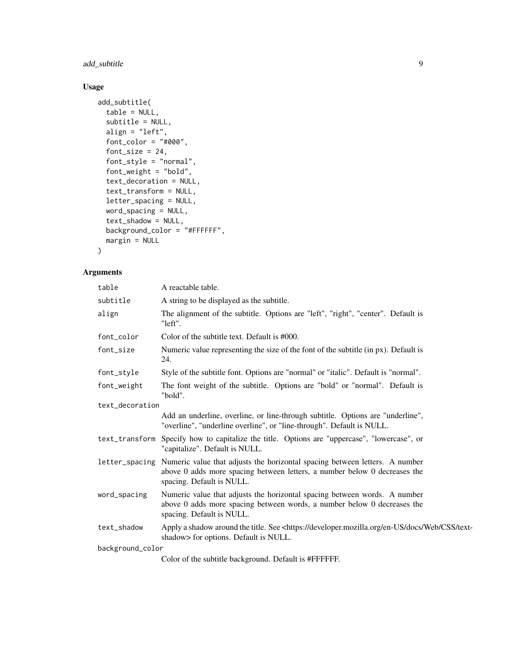add\_subtitle 9

# Usage

```
add_subtitle(
 table = NULL,
  subtitle = NULL,
 align = "left",
  font\_color = "#000",font_size = 24,
  font_style = "normal",
  font\_weight = "bold",text_decoration = NULL,
  text_transform = NULL,
 letter_spacing = NULL,
 word_spacing = NULL,
 text_shadow = NULL,
 background_color = "#FFFFFF",
 margin = NULL
\mathcal{L}
```

| table            | A reactable table.                                                                                                                                                                                   |  |  |
|------------------|------------------------------------------------------------------------------------------------------------------------------------------------------------------------------------------------------|--|--|
| subtitle         | A string to be displayed as the subtitle.                                                                                                                                                            |  |  |
| align            | The alignment of the subtitle. Options are "left", "right", "center". Default is<br>"left".                                                                                                          |  |  |
| font_color       | Color of the subtitle text. Default is #000.                                                                                                                                                         |  |  |
| font_size        | Numeric value representing the size of the font of the subtitle (in px). Default is<br>24.                                                                                                           |  |  |
| font_style       | Style of the subtitle font. Options are "normal" or "italic". Default is "normal".                                                                                                                   |  |  |
| font_weight      | The font weight of the subtitle. Options are "bold" or "normal". Default is<br>"bold".                                                                                                               |  |  |
| text_decoration  |                                                                                                                                                                                                      |  |  |
|                  | Add an underline, overline, or line-through subtitle. Options are "underline",<br>"overline", "underline overline", or "line-through". Default is NULL.                                              |  |  |
| text_transform   | Specify how to capitalize the title. Options are "uppercase", "lowercase", or<br>"capitalize". Default is NULL.                                                                                      |  |  |
|                  | letter_spacing Numeric value that adjusts the horizontal spacing between letters. A number<br>above 0 adds more spacing between letters, a number below 0 decreases the<br>spacing. Default is NULL. |  |  |
| word_spacing     | Numeric value that adjusts the horizontal spacing between words. A number<br>above 0 adds more spacing between words, a number below 0 decreases the<br>spacing. Default is NULL.                    |  |  |
| text_shadow      | Apply a shadow around the title. See <https: css="" developer.mozilla.org="" docs="" en-us="" text-<br="" web="">shadow&gt; for options. Default is NULL.</https:>                                   |  |  |
| background_color |                                                                                                                                                                                                      |  |  |
|                  | Color of the subtitle background. Default is #FFFFFF.                                                                                                                                                |  |  |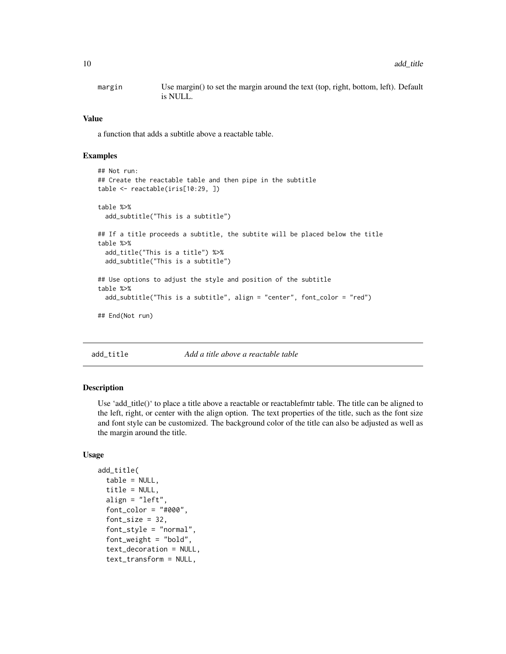<span id="page-9-0"></span>margin Use margin() to set the margin around the text (top, right, bottom, left). Default is NULL.

## Value

a function that adds a subtitle above a reactable table.

## Examples

```
## Not run:
## Create the reactable table and then pipe in the subtitle
table <- reactable(iris[10:29, ])
table %>%
 add_subtitle("This is a subtitle")
## If a title proceeds a subtitle, the subtite will be placed below the title
table %>%
 add_title("This is a title") %>%
 add_subtitle("This is a subtitle")
## Use options to adjust the style and position of the subtitle
table %>%
 add_subtitle("This is a subtitle", align = "center", font_color = "red")
```
## End(Not run)

add\_title *Add a title above a reactable table*

## Description

Use 'add\_title()' to place a title above a reactable or reactablefmtr table. The title can be aligned to the left, right, or center with the align option. The text properties of the title, such as the font size and font style can be customized. The background color of the title can also be adjusted as well as the margin around the title.

```
add_title(
  table = NULL,
  title = NULL,
  align = "left",
  font\_color = "#000".font_size = 32,font_style = "normal",
  font_weight = "bold",
  text_decoration = NULL,
  text_transform = NULL,
```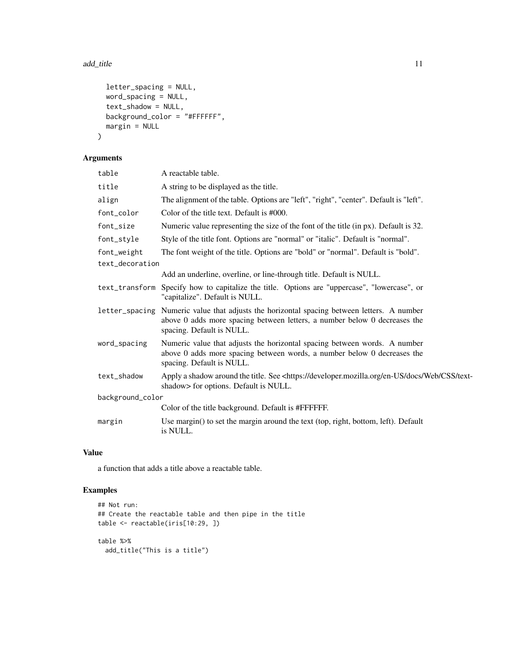## add\_title 11

```
letter_spacing = NULL,
 word_spacing = NULL,
 text_shadow = NULL,
 background_color = "#FFFFFF",
 margin = NULL
)
```
# Arguments

| table            | A reactable table.                                                                                                                                                                                   |
|------------------|------------------------------------------------------------------------------------------------------------------------------------------------------------------------------------------------------|
| title            | A string to be displayed as the title.                                                                                                                                                               |
| align            | The alignment of the table. Options are "left", "right", "center". Default is "left".                                                                                                                |
| font_color       | Color of the title text. Default is #000.                                                                                                                                                            |
| font_size        | Numeric value representing the size of the font of the title (in px). Default is 32.                                                                                                                 |
| font_style       | Style of the title font. Options are "normal" or "italic". Default is "normal".                                                                                                                      |
| font_weight      | The font weight of the title. Options are "bold" or "normal". Default is "bold".                                                                                                                     |
| text_decoration  |                                                                                                                                                                                                      |
|                  | Add an underline, overline, or line-through title. Default is NULL.                                                                                                                                  |
| text_transform   | Specify how to capitalize the title. Options are "uppercase", "lowercase", or<br>"capitalize". Default is NULL.                                                                                      |
|                  | letter_spacing Numeric value that adjusts the horizontal spacing between letters. A number<br>above 0 adds more spacing between letters, a number below 0 decreases the<br>spacing. Default is NULL. |
| word_spacing     | Numeric value that adjusts the horizontal spacing between words. A number<br>above 0 adds more spacing between words, a number below 0 decreases the<br>spacing. Default is NULL.                    |
| text_shadow      | Apply a shadow around the title. See <https: css="" developer.mozilla.org="" docs="" en-us="" text-<br="" web="">shadow&gt; for options. Default is NULL.</https:>                                   |
| background_color |                                                                                                                                                                                                      |
|                  | Color of the title background. Default is #FFFFFF.                                                                                                                                                   |
| margin           | Use margin() to set the margin around the text (top, right, bottom, left). Default<br>is NULL.                                                                                                       |

# Value

a function that adds a title above a reactable table.

```
## Not run:
## Create the reactable table and then pipe in the title
table <- reactable(iris[10:29, ])
table %>%
  add_title("This is a title")
```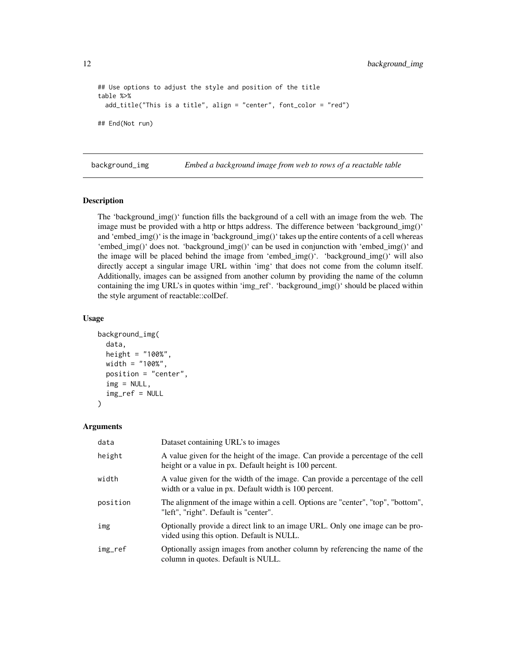```
## Use options to adjust the style and position of the title
table %>%
 add_title("This is a title", align = "center", font_color = "red")
## End(Not run)
```
background\_img *Embed a background image from web to rows of a reactable table*

## Description

The 'background\_img()' function fills the background of a cell with an image from the web. The image must be provided with a http or https address. The difference between 'background\_img()' and 'embed\_img()' is the image in 'background\_img()' takes up the entire contents of a cell whereas 'embed  $\text{img}()$ ' does not. 'background  $\text{img}()'$  can be used in conjunction with 'embed  $\text{img}()'$  and the image will be placed behind the image from 'embed\_img()'. 'background\_img()' will also directly accept a singular image URL within 'img' that does not come from the column itself. Additionally, images can be assigned from another column by providing the name of the column containing the img URL's in quotes within 'img\_ref'. 'background\_img()' should be placed within the style argument of reactable::colDef.

## Usage

```
background_img(
  data,
  height = "100%",
  width = "100%",
  position = "center",
  img = NULL,img_ref = NULL
\mathcal{L}
```

| data     | Dataset containing URL's to images                                                                                                         |
|----------|--------------------------------------------------------------------------------------------------------------------------------------------|
| height   | A value given for the height of the image. Can provide a percentage of the cell<br>height or a value in px. Default height is 100 percent. |
| width    | A value given for the width of the image. Can provide a percentage of the cell<br>width or a value in px. Default width is 100 percent.    |
| position | The alignment of the image within a cell. Options are "center", "top", "bottom",<br>"left", "right". Default is "center".                  |
| img      | Optionally provide a direct link to an image URL. Only one image can be pro-<br>vided using this option. Default is NULL.                  |
| img_ref  | Optionally assign images from another column by referencing the name of the<br>column in quotes. Default is NULL.                          |

<span id="page-11-0"></span>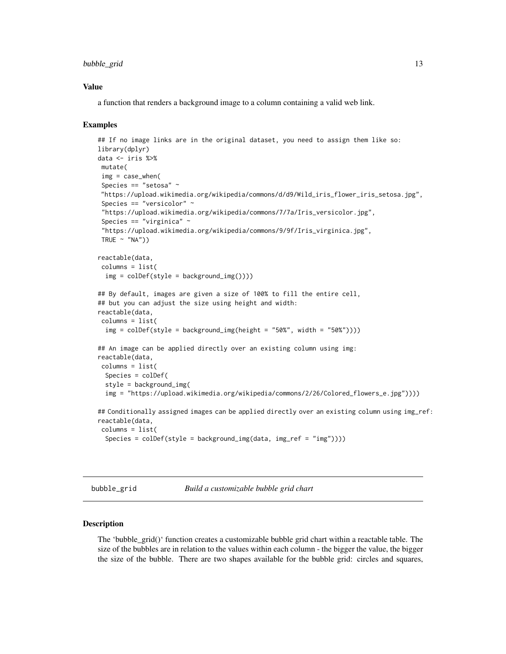### <span id="page-12-0"></span>bubble\_grid 13

#### Value

a function that renders a background image to a column containing a valid web link.

## Examples

```
## If no image links are in the original dataset, you need to assign them like so:
library(dplyr)
data <- iris %>%
mutate(
img = case_when(
Species == "setosa" ~
"https://upload.wikimedia.org/wikipedia/commons/d/d9/Wild_iris_flower_iris_setosa.jpg",
Species == "versicolor" ~
 "https://upload.wikimedia.org/wikipedia/commons/7/7a/Iris_versicolor.jpg",
 Species == "virginica" \sim"https://upload.wikimedia.org/wikipedia/commons/9/9f/Iris_virginica.jpg",
TRUE \sim "NA"))
reactable(data,
columns = list(
 img = colDef(style = background\_img())## By default, images are given a size of 100% to fill the entire cell,
## but you can adjust the size using height and width:
reactable(data,
columns = list(
 img = colDef(style = background_img(height = "50%", width = "50%"))))
## An image can be applied directly over an existing column using img:
reactable(data,
columns = list(
 Species = colDef(
 style = background_img(
 img = "https://upload.wikimedia.org/wikipedia/commons/2/26/Colored_flowers_e.jpg"))))
## Conditionally assigned images can be applied directly over an existing column using img_ref:
reactable(data,
columns = list(
 Species = colDef(style = background_img(data, img_ref = "img"))))
```
bubble\_grid *Build a customizable bubble grid chart*

#### **Description**

The 'bubble\_grid()' function creates a customizable bubble grid chart within a reactable table. The size of the bubbles are in relation to the values within each column - the bigger the value, the bigger the size of the bubble. There are two shapes available for the bubble grid: circles and squares,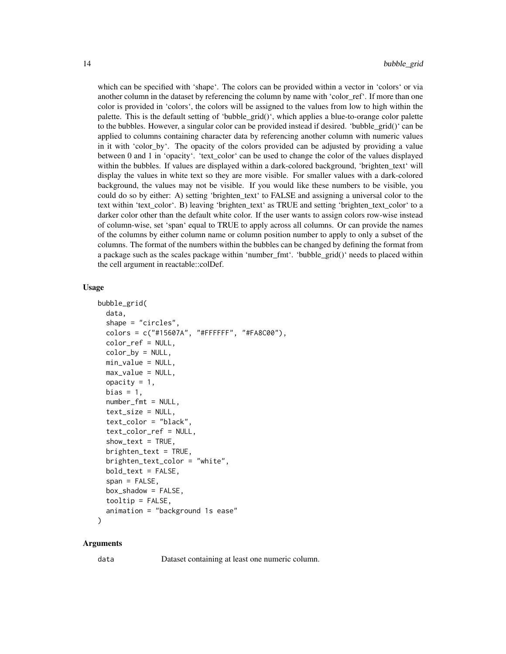which can be specified with 'shape'. The colors can be provided within a vector in 'colors' or via another column in the dataset by referencing the column by name with 'color\_ref'. If more than one color is provided in 'colors', the colors will be assigned to the values from low to high within the palette. This is the default setting of 'bubble\_grid()', which applies a blue-to-orange color palette to the bubbles. However, a singular color can be provided instead if desired. 'bubble\_grid()' can be applied to columns containing character data by referencing another column with numeric values in it with 'color\_by'. The opacity of the colors provided can be adjusted by providing a value between 0 and 1 in 'opacity'. 'text\_color' can be used to change the color of the values displayed within the bubbles. If values are displayed within a dark-colored background, 'brighten text' will display the values in white text so they are more visible. For smaller values with a dark-colored background, the values may not be visible. If you would like these numbers to be visible, you could do so by either: A) setting 'brighten\_text' to FALSE and assigning a universal color to the text within 'text\_color'. B) leaving 'brighten\_text' as TRUE and setting 'brighten\_text\_color' to a darker color other than the default white color. If the user wants to assign colors row-wise instead of column-wise, set 'span' equal to TRUE to apply across all columns. Or can provide the names of the columns by either column name or column position number to apply to only a subset of the columns. The format of the numbers within the bubbles can be changed by defining the format from a package such as the scales package within 'number\_fmt'. 'bubble\_grid()' needs to placed within the cell argument in reactable::colDef.

## Usage

```
bubble_grid(
  data,
  shape = "circles",
  colors = c("#15607A", "#FFFFFF", "#FA8C00"),
  color_ref = NULL,
  color_by = NULL,
  min_value = NULL,
  max_value = NULL,
  opacity = 1,
  bias = 1,
  number_fmt = NULL,
  text_size = NULL,
  text_color = "black",
  text_color_ref = NULL,
  show\_text = TRUE,brighten_test = TRUE,brighten_text_color = "white",
  bold_text = FALSE,
  span = FALSE,box_shadow = FALSE,
  toip = F</math>animation = "background 1s ease"
)
```
#### Arguments

data Dataset containing at least one numeric column.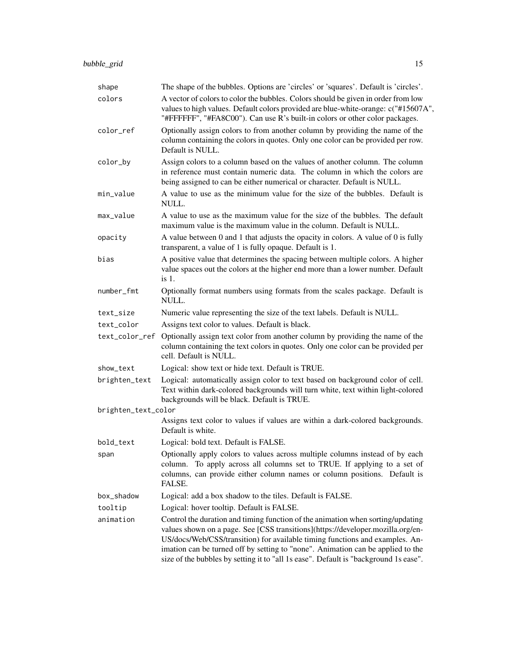| shape               | The shape of the bubbles. Options are 'circles' or 'squares'. Default is 'circles'.                                                                                                                                                                                                                                                                                                                                           |
|---------------------|-------------------------------------------------------------------------------------------------------------------------------------------------------------------------------------------------------------------------------------------------------------------------------------------------------------------------------------------------------------------------------------------------------------------------------|
| colors              | A vector of colors to color the bubbles. Colors should be given in order from low<br>values to high values. Default colors provided are blue-white-orange: c("#15607A",<br>"#FFFFFF", "#FA8C00"). Can use R's built-in colors or other color packages.                                                                                                                                                                        |
| color_ref           | Optionally assign colors to from another column by providing the name of the<br>column containing the colors in quotes. Only one color can be provided per row.<br>Default is NULL.                                                                                                                                                                                                                                           |
| color_by            | Assign colors to a column based on the values of another column. The column<br>in reference must contain numeric data. The column in which the colors are<br>being assigned to can be either numerical or character. Default is NULL.                                                                                                                                                                                         |
| min_value           | A value to use as the minimum value for the size of the bubbles. Default is<br>NULL.                                                                                                                                                                                                                                                                                                                                          |
| max_value           | A value to use as the maximum value for the size of the bubbles. The default<br>maximum value is the maximum value in the column. Default is NULL.                                                                                                                                                                                                                                                                            |
| opacity             | A value between 0 and 1 that adjusts the opacity in colors. A value of 0 is fully<br>transparent, a value of 1 is fully opaque. Default is 1.                                                                                                                                                                                                                                                                                 |
| bias                | A positive value that determines the spacing between multiple colors. A higher<br>value spaces out the colors at the higher end more than a lower number. Default<br>$is1$ .                                                                                                                                                                                                                                                  |
| number_fmt          | Optionally format numbers using formats from the scales package. Default is<br>NULL.                                                                                                                                                                                                                                                                                                                                          |
| text_size           | Numeric value representing the size of the text labels. Default is NULL.                                                                                                                                                                                                                                                                                                                                                      |
| text_color          | Assigns text color to values. Default is black.                                                                                                                                                                                                                                                                                                                                                                               |
| text_color_ref      | Optionally assign text color from another column by providing the name of the<br>column containing the text colors in quotes. Only one color can be provided per<br>cell. Default is NULL.                                                                                                                                                                                                                                    |
| show_text           | Logical: show text or hide text. Default is TRUE.                                                                                                                                                                                                                                                                                                                                                                             |
| brighten_text       | Logical: automatically assign color to text based on background color of cell.<br>Text within dark-colored backgrounds will turn white, text within light-colored<br>backgrounds will be black. Default is TRUE.                                                                                                                                                                                                              |
| brighten_text_color |                                                                                                                                                                                                                                                                                                                                                                                                                               |
|                     | Assigns text color to values if values are within a dark-colored backgrounds.<br>Default is white.                                                                                                                                                                                                                                                                                                                            |
| bold_text           | Logical: bold text. Default is FALSE.                                                                                                                                                                                                                                                                                                                                                                                         |
| span                | Optionally apply colors to values across multiple columns instead of by each<br>To apply across all columns set to TRUE. If applying to a set of<br>column.<br>columns, can provide either column names or column positions. Default is<br>FALSE.                                                                                                                                                                             |
| box_shadow          | Logical: add a box shadow to the tiles. Default is FALSE.                                                                                                                                                                                                                                                                                                                                                                     |
| tooltip             | Logical: hover tooltip. Default is FALSE.                                                                                                                                                                                                                                                                                                                                                                                     |
| animation           | Control the duration and timing function of the animation when sorting/updating<br>values shown on a page. See [CSS transitions](https://developer.mozilla.org/en-<br>US/docs/Web/CSS/transition) for available timing functions and examples. An-<br>imation can be turned off by setting to "none". Animation can be applied to the<br>size of the bubbles by setting it to "all 1s ease". Default is "background 1s ease". |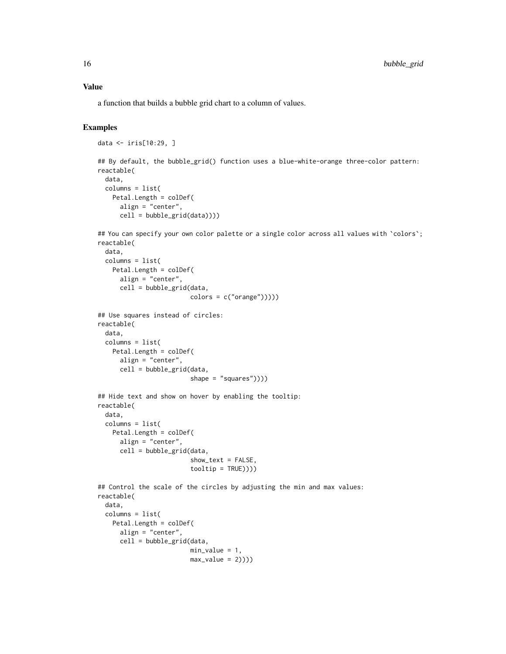a function that builds a bubble grid chart to a column of values.

# Examples

```
data <- iris[10:29, ]
```

```
## By default, the bubble_grid() function uses a blue-white-orange three-color pattern:
reactable(
  data,
  columns = list(
   Petal.Length = colDef(
      align = "center",
      cell = bubble\_grid(data)))
```

```
## You can specify your own color palette or a single color across all values with 'colors';
reactable(
```

```
data,
columns = list(
 Petal.Length = colDef(
    align = "center",
    cell = bubble_grid(data,
                      colors = c("orange"))))
```

```
## Use squares instead of circles:
reactable(
  data,
  columns = list(
   Petal.Length = colDef(
      align = "center",
      cell = bubble_grid(data,
```

```
## Hide text and show on hover by enabling the tooltip:
reactable(
 data,
 columns = list(
   Petal.Length = colDef(
     align = "center",
     cell = bubble\_grid(data,show_text = FALSE,
                         toOltip = TRUE))))
```

```
## Control the scale of the circles by adjusting the min and max values:
reactable(
 data,
 columns = list(
   Petal.Length = colDef(
     align = "center",
     cell = bubble_grid(data,
                         min_value = 1,
                         max_value = 2))))
```
shape =  $"squares")$ )))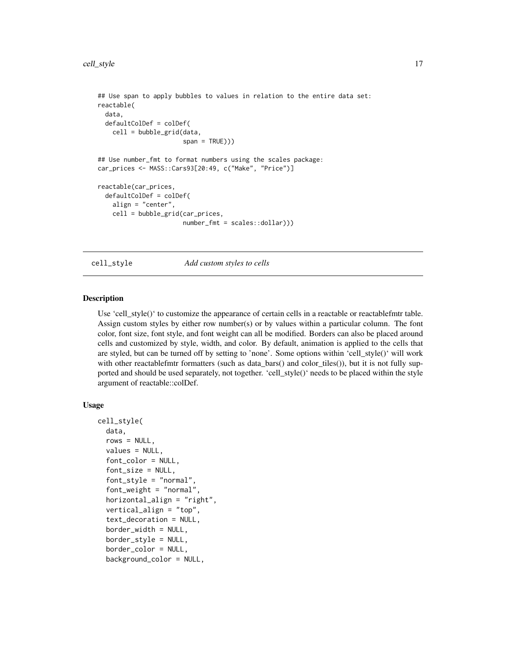```
## Use span to apply bubbles to values in relation to the entire data set:
reactable(
 data,
 defaultColDef = colDef(
   cell = bubble_grid(data,
                       span = TRUE)))
## Use number_fmt to format numbers using the scales package:
car_prices <- MASS::Cars93[20:49, c("Make", "Price")]
reactable(car_prices,
 defaultColDef = colDef(
    align = "center",
    cell = bubble_grid(car_prices,
                       number_fmt = scales::dollar)))
```
cell\_style *Add custom styles to cells*

## Description

Use 'cell\_style()' to customize the appearance of certain cells in a reactable or reactablefmtr table. Assign custom styles by either row number(s) or by values within a particular column. The font color, font size, font style, and font weight can all be modified. Borders can also be placed around cells and customized by style, width, and color. By default, animation is applied to the cells that are styled, but can be turned off by setting to 'none'. Some options within 'cell\_style()' will work with other reactablefmtr formatters (such as data\_bars() and color\_tiles()), but it is not fully supported and should be used separately, not together. 'cell\_style()' needs to be placed within the style argument of reactable::colDef.

```
cell_style(
  data,
  rows = NULL,values = NULL,
  font_color = NULL,
  font_size = NULL,
  font_style = "normal",
  font_weight = "normal",
  horizontal_align = "right",
  vertical_align = "top",
  text_decoration = NULL,
  border_width = NULL,border_style = NULL,
  border_color = NULL,
  background_color = NULL,
```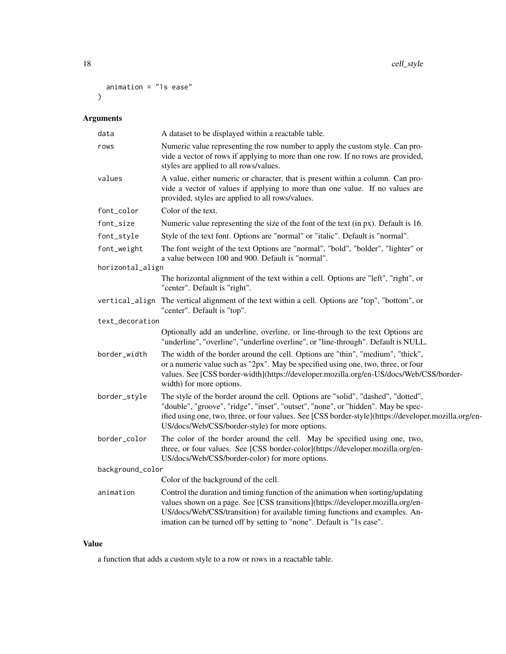```
animation = "1s ease"
\mathcal{L}
```
# Arguments

| data             | A dataset to be displayed within a reactable table.                                                                                                                                                                                                                                                                                |
|------------------|------------------------------------------------------------------------------------------------------------------------------------------------------------------------------------------------------------------------------------------------------------------------------------------------------------------------------------|
| rows             | Numeric value representing the row number to apply the custom style. Can pro-<br>vide a vector of rows if applying to more than one row. If no rows are provided,<br>styles are applied to all rows/values.                                                                                                                        |
| values           | A value, either numeric or character, that is present within a column. Can pro-<br>vide a vector of values if applying to more than one value. If no values are<br>provided, styles are applied to all rows/values.                                                                                                                |
| font_color       | Color of the text.                                                                                                                                                                                                                                                                                                                 |
| font_size        | Numeric value representing the size of the font of the text (in px). Default is 16.                                                                                                                                                                                                                                                |
| font_style       | Style of the text font. Options are "normal" or "italic". Default is "normal".                                                                                                                                                                                                                                                     |
| font_weight      | The font weight of the text Options are "normal", "bold", "bolder", "lighter" or<br>a value between 100 and 900. Default is "normal".                                                                                                                                                                                              |
| horizontal_align |                                                                                                                                                                                                                                                                                                                                    |
|                  | The horizontal alignment of the text within a cell. Options are "left", "right", or<br>"center". Default is "right".                                                                                                                                                                                                               |
| vertical_align   | The vertical alignment of the text within a cell. Options are "top", "bottom", or<br>"center". Default is "top".                                                                                                                                                                                                                   |
| text_decoration  |                                                                                                                                                                                                                                                                                                                                    |
|                  | Optionally add an underline, overline, or line-through to the text Options are<br>"underline", "overline", "underline overline", or "line-through". Default is NULL.                                                                                                                                                               |
| border_width     | The width of the border around the cell. Options are "thin", "medium", "thick",<br>or a numeric value such as "2px". May be specified using one, two, three, or four<br>values. See [CSS border-width](https://developer.mozilla.org/en-US/docs/Web/CSS/border-<br>width) for more options.                                        |
| border_style     | The style of the border around the cell. Options are "solid", "dashed", "dotted",<br>"double", "groove", "ridge", "inset", "outset", "none", or "hidden". May be spec-<br>ified using one, two, three, or four values. See [CSS border-style](https://developer.mozilla.org/en-<br>US/docs/Web/CSS/border-style) for more options. |
| border_color     | The color of the border around the cell. May be specified using one, two,<br>three, or four values. See [CSS border-color](https://developer.mozilla.org/en-<br>US/docs/Web/CSS/border-color) for more options.                                                                                                                    |
| background_color |                                                                                                                                                                                                                                                                                                                                    |
|                  | Color of the background of the cell.                                                                                                                                                                                                                                                                                               |
| animation        | Control the duration and timing function of the animation when sorting/updating<br>values shown on a page. See [CSS transitions](https://developer.mozilla.org/en-<br>US/docs/Web/CSS/transition) for available timing functions and examples. An-<br>imation can be turned off by setting to "none". Default is "1s ease".        |
|                  |                                                                                                                                                                                                                                                                                                                                    |

# Value

a function that adds a custom style to a row or rows in a reactable table.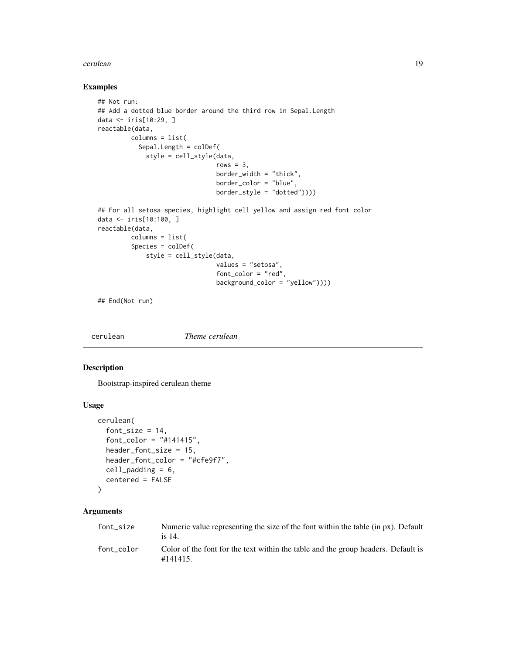#### <span id="page-18-0"></span>cerulean and the contract of the contract of the contract of the contract of the contract of the contract of the contract of the contract of the contract of the contract of the contract of the contract of the contract of t

## Examples

```
## Not run:
## Add a dotted blue border around the third row in Sepal. Length
data <- iris[10:29, ]
reactable(data,
         columns = list(
           Sepal.Length = colDef(
             style = cell_style(data,
                                rows = 3,
                                border_width = "thick",
                                border_color = "blue",
                                border_style = "dotted"))))
## For all setosa species, highlight cell yellow and assign red font color
data <- iris[10:100, ]
reactable(data,
         columns = list(
         Species = colDef(
             style = cell_style(data,
                                values = "setosa",
                                font_color = "red",
                                background_color = "yellow"))))
```
## End(Not run)

cerulean *Theme cerulean*

# Description

Bootstrap-inspired cerulean theme

## Usage

```
cerulean(
  font_size = 14,
  font_color = "#141415",
  header_font_size = 15,
  header_font_color = "#cfe9f7",
  cell_padding = 6,
  centered = FALSE
)
```

| font size  | Numeric value representing the size of the font within the table (in px). Default<br>is 14.  |
|------------|----------------------------------------------------------------------------------------------|
| font color | Color of the font for the text within the table and the group headers. Default is<br>#141415 |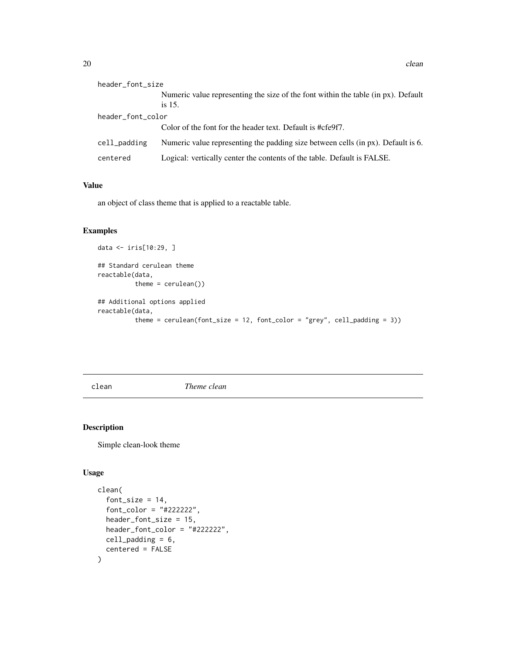<span id="page-19-0"></span>

| header_font_size  |                                                                                             |  |
|-------------------|---------------------------------------------------------------------------------------------|--|
|                   | Numeric value representing the size of the font within the table (in px). Default<br>is 15. |  |
| header_font_color |                                                                                             |  |
|                   | Color of the font for the header text. Default is #cfe9f7.                                  |  |
| cell_padding      | Numeric value representing the padding size between cells (in px). Default is 6.            |  |
| centered          | Logical: vertically center the contents of the table. Default is FALSE.                     |  |

an object of class theme that is applied to a reactable table.

# Examples

```
data <- iris[10:29, ]
## Standard cerulean theme
reactable(data,
          theme = cerulean())
## Additional options applied
reactable(data,
          theme = cerulean(font_size = 12, font_color = "grey", cell_padding = 3))
```
clean *Theme clean*

## Description

Simple clean-look theme

```
clean(
  font_size = 14,
  font_color = "#222222",
 header_font_size = 15,
 header_font_color = "#222222",
 cell_padding = 6,
  centered = FALSE
\mathcal{E}
```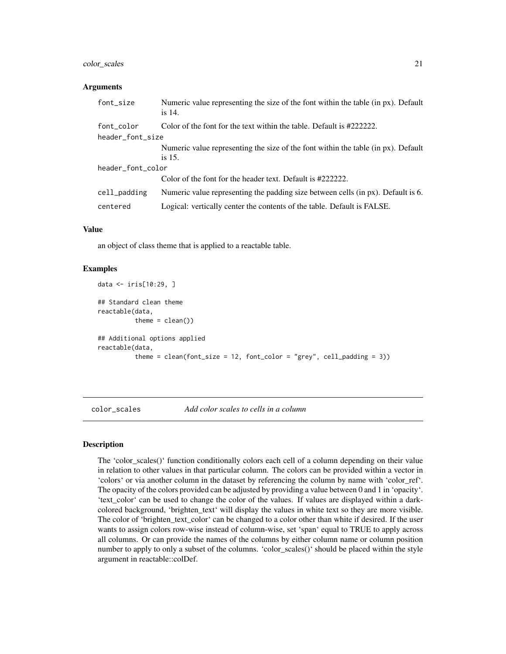# <span id="page-20-0"></span>color\_scales 21

### **Arguments**

| font_size         | Numeric value representing the size of the font within the table (in px). Default<br>is 14. |  |
|-------------------|---------------------------------------------------------------------------------------------|--|
| font_color        | Color of the font for the text within the table. Default is #2222222.                       |  |
| header_font_size  |                                                                                             |  |
|                   | Numeric value representing the size of the font within the table (in px). Default           |  |
|                   | is 15.                                                                                      |  |
| header_font_color |                                                                                             |  |
|                   | Color of the font for the header text. Default is #222222.                                  |  |
| cell_padding      | Numeric value representing the padding size between cells (in px). Default is 6.            |  |
| centered          | Logical: vertically center the contents of the table. Default is FALSE.                     |  |

### Value

an object of class theme that is applied to a reactable table.

# Examples

```
data <- iris[10:29, ]
## Standard clean theme
reactable(data,
         theme = clean()## Additional options applied
reactable(data,
          theme = clean(font_size = 12, font_code = "grey", cell-padding = 3))
```
color\_scales *Add color scales to cells in a column*

# **Description**

The 'color\_scales()' function conditionally colors each cell of a column depending on their value in relation to other values in that particular column. The colors can be provided within a vector in 'colors' or via another column in the dataset by referencing the column by name with 'color\_ref'. The opacity of the colors provided can be adjusted by providing a value between 0 and 1 in 'opacity'. 'text\_color' can be used to change the color of the values. If values are displayed within a darkcolored background, 'brighten\_text' will display the values in white text so they are more visible. The color of 'brighten\_text\_color' can be changed to a color other than white if desired. If the user wants to assign colors row-wise instead of column-wise, set 'span' equal to TRUE to apply across all columns. Or can provide the names of the columns by either column name or column position number to apply to only a subset of the columns. 'color\_scales()' should be placed within the style argument in reactable::colDef.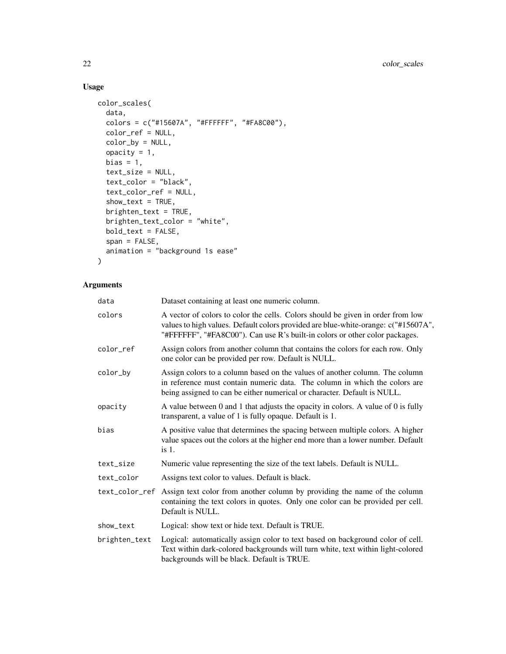# Usage

```
color_scales(
  data,
  colors = c("#15607A", "#FFFFFF", "#FA8C00"),
  color_ref = NULL,
  color_by = NULL,
  opacity = 1,
  bias = 1,
  text_size = NULL,
  text_color = "black",
  text_color_ref = NULL,
  show_text = TRUE,
  brighten_text = TRUE,
  brighten_text_color = "white",
  bold_text = FALSE,
  span = FALSE,animation = "background 1s ease"
\mathcal{L}
```

| data           | Dataset containing at least one numeric column.                                                                                                                                                                                                      |
|----------------|------------------------------------------------------------------------------------------------------------------------------------------------------------------------------------------------------------------------------------------------------|
| colors         | A vector of colors to color the cells. Colors should be given in order from low<br>values to high values. Default colors provided are blue-white-orange: c("#15607A",<br>"#FFFFFF", "#FA8C00"). Can use R's built-in colors or other color packages. |
| color_ref      | Assign colors from another column that contains the colors for each row. Only<br>one color can be provided per row. Default is NULL.                                                                                                                 |
| color_by       | Assign colors to a column based on the values of another column. The column<br>in reference must contain numeric data. The column in which the colors are<br>being assigned to can be either numerical or character. Default is NULL.                |
| opacity        | A value between 0 and 1 that adjusts the opacity in colors. A value of 0 is fully<br>transparent, a value of 1 is fully opaque. Default is 1.                                                                                                        |
| bias           | A positive value that determines the spacing between multiple colors. A higher<br>value spaces out the colors at the higher end more than a lower number. Default<br>$is1$ .                                                                         |
| text_size      | Numeric value representing the size of the text labels. Default is NULL.                                                                                                                                                                             |
| text_color     | Assigns text color to values. Default is black.                                                                                                                                                                                                      |
| text_color_ref | Assign text color from another column by providing the name of the column<br>containing the text colors in quotes. Only one color can be provided per cell.<br>Default is NULL.                                                                      |
| show_text      | Logical: show text or hide text. Default is TRUE.                                                                                                                                                                                                    |
| brighten_text  | Logical: automatically assign color to text based on background color of cell.<br>Text within dark-colored backgrounds will turn white, text within light-colored<br>backgrounds will be black. Default is TRUE.                                     |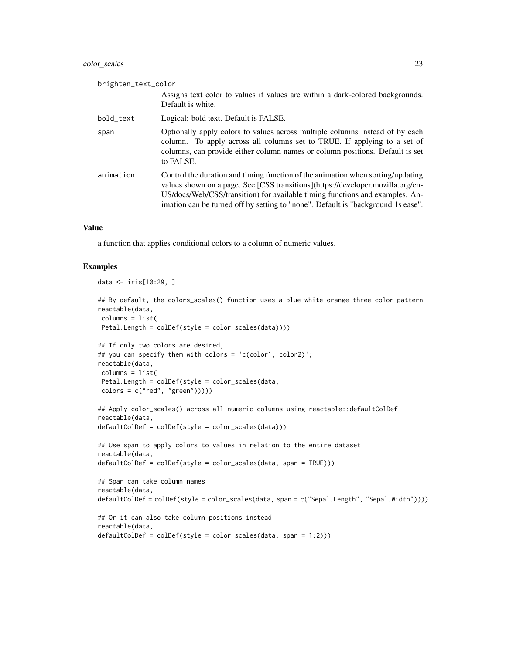| brighten_text_color |                                                                                                                                                                                                                                                                                                                                        |
|---------------------|----------------------------------------------------------------------------------------------------------------------------------------------------------------------------------------------------------------------------------------------------------------------------------------------------------------------------------------|
|                     | Assigns text color to values if values are within a dark-colored backgrounds.<br>Default is white.                                                                                                                                                                                                                                     |
| bold_text           | Logical: bold text. Default is FALSE.                                                                                                                                                                                                                                                                                                  |
| span                | Optionally apply colors to values across multiple columns instead of by each<br>column. To apply across all columns set to TRUE. If applying to a set of<br>columns, can provide either column names or column positions. Default is set<br>to FALSE.                                                                                  |
| animation           | Control the duration and timing function of the animation when sorting/updating<br>values shown on a page. See [CSS transitions](https://developer.mozilla.org/en-<br>US/docs/Web/CSS/transition) for available timing functions and examples. An-<br>imation can be turned off by setting to "none". Default is "background 1s ease". |

a function that applies conditional colors to a column of numeric values.

```
data <- iris[10:29, ]
## By default, the colors_scales() function uses a blue-white-orange three-color pattern
reactable(data,
 columns = list(
 Petal.Length = colDef(style = color_scales(data))))
## If only two colors are desired,
## you can specify them with colors = 'c(color1, color2)';
reactable(data,
columns = list(
 Petal.Length = colDef(style = color_scales(data,
 colors = c("red", "green")))))
## Apply color_scales() across all numeric columns using reactable::defaultColDef
reactable(data,
defaultColDef = colDef(style = color_scales(data)))
## Use span to apply colors to values in relation to the entire dataset
reactable(data,
defaultColDef = colDef(style = color_scales(data, span = TRUE)))
## Span can take column names
reactable(data,
defaultColDef = colDef(style = color_scales(data, span = c("Sepal.Length", "Sepal.Width"))))
## Or it can also take column positions instead
reactable(data,
defaultColDef = colDef(style = color_scales(data, span = 1:2)))
```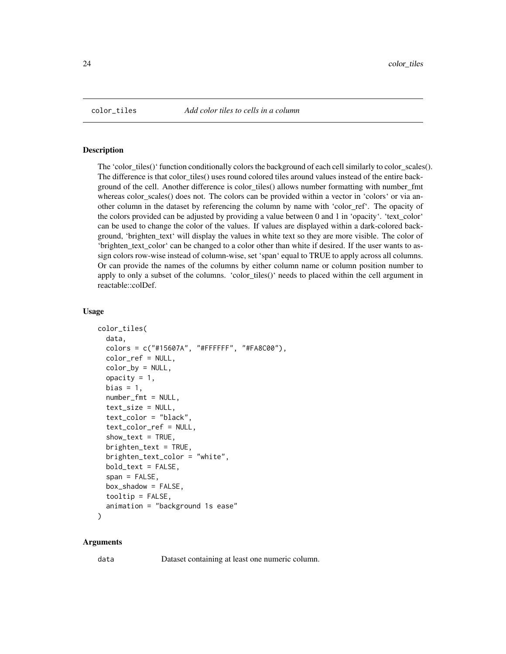<span id="page-23-0"></span>

### Description

The 'color\_tiles()' function conditionally colors the background of each cell similarly to color\_scales(). The difference is that color\_tiles() uses round colored tiles around values instead of the entire background of the cell. Another difference is color\_tiles() allows number formatting with number\_fmt whereas color\_scales() does not. The colors can be provided within a vector in 'colors' or via another column in the dataset by referencing the column by name with 'color\_ref'. The opacity of the colors provided can be adjusted by providing a value between 0 and 1 in 'opacity'. 'text\_color' can be used to change the color of the values. If values are displayed within a dark-colored background, 'brighten\_text' will display the values in white text so they are more visible. The color of 'brighten\_text\_color' can be changed to a color other than white if desired. If the user wants to assign colors row-wise instead of column-wise, set 'span' equal to TRUE to apply across all columns. Or can provide the names of the columns by either column name or column position number to apply to only a subset of the columns. 'color\_tiles()' needs to placed within the cell argument in reactable::colDef.

#### Usage

```
color_tiles(
  data,
  colors = c("#15607A", "#FFFFFF", "#FA8C00"),
  color_ref = NULL,
  color_by = NULL,
  opacity = 1,
  bias = 1,
  number_fmt = NULL,
  text_size = NULL,
  text_color = "black",
  text_color_ref = NULL,
  show\_text = TRUE,brighten_test = TRUE,brighten_text_color = "white",
  bold_text = FALSE,
  span = FALSE,box_shadow = FALSE,
  toip = F</math>animation = "background 1s ease"
)
```
#### Arguments

data Dataset containing at least one numeric column.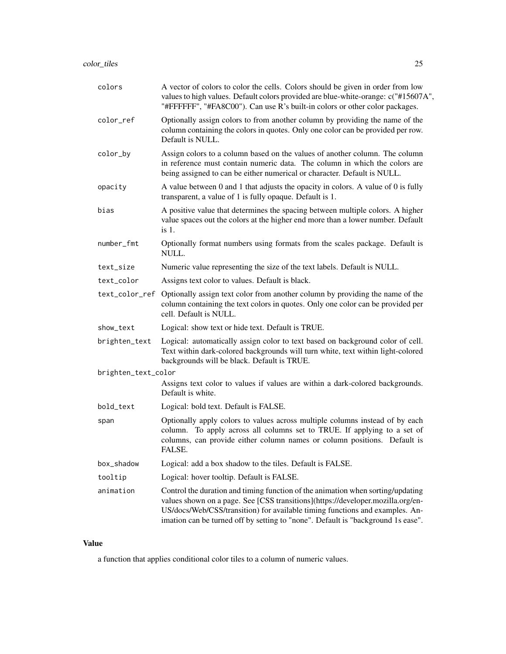| colors              | A vector of colors to color the cells. Colors should be given in order from low<br>values to high values. Default colors provided are blue-white-orange: c("#15607A",<br>"#FFFFFF", "#FA8C00"). Can use R's built-in colors or other color packages.                                                                                   |
|---------------------|----------------------------------------------------------------------------------------------------------------------------------------------------------------------------------------------------------------------------------------------------------------------------------------------------------------------------------------|
| color_ref           | Optionally assign colors to from another column by providing the name of the<br>column containing the colors in quotes. Only one color can be provided per row.<br>Default is NULL.                                                                                                                                                    |
| color_by            | Assign colors to a column based on the values of another column. The column<br>in reference must contain numeric data. The column in which the colors are<br>being assigned to can be either numerical or character. Default is NULL.                                                                                                  |
| opacity             | A value between 0 and 1 that adjusts the opacity in colors. A value of 0 is fully<br>transparent, a value of 1 is fully opaque. Default is 1.                                                                                                                                                                                          |
| bias                | A positive value that determines the spacing between multiple colors. A higher<br>value spaces out the colors at the higher end more than a lower number. Default<br>is 1.                                                                                                                                                             |
| number_fmt          | Optionally format numbers using formats from the scales package. Default is<br>NULL.                                                                                                                                                                                                                                                   |
| text_size           | Numeric value representing the size of the text labels. Default is NULL.                                                                                                                                                                                                                                                               |
| text_color          | Assigns text color to values. Default is black.                                                                                                                                                                                                                                                                                        |
| text_color_ref      | Optionally assign text color from another column by providing the name of the<br>column containing the text colors in quotes. Only one color can be provided per<br>cell. Default is NULL.                                                                                                                                             |
| show_text           | Logical: show text or hide text. Default is TRUE.                                                                                                                                                                                                                                                                                      |
| brighten_text       | Logical: automatically assign color to text based on background color of cell.<br>Text within dark-colored backgrounds will turn white, text within light-colored<br>backgrounds will be black. Default is TRUE.                                                                                                                       |
| brighten_text_color |                                                                                                                                                                                                                                                                                                                                        |
|                     | Assigns text color to values if values are within a dark-colored backgrounds.<br>Default is white.                                                                                                                                                                                                                                     |
| bold_text           | Logical: bold text. Default is FALSE.                                                                                                                                                                                                                                                                                                  |
| span                | Optionally apply colors to values across multiple columns instead of by each<br>column. To apply across all columns set to TRUE. If applying to a set of<br>columns, can provide either column names or column positions. Default is<br><b>FALSE</b>                                                                                   |
| box_shadow          | Logical: add a box shadow to the tiles. Default is FALSE.                                                                                                                                                                                                                                                                              |
| tooltip             | Logical: hover tooltip. Default is FALSE.                                                                                                                                                                                                                                                                                              |
| animation           | Control the duration and timing function of the animation when sorting/updating<br>values shown on a page. See [CSS transitions](https://developer.mozilla.org/en-<br>US/docs/Web/CSS/transition) for available timing functions and examples. An-<br>imation can be turned off by setting to "none". Default is "background 1s ease". |

a function that applies conditional color tiles to a column of numeric values.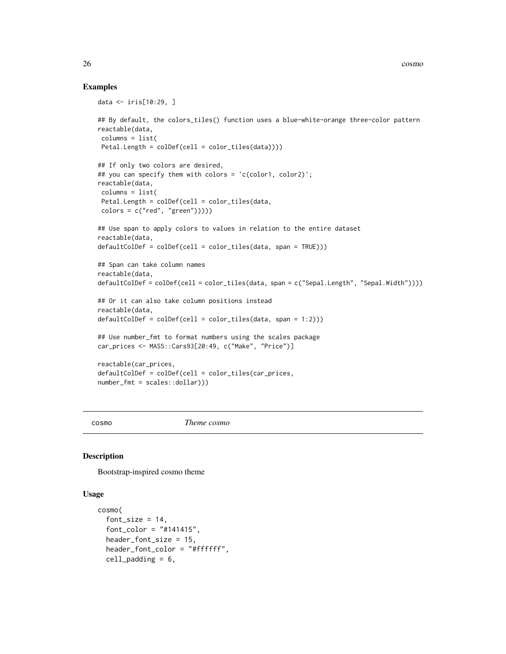## Examples

```
data <- iris[10:29, ]
## By default, the colors_tiles() function uses a blue-white-orange three-color pattern
reactable(data,
columns = list(
Petal.Length = colDef(cell = color_tiles(data))))
## If only two colors are desired,
## you can specify them with colors = 'c(color1, color2)';
reactable(data,
columns = list(
Petal.Length = colDef(cell = color_tiles(data,
colors = c("red", "green"))))## Use span to apply colors to values in relation to the entire dataset
reactable(data,
defaultColDef = colDef(cell = color_tiles(data, span = TRUE)))
## Span can take column names
reactable(data,
defaultColDef = collect(Cell = color\_tiles(data, span = c("Spepal.Length", "Sepal.Width"))))## Or it can also take column positions instead
reactable(data,
defaultColDef = colDef(cell = color_tiles(data, span = 1:2)))
## Use number_fmt to format numbers using the scales package
car_prices <- MASS::Cars93[20:49, c("Make", "Price")]
reactable(car_prices,
defaultColDef = colDef(cell = color_tiles(car_prices,
number_fmt = scales::dollar)))
```
cosmo *Theme cosmo*

### Description

Bootstrap-inspired cosmo theme

```
cosmo(
  font_size = 14,
  font\_color = "#141415".header_font_size = 15,
  header_font_color = "#ffffff",
  cell<sub>padding</sub> = 6,
```
<span id="page-25-0"></span>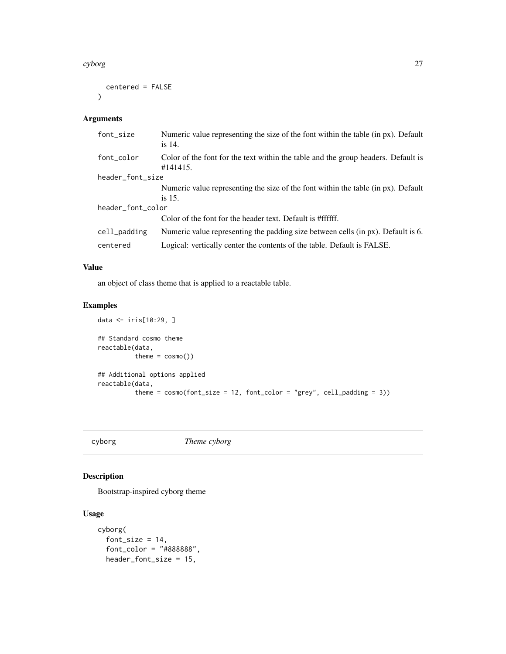#### <span id="page-26-0"></span>cyborg 27

```
centered = FALSE
\mathcal{L}
```
# Arguments

| font_size         | Numeric value representing the size of the font within the table (in px). Default<br>is 14.   |  |
|-------------------|-----------------------------------------------------------------------------------------------|--|
| font_color        | Color of the font for the text within the table and the group headers. Default is<br>#141415. |  |
| header_font_size  |                                                                                               |  |
|                   | Numeric value representing the size of the font within the table (in px). Default             |  |
|                   | is $15$ .                                                                                     |  |
| header_font_color |                                                                                               |  |
|                   | Color of the font for the header text. Default is #ffffff.                                    |  |
| cell_padding      | Numeric value representing the padding size between cells (in px). Default is 6.              |  |
| centered          | Logical: vertically center the contents of the table. Default is FALSE.                       |  |

# Value

an object of class theme that is applied to a reactable table.

# Examples

```
data <- iris[10:29, ]
## Standard cosmo theme
reactable(data,
          \text{them} = \text{cosmo}()## Additional options applied
reactable(data,
          theme = cosmo(font_size = 12, font_code = "grey", cell-padding = 3))
```
cyborg *Theme cyborg*

# Description

Bootstrap-inspired cyborg theme

```
cyborg(
 font_size = 14,
  font\_color = "#888888",
 header_font_size = 15,
```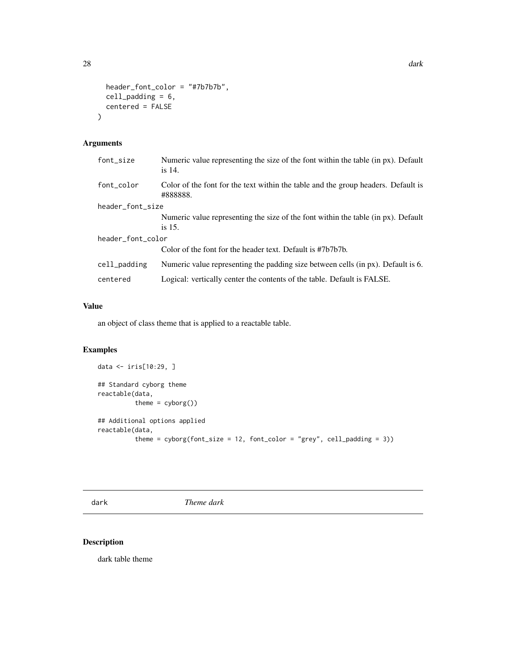```
header_font_color = "#7b7b7b",
  cell_padding = 6,
  centered = FALSE
\mathcal{L}
```
# Arguments

| font_size         | Numeric value representing the size of the font within the table (in px). Default<br>is 14.   |
|-------------------|-----------------------------------------------------------------------------------------------|
| font color        | Color of the font for the text within the table and the group headers. Default is<br>#888888. |
| header_font_size  |                                                                                               |
|                   | Numeric value representing the size of the font within the table (in px). Default             |
|                   | is $15$ .                                                                                     |
| header_font_color |                                                                                               |
|                   | Color of the font for the header text. Default is #7b7b7b.                                    |
| cell_padding      | Numeric value representing the padding size between cells (in px). Default is 6.              |
| centered          | Logical: vertically center the contents of the table. Default is FALSE.                       |

# Value

an object of class theme that is applied to a reactable table.

# Examples

```
data <- iris[10:29, ]
## Standard cyborg theme
reactable(data,
          theme = cyborg())
## Additional options applied
reactable(data,
          theme = cyborg(font_size = 12, font\_color = "grey", cell_padding = 3))
```
dark *Theme dark*

# Description

dark table theme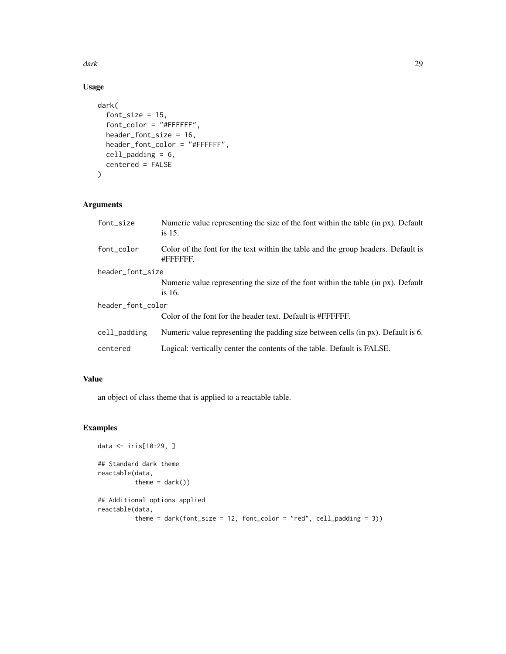dark 29 metal and 20 metal and 20 metal and 20 metal and 20 metal and 20 metal and 20 metal and 20 metal and 20

# Usage

```
dark(
  font_size = 15,
 font_color = "#FFFFFF",
 header_font_size = 16,
 header_font_color = "#FFFFFF",
 cell_padding = 6,
 centered = FALSE
)
```
# Arguments

| font_size         | Numeric value representing the size of the font within the table (in px). Default<br>is $15$ . |  |
|-------------------|------------------------------------------------------------------------------------------------|--|
| font color        | Color of the font for the text within the table and the group headers. Default is<br>#FFFFFFF. |  |
| header_font_size  |                                                                                                |  |
|                   | Numeric value representing the size of the font within the table (in px). Default<br>is $16.$  |  |
| header_font_color |                                                                                                |  |
|                   | Color of the font for the header text. Default is #FFFFFF.                                     |  |
| cell_padding      | Numeric value representing the padding size between cells (in px). Default is 6.               |  |
| centered          | Logical: vertically center the contents of the table. Default is FALSE.                        |  |

## Value

an object of class theme that is applied to a reactable table.

```
data <- iris[10:29, ]
## Standard dark theme
reactable(data,
         theme = dark()## Additional options applied
reactable(data,
          theme = dark(font_size = 12, font_color = "red", cell_padding = 3))
```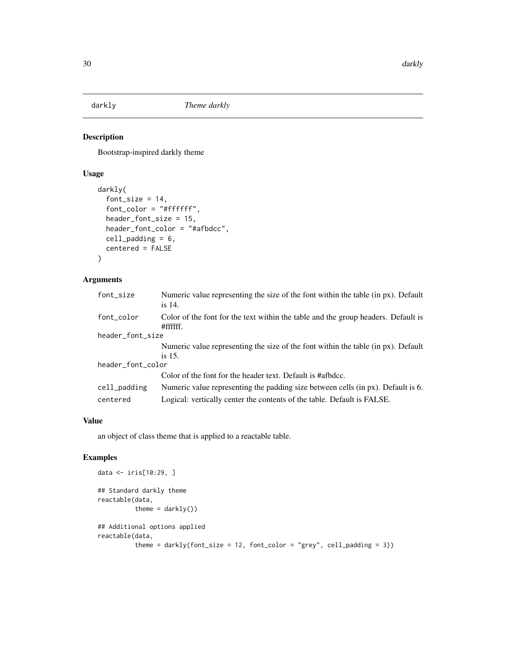<span id="page-29-0"></span>

# Description

Bootstrap-inspired darkly theme

## Usage

```
darkly(
  font_size = 14,
  font_color = "#ffffff",
 header_font_size = 15,
  header_font_color = "#afbdcc",
  cell_padding = 6,
  centered = FALSE
)
```
# Arguments

| font_size         | Numeric value representing the size of the font within the table (in px). Default<br>is 14.    |  |
|-------------------|------------------------------------------------------------------------------------------------|--|
| font_color        | Color of the font for the text within the table and the group headers. Default is<br>#fffffff. |  |
| header_font_size  |                                                                                                |  |
|                   | Numeric value representing the size of the font within the table (in px). Default              |  |
|                   | is 15.                                                                                         |  |
| header_font_color |                                                                                                |  |
|                   | Color of the font for the header text. Default is #afbdcc.                                     |  |
| cell_padding      | Numeric value representing the padding size between cells (in px). Default is 6.               |  |
| centered          | Logical: vertically center the contents of the table. Default is FALSE.                        |  |

## Value

an object of class theme that is applied to a reactable table.

```
data <- iris[10:29, ]
## Standard darkly theme
reactable(data,
         theme = darkly()## Additional options applied
reactable(data,
          theme = darkly(font_size = 12, font_color = "grey", cell_padding = 3))
```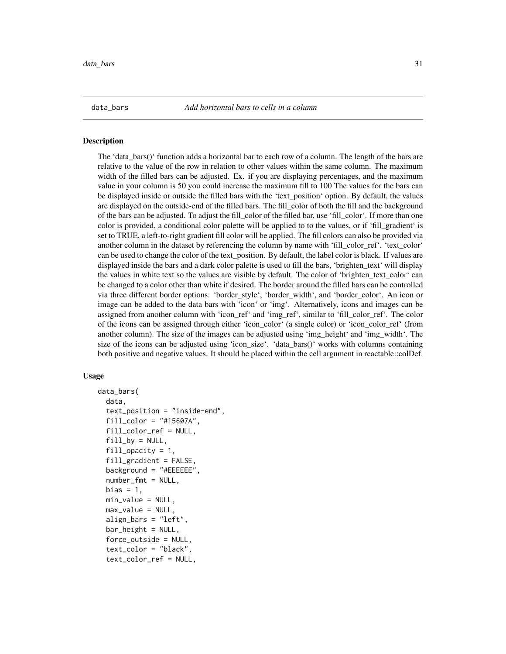<span id="page-30-0"></span>

#### Description

The 'data\_bars()' function adds a horizontal bar to each row of a column. The length of the bars are relative to the value of the row in relation to other values within the same column. The maximum width of the filled bars can be adjusted. Ex. if you are displaying percentages, and the maximum value in your column is 50 you could increase the maximum fill to 100 The values for the bars can be displayed inside or outside the filled bars with the 'text\_position' option. By default, the values are displayed on the outside-end of the filled bars. The fill\_color of both the fill and the background of the bars can be adjusted. To adjust the fill\_color of the filled bar, use 'fill\_color'. If more than one color is provided, a conditional color palette will be applied to to the values, or if 'fill\_gradient' is set to TRUE, a left-to-right gradient fill color will be applied. The fill colors can also be provided via another column in the dataset by referencing the column by name with 'fill\_color\_ref'. 'text\_color' can be used to change the color of the text\_position. By default, the label color is black. If values are displayed inside the bars and a dark color palette is used to fill the bars, 'brighten\_text' will display the values in white text so the values are visible by default. The color of 'brighten\_text\_color' can be changed to a color other than white if desired. The border around the filled bars can be controlled via three different border options: 'border\_style', 'border\_width', and 'border\_color'. An icon or image can be added to the data bars with 'icon' or 'img'. Alternatively, icons and images can be assigned from another column with 'icon\_ref' and 'img\_ref', similar to 'fill\_color\_ref'. The color of the icons can be assigned through either 'icon\_color' (a single color) or 'icon\_color\_ref' (from another column). The size of the images can be adjusted using 'img\_height' and 'img\_width'. The size of the icons can be adjusted using 'icon\_size'. 'data\_bars()' works with columns containing both positive and negative values. It should be placed within the cell argument in reactable::colDef.

```
data_bars(
  data,
  text_position = "inside-end",
  fill_color = "#15607A",
  fill_color_ref = NULL,
  fill\_by = NULL,fill\_opacity = 1,
  fill_gradient = FALSE,
  background = "{}#EEEEE",
  number_fmt = NULL,
  bias = 1,
  min_value = NULL,
  max_value = NULL,align_bars = "left",
  bar_height = NULL,
  force_outside = NULL,
  text_color = "black",
  text_color_ref = NULL,
```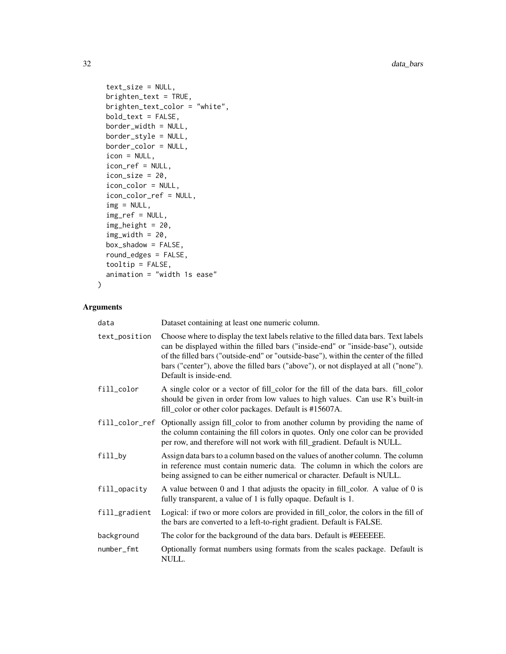```
text_size = NULL,
 brighten_text = TRUE,
 brighten_text_color = "white",
 bold_text = FALSE,
 border_width = NULL,
 border_style = NULL,
 border_color = NULL,
 icon = NULL,
 icon_ref = NULL,
 icon\_size = 20,icon_color = NULL,
 icon_color_ref = NULL,
 img = NULL,img_ref = NULL,
 img_height = 20,
 img_width = 20,box_shadow = FALSE,
 round_edges = FALSE,
 tooltip = FALSE,
 animation = "width 1s ease"
)
```

| data           | Dataset containing at least one numeric column.                                                                                                                                                                                                                                                                                                                                     |
|----------------|-------------------------------------------------------------------------------------------------------------------------------------------------------------------------------------------------------------------------------------------------------------------------------------------------------------------------------------------------------------------------------------|
| text_position  | Choose where to display the text labels relative to the filled data bars. Text labels<br>can be displayed within the filled bars ("inside-end" or "inside-base"), outside<br>of the filled bars ("outside-end" or "outside-base"), within the center of the filled<br>bars ("center"), above the filled bars ("above"), or not displayed at all ("none").<br>Default is inside-end. |
| fill_color     | A single color or a vector of fill_color for the fill of the data bars. fill_color<br>should be given in order from low values to high values. Can use R's built-in<br>fill_color or other color packages. Default is #15607A.                                                                                                                                                      |
| fill_color_ref | Optionally assign fill_color to from another column by providing the name of<br>the column containing the fill colors in quotes. Only one color can be provided<br>per row, and therefore will not work with fill_gradient. Default is NULL.                                                                                                                                        |
| fill_by        | Assign data bars to a column based on the values of another column. The column<br>in reference must contain numeric data. The column in which the colors are<br>being assigned to can be either numerical or character. Default is NULL.                                                                                                                                            |
| fill_opacity   | A value between 0 and 1 that adjusts the opacity in fill_color. A value of 0 is<br>fully transparent, a value of 1 is fully opaque. Default is 1.                                                                                                                                                                                                                                   |
| fill_gradient  | Logical: if two or more colors are provided in fill_color, the colors in the fill of<br>the bars are converted to a left-to-right gradient. Default is FALSE.                                                                                                                                                                                                                       |
| background     | The color for the background of the data bars. Default is #EEEEEE.                                                                                                                                                                                                                                                                                                                  |
| number_fmt     | Optionally format numbers using formats from the scales package. Default is<br>NULL.                                                                                                                                                                                                                                                                                                |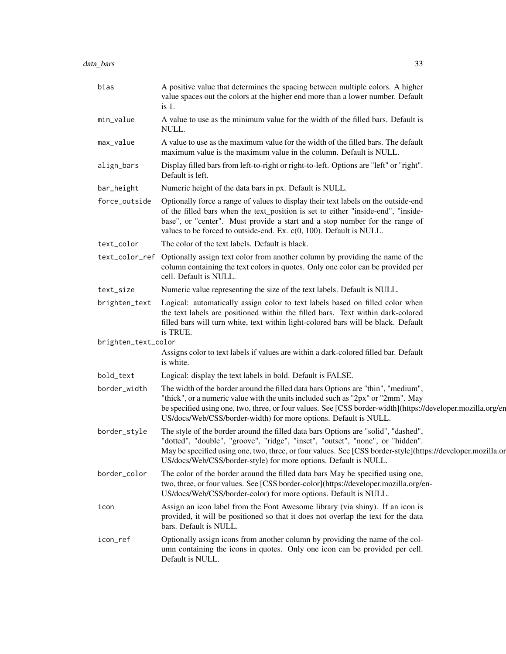| bias                | A positive value that determines the spacing between multiple colors. A higher<br>value spaces out the colors at the higher end more than a lower number. Default<br>$is1$ .                                                                                                                                                                            |
|---------------------|---------------------------------------------------------------------------------------------------------------------------------------------------------------------------------------------------------------------------------------------------------------------------------------------------------------------------------------------------------|
| min_value           | A value to use as the minimum value for the width of the filled bars. Default is<br>NULL.                                                                                                                                                                                                                                                               |
| max_value           | A value to use as the maximum value for the width of the filled bars. The default<br>maximum value is the maximum value in the column. Default is NULL.                                                                                                                                                                                                 |
| align_bars          | Display filled bars from left-to-right or right-to-left. Options are "left" or "right".<br>Default is left.                                                                                                                                                                                                                                             |
| bar_height          | Numeric height of the data bars in px. Default is NULL.                                                                                                                                                                                                                                                                                                 |
| force_outside       | Optionally force a range of values to display their text labels on the outside-end<br>of the filled bars when the text_position is set to either "inside-end", "inside-<br>base", or "center". Must provide a start and a stop number for the range of<br>values to be forced to outside-end. Ex. $c(0, 100)$ . Default is NULL.                        |
| text_color          | The color of the text labels. Default is black.                                                                                                                                                                                                                                                                                                         |
|                     | text_color_ref Optionally assign text color from another column by providing the name of the<br>column containing the text colors in quotes. Only one color can be provided per<br>cell. Default is NULL.                                                                                                                                               |
| text_size           | Numeric value representing the size of the text labels. Default is NULL.                                                                                                                                                                                                                                                                                |
| brighten_text       | Logical: automatically assign color to text labels based on filled color when<br>the text labels are positioned within the filled bars. Text within dark-colored<br>filled bars will turn white, text within light-colored bars will be black. Default<br>is TRUE.                                                                                      |
| brighten_text_color |                                                                                                                                                                                                                                                                                                                                                         |
|                     | Assigns color to text labels if values are within a dark-colored filled bar. Default<br>is white.                                                                                                                                                                                                                                                       |
| bold_text           | Logical: display the text labels in bold. Default is FALSE.                                                                                                                                                                                                                                                                                             |
| border_width        | The width of the border around the filled data bars Options are "thin", "medium",<br>"thick", or a numeric value with the units included such as "2px" or "2mm". May<br>be specified using one, two, three, or four values. See [CSS border-width](https://developer.mozilla.org/en<br>US/docs/Web/CSS/border-width) for more options. Default is NULL. |
| border_style        | The style of the border around the filled data bars Options are "solid", "dashed",<br>"dotted", "double", "groove", "ridge", "inset", "outset", "none", or "hidden".<br>May be specified using one, two, three, or four values. See [CSS border-style](https://developer.mozilla.or<br>US/docs/Web/CSS/border-style) for more options. Default is NULL. |
| border_color        | The color of the border around the filled data bars May be specified using one,<br>two, three, or four values. See [CSS border-color](https://developer.mozilla.org/en-<br>US/docs/Web/CSS/border-color) for more options. Default is NULL.                                                                                                             |
| icon                | Assign an icon label from the Font Awesome library (via shiny). If an icon is<br>provided, it will be positioned so that it does not overlap the text for the data<br>bars. Default is NULL.                                                                                                                                                            |
| icon_ref            | Optionally assign icons from another column by providing the name of the col-<br>umn containing the icons in quotes. Only one icon can be provided per cell.<br>Default is NULL.                                                                                                                                                                        |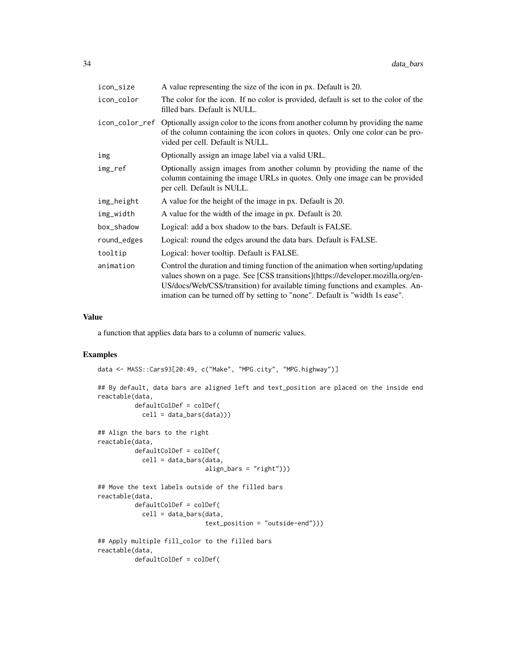| icon_size   | A value representing the size of the icon in px. Default is 20.                                                                                                                                                                                                                                                                   |
|-------------|-----------------------------------------------------------------------------------------------------------------------------------------------------------------------------------------------------------------------------------------------------------------------------------------------------------------------------------|
| icon_color  | The color for the icon. If no color is provided, default is set to the color of the<br>filled bars. Default is NULL.                                                                                                                                                                                                              |
|             | icon_color_ref Optionally assign color to the icons from another column by providing the name<br>of the column containing the icon colors in quotes. Only one color can be pro-<br>vided per cell. Default is NULL.                                                                                                               |
| img         | Optionally assign an image label via a valid URL.                                                                                                                                                                                                                                                                                 |
| img_ref     | Optionally assign images from another column by providing the name of the<br>column containing the image URLs in quotes. Only one image can be provided<br>per cell. Default is NULL.                                                                                                                                             |
| img_height  | A value for the height of the image in px. Default is 20.                                                                                                                                                                                                                                                                         |
| img_width   | A value for the width of the image in px. Default is 20.                                                                                                                                                                                                                                                                          |
| box_shadow  | Logical: add a box shadow to the bars. Default is FALSE.                                                                                                                                                                                                                                                                          |
| round_edges | Logical: round the edges around the data bars. Default is FALSE.                                                                                                                                                                                                                                                                  |
| tooltip     | Logical: hover tooltip. Default is FALSE.                                                                                                                                                                                                                                                                                         |
| animation   | Control the duration and timing function of the animation when sorting/updating<br>values shown on a page. See [CSS transitions](https://developer.mozilla.org/en-<br>US/docs/Web/CSS/transition) for available timing functions and examples. An-<br>imation can be turned off by setting to "none". Default is "width 1s ease". |

a function that applies data bars to a column of numeric values.

```
data <- MASS::Cars93[20:49, c("Make", "MPG.city", "MPG.highway")]
## By default, data bars are aligned left and text_position are placed on the inside end
reactable(data,
         defaultColDef = colDef(
           cell = data_bars(data)))
## Align the bars to the right
reactable(data,
         defaultColDef = colDef(
            cell = data_bars(data,
                             align_bars = "right")))
## Move the text labels outside of the filled bars
reactable(data,
         defaultColDef = colDef(
            cell = data_bars(data,
                             text_position = "outside-end")))
## Apply multiple fill_color to the filled bars
reactable(data,
         defaultColDef = colDef(
```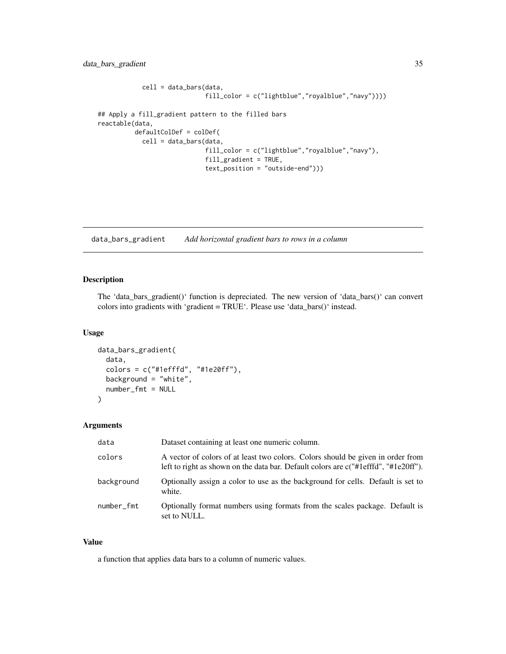```
cell = data_bars(data,
                             fill_color = c("lightblue","royalblue","navy"))))
## Apply a fill_gradient pattern to the filled bars
reactable(data,
         defaultColDef = colDef(
            cell = data_bars(data,
                             fill_color = c("lightblue","royalblue","navy"),
                             fill_gradient = TRUE,
                             text_position = "outside-end")))
```
data\_bars\_gradient *Add horizontal gradient bars to rows in a column*

# Description

The 'data\_bars\_gradient()' function is depreciated. The new version of 'data\_bars()' can convert colors into gradients with 'gradient = TRUE'. Please use 'data\_bars()' instead.

#### Usage

```
data_bars_gradient(
  data,
  colors = c("#1efffd", "#1e20ff"),
  background = "white",number_fmt = NULL
)
```
## Arguments

| data       | Dataset containing at least one numeric column.                                                                                                                         |
|------------|-------------------------------------------------------------------------------------------------------------------------------------------------------------------------|
| colors     | A vector of colors of at least two colors. Colors should be given in order from<br>left to right as shown on the data bar. Default colors are $c("#leftd", "#1e20ff").$ |
| background | Optionally assign a color to use as the background for cells. Default is set to<br>white.                                                                               |
| number_fmt | Optionally format numbers using formats from the scales package. Default is<br>set to NULL.                                                                             |

## Value

a function that applies data bars to a column of numeric values.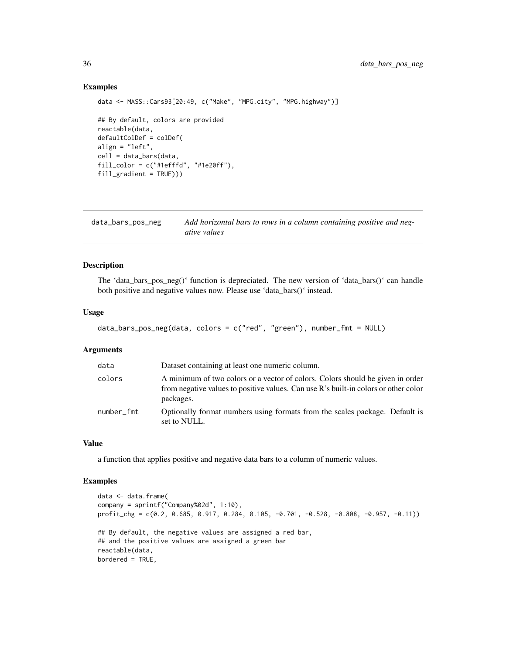## Examples

```
data <- MASS::Cars93[20:49, c("Make", "MPG.city", "MPG.highway")]
## By default, colors are provided
reactable(data,
defaultColDef = colDef(
align = "left",
cell = data_bars(data,
fill_color = c("#1efffd", "#1e20ff"),fill\_gradient = TRUE)))
```
data\_bars\_pos\_neg *Add horizontal bars to rows in a column containing positive and negative values*

## Description

The 'data\_bars\_pos\_neg()' function is depreciated. The new version of 'data\_bars()' can handle both positive and negative values now. Please use 'data\_bars()' instead.

## Usage

```
data_bars_pos_neg(data, colors = c("red", "green"), number_fmt = NULL)
```
## Arguments

| data       | Dataset containing at least one numeric column.                                                                                                                                    |
|------------|------------------------------------------------------------------------------------------------------------------------------------------------------------------------------------|
| colors     | A minimum of two colors or a vector of colors. Colors should be given in order<br>from negative values to positive values. Can use R's built-in colors or other color<br>packages. |
| number_fmt | Optionally format numbers using formats from the scales package. Default is<br>set to NULL.                                                                                        |

#### Value

a function that applies positive and negative data bars to a column of numeric values.

```
data <- data.frame(
company = sprintf("Company%02d", 1:10),
profit_chg = c(0.2, 0.685, 0.917, 0.284, 0.105, -0.701, -0.528, -0.808, -0.957, -0.11))
## By default, the negative values are assigned a red bar,
## and the positive values are assigned a green bar
reactable(data,
bordered = TRUE,
```
<span id="page-35-0"></span>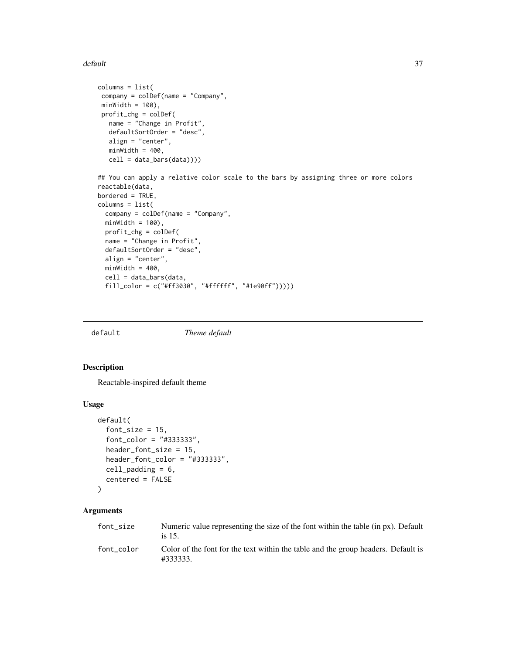#### default 37

```
columns = list(
company = colDef(name = "Company",
minWidth = 100,
profit_chg = colDef(
  name = "Change in Profit",
  defaultSortOrder = "desc",
  align = "center",
  minWidth = 400,cell = data_bars(data))))
## You can apply a relative color scale to the bars by assigning three or more colors
reactable(data,
bordered = TRUE,
columns = list(
 company = colDef(name = "Company",
 minWidth = 100,
 profit_chg = colDef(
 name = "Change in Profit",
 defaultSortOrder = "desc",
 align = "center",
 minWidth = 400,cell = data_bars(data,
 fill_color = c("#ff3030", "#ffffff", "#1e90ff")))))
```
default *Theme default*

## Description

Reactable-inspired default theme

### Usage

```
default(
  font_size = 15,
  font_color = "#333333",
  header_font_size = 15,
  header_font_color = "#333333",
 cell_padding = 6,
  centered = FALSE
)
```
# Arguments

| font size  | Numeric value representing the size of the font within the table (in px). Default<br>is $15$ . |
|------------|------------------------------------------------------------------------------------------------|
| font color | Color of the font for the text within the table and the group headers. Default is<br>#333333.  |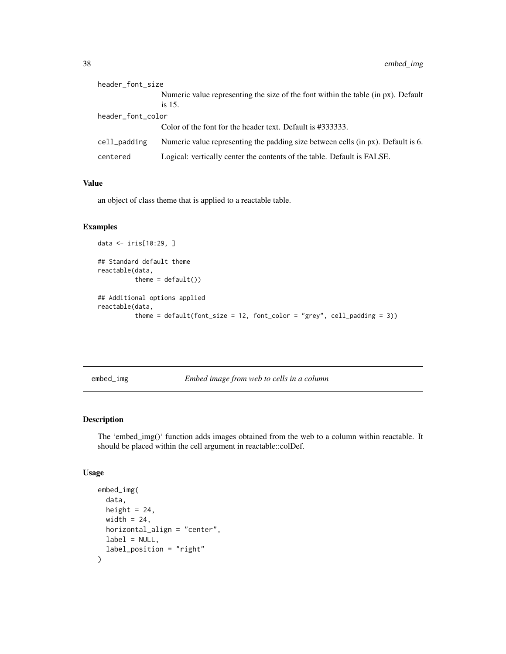| header_font_size  |                                                                                                |
|-------------------|------------------------------------------------------------------------------------------------|
|                   | Numeric value representing the size of the font within the table (in px). Default<br>is $15$ . |
| header_font_color |                                                                                                |
|                   | Color of the font for the header text. Default is #333333.                                     |
| cell_padding      | Numeric value representing the padding size between cells (in px). Default is 6.               |
| centered          | Logical: vertically center the contents of the table. Default is FALSE.                        |

### Value

an object of class theme that is applied to a reactable table.

## Examples

```
data <- iris[10:29, ]
## Standard default theme
reactable(data,
         theme = default()## Additional options applied
reactable(data,
         theme = default(font_size = 12, font_color = "grey", cell_padding = 3))
```

```
embed_img Embed image from web to cells in a column
```
## Description

The 'embed\_img()' function adds images obtained from the web to a column within reactable. It should be placed within the cell argument in reactable::colDef.

### Usage

```
embed_img(
  data,
  height = 24,
  width = 24,
  horizontal_align = "center",
  label = NULL,label_position = "right"
\mathcal{E}
```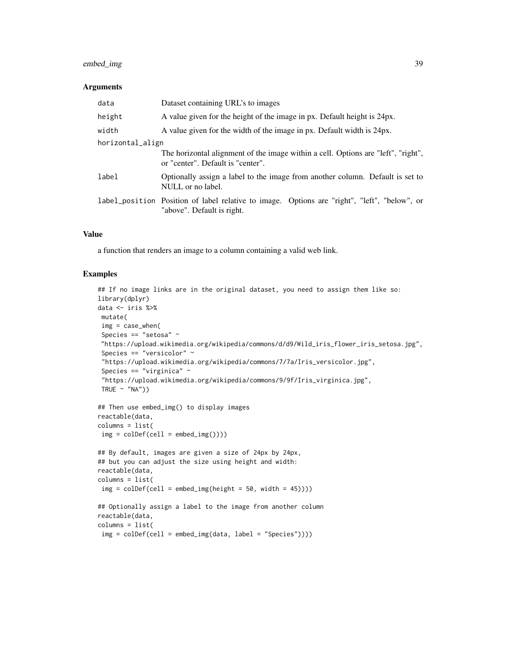## embed\_img 39

#### **Arguments**

| data             | Dataset containing URL's to images                                                                                         |  |
|------------------|----------------------------------------------------------------------------------------------------------------------------|--|
| height           | A value given for the height of the image in px. Default height is 24px.                                                   |  |
| width            | A value given for the width of the image in px. Default width is 24px.                                                     |  |
| horizontal_align |                                                                                                                            |  |
|                  | The horizontal alignment of the image within a cell. Options are "left", "right",<br>or "center". Default is "center".     |  |
| label            | Optionally assign a label to the image from another column. Default is set to<br>NULL or no label.                         |  |
|                  | label_position Position of label relative to image. Options are "right", "left", "below", or<br>"above". Default is right. |  |

## Value

a function that renders an image to a column containing a valid web link.

```
## If no image links are in the original dataset, you need to assign them like so:
library(dplyr)
data <- iris %>%
mutate(
 img = case_when(
 Species == "setosa" ~
 "https://upload.wikimedia.org/wikipedia/commons/d/d9/Wild_iris_flower_iris_setosa.jpg",
 Species == "versicolor" ~
 "https://upload.wikimedia.org/wikipedia/commons/7/7a/Iris_versicolor.jpg",
 Species == "virginica" ~
 "https://upload.wikimedia.org/wikipedia/commons/9/9f/Iris_virginica.jpg",
TRUE \sim "NA"))
## Then use embed_img() to display images
reactable(data,
columns = list(
img = colDef(cell = embed\_img())## By default, images are given a size of 24px by 24px,
## but you can adjust the size using height and width:
reactable(data,
columns = list(
 img = colDef(cell = embed\_img(height = 50, width = 45))))## Optionally assign a label to the image from another column
reactable(data,
columns = list(
img = colDef(cell = embed_img(data, label = "Species"))))
```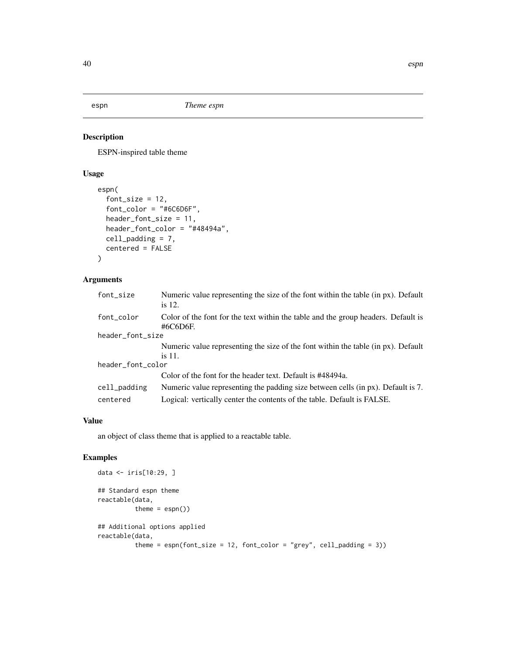ESPN-inspired table theme

## Usage

```
espn(
  font_size = 12,
  font_color = "#6C6D6F",
 header_font_size = 11,
  header_font_color = "#48494a",
  cell_padding = 7,
  centered = FALSE
)
```
## Arguments

| font_size         | Numeric value representing the size of the font within the table (in px). Default<br>is $12$ . |
|-------------------|------------------------------------------------------------------------------------------------|
| font_color        | Color of the font for the text within the table and the group headers. Default is<br>#6C6D6F.  |
| header_font_size  |                                                                                                |
|                   | Numeric value representing the size of the font within the table (in px). Default              |
|                   | is 11.                                                                                         |
| header_font_color |                                                                                                |
|                   | Color of the font for the header text. Default is #48494a.                                     |
| cell_padding      | Numeric value representing the padding size between cells (in px). Default is 7.               |
| centered          | Logical: vertically center the contents of the table. Default is FALSE.                        |

### Value

an object of class theme that is applied to a reactable table.

```
data <- iris[10:29, ]
## Standard espn theme
reactable(data,
         theme = espn())
## Additional options applied
reactable(data,
          theme = espn(font_size = 12, font_code = "grey", cell-padding = 3))
```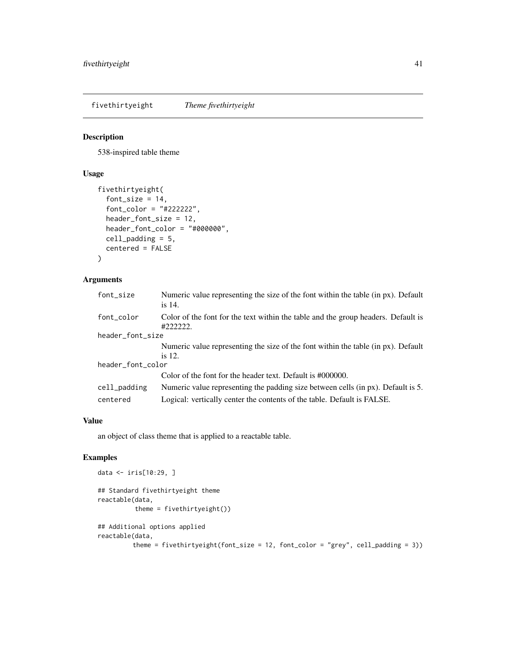fivethirtyeight *Theme fivethirtyeight*

## Description

538-inspired table theme

### Usage

```
fivethirtyeight(
  font_size = 14,
  font_color = "#222222",
  header_font_size = 12,
  header_font_color = "#000000",
  cell_padding = 5,
  centered = FALSE
\mathcal{L}
```
## Arguments

| font_size         | Numeric value representing the size of the font within the table (in px). Default<br>is 14.  |
|-------------------|----------------------------------------------------------------------------------------------|
| font_color        | Color of the font for the text within the table and the group headers. Default is<br>#222222 |
| header_font_size  |                                                                                              |
|                   | Numeric value representing the size of the font within the table (in px). Default            |
|                   | is $12$ .                                                                                    |
| header_font_color |                                                                                              |
|                   | Color of the font for the header text. Default is #000000.                                   |
| cell_padding      | Numeric value representing the padding size between cells (in px). Default is 5.             |
| centered          | Logical: vertically center the contents of the table. Default is FALSE.                      |

### Value

an object of class theme that is applied to a reactable table.

```
data <- iris[10:29, ]
## Standard fivethirtyeight theme
reactable(data,
          theme = fivethirtyeight())
## Additional options applied
reactable(data,
         theme = fivethirtyeight(font_size = 12, font_color = "grey", cell_padding = 3))
```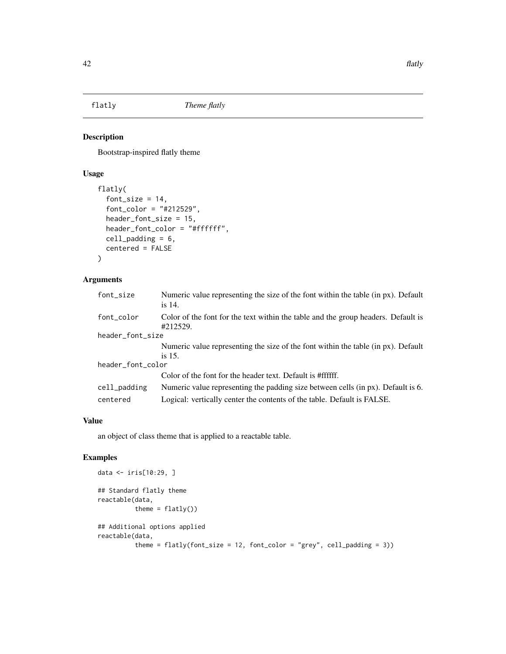Bootstrap-inspired flatly theme

## Usage

```
flatly(
  font_size = 14,
  font_color = "#212529",
 header_font_size = 15,
  header_font_color = "#ffffff",
  cell_padding = 6,
  centered = FALSE
)
```
## Arguments

| font_size         | Numeric value representing the size of the font within the table (in px). Default<br>is 14.   |
|-------------------|-----------------------------------------------------------------------------------------------|
| font_color        | Color of the font for the text within the table and the group headers. Default is<br>#212529. |
| header_font_size  |                                                                                               |
|                   | Numeric value representing the size of the font within the table (in px). Default             |
|                   | is 15.                                                                                        |
| header_font_color |                                                                                               |
|                   | Color of the font for the header text. Default is #ffffff.                                    |
| cell_padding      | Numeric value representing the padding size between cells (in px). Default is 6.              |
| centered          | Logical: vertically center the contents of the table. Default is FALSE.                       |

### Value

an object of class theme that is applied to a reactable table.

```
data <- iris[10:29, ]
## Standard flatly theme
reactable(data,
         theme = flatly()## Additional options applied
reactable(data,
          theme = flatly(font_size = 12, font_code = "grey", cell-padding = 3))
```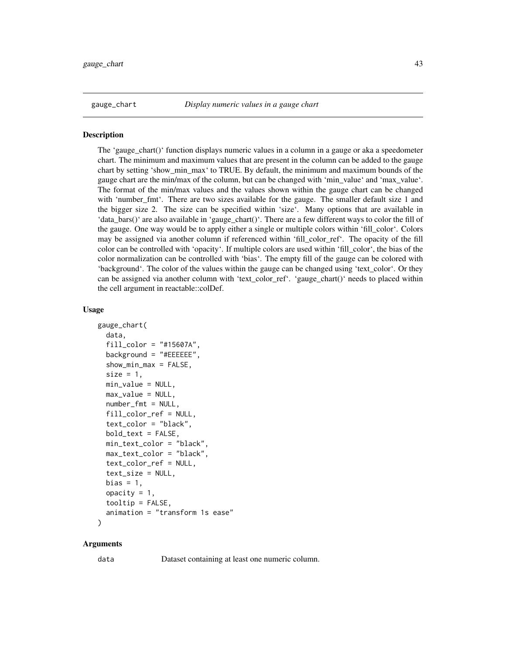The 'gauge\_chart()' function displays numeric values in a column in a gauge or aka a speedometer chart. The minimum and maximum values that are present in the column can be added to the gauge chart by setting 'show min max' to TRUE. By default, the minimum and maximum bounds of the gauge chart are the min/max of the column, but can be changed with 'min\_value' and 'max\_value'. The format of the min/max values and the values shown within the gauge chart can be changed with 'number\_fmt'. There are two sizes available for the gauge. The smaller default size 1 and the bigger size 2. The size can be specified within 'size'. Many options that are available in 'data\_bars()' are also available in 'gauge\_chart()'. There are a few different ways to color the fill of the gauge. One way would be to apply either a single or multiple colors within 'fill\_color'. Colors may be assigned via another column if referenced within 'fill\_color\_ref'. The opacity of the fill color can be controlled with 'opacity'. If multiple colors are used within 'fill\_color', the bias of the color normalization can be controlled with 'bias'. The empty fill of the gauge can be colored with 'background'. The color of the values within the gauge can be changed using 'text\_color'. Or they can be assigned via another column with 'text\_color\_ref'. 'gauge\_chart()' needs to placed within the cell argument in reactable::colDef.

### Usage

```
gauge_chart(
  data,
  fill\_color = "#15607A".
  background = "#EEEEEE",
  shown\_min\_max = FALSE,size = 1,
  min_value = NULL,
  max_value = NULL,
  number_fmt = NULL,
  fill_color_ref = NULL,
  text_color = "black",
  bold_text = FALSE,
  min_text_color = "black",
  max_text_color = "black",
  text_color_ref = NULL,
  text_size = NULL,
  bias = 1,
  opacity = 1,
  tooltip = FALSE,
  animation = "transform 1s ease"
)
```
#### Arguments

data Dataset containing at least one numeric column.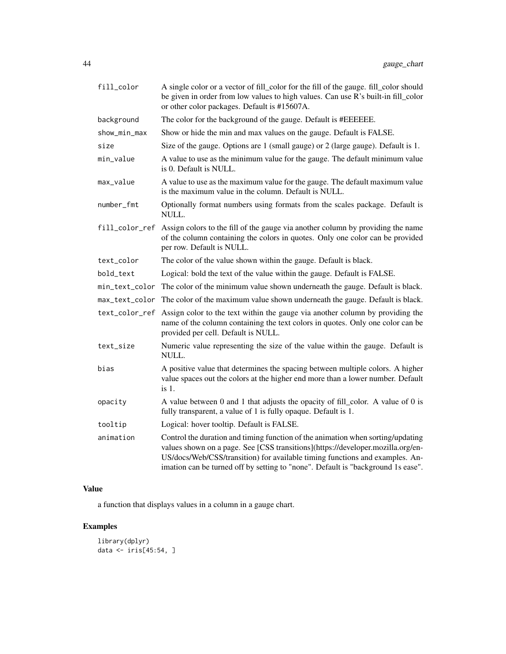| fill_color     | A single color or a vector of fill_color for the fill of the gauge. fill_color should<br>be given in order from low values to high values. Can use R's built-in fill_color<br>or other color packages. Default is #15607A.                                                                                                             |  |
|----------------|----------------------------------------------------------------------------------------------------------------------------------------------------------------------------------------------------------------------------------------------------------------------------------------------------------------------------------------|--|
| background     | The color for the background of the gauge. Default is #EEEEEE.                                                                                                                                                                                                                                                                         |  |
| show_min_max   | Show or hide the min and max values on the gauge. Default is FALSE.                                                                                                                                                                                                                                                                    |  |
| size           | Size of the gauge. Options are 1 (small gauge) or 2 (large gauge). Default is 1.                                                                                                                                                                                                                                                       |  |
| min_value      | A value to use as the minimum value for the gauge. The default minimum value<br>is 0. Default is NULL.                                                                                                                                                                                                                                 |  |
| max_value      | A value to use as the maximum value for the gauge. The default maximum value<br>is the maximum value in the column. Default is NULL.                                                                                                                                                                                                   |  |
| number_fmt     | Optionally format numbers using formats from the scales package. Default is<br>NULL.                                                                                                                                                                                                                                                   |  |
| fill_color_ref | Assign colors to the fill of the gauge via another column by providing the name<br>of the column containing the colors in quotes. Only one color can be provided<br>per row. Default is NULL.                                                                                                                                          |  |
| text_color     | The color of the value shown within the gauge. Default is black.                                                                                                                                                                                                                                                                       |  |
| bold_text      | Logical: bold the text of the value within the gauge. Default is FALSE.                                                                                                                                                                                                                                                                |  |
| min_text_color | The color of the minimum value shown underneath the gauge. Default is black.                                                                                                                                                                                                                                                           |  |
| max_text_color | The color of the maximum value shown underneath the gauge. Default is black.                                                                                                                                                                                                                                                           |  |
| text_color_ref | Assign color to the text within the gauge via another column by providing the<br>name of the column containing the text colors in quotes. Only one color can be<br>provided per cell. Default is NULL.                                                                                                                                 |  |
| text_size      | Numeric value representing the size of the value within the gauge. Default is<br>NULL.                                                                                                                                                                                                                                                 |  |
| bias           | A positive value that determines the spacing between multiple colors. A higher<br>value spaces out the colors at the higher end more than a lower number. Default<br>$is1$ .                                                                                                                                                           |  |
| opacity        | A value between 0 and 1 that adjusts the opacity of fill_color. A value of 0 is<br>fully transparent, a value of 1 is fully opaque. Default is 1.                                                                                                                                                                                      |  |
| tooltip        | Logical: hover tooltip. Default is FALSE.                                                                                                                                                                                                                                                                                              |  |
| animation      | Control the duration and timing function of the animation when sorting/updating<br>values shown on a page. See [CSS transitions](https://developer.mozilla.org/en-<br>US/docs/Web/CSS/transition) for available timing functions and examples. An-<br>imation can be turned off by setting to "none". Default is "background 1s ease". |  |

## Value

a function that displays values in a column in a gauge chart.

```
library(dplyr)
data <- iris[45:54, ]
```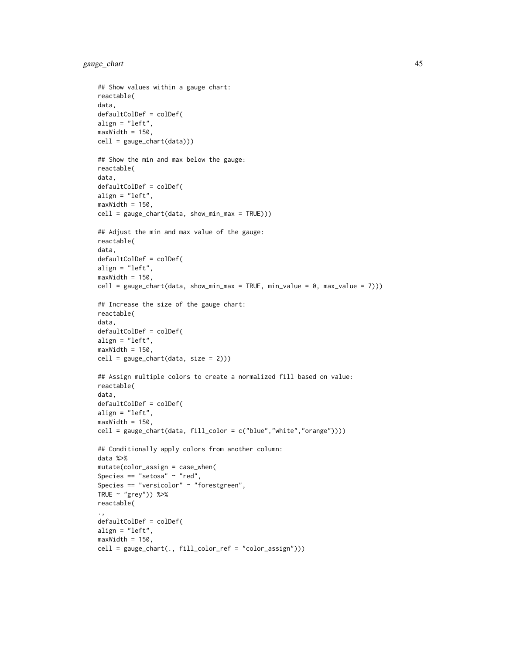gauge\_chart 45

```
## Show values within a gauge chart:
reactable(
data,
defaultColDef = colDef(
align = "left",
maxWidth = 150,cell = gauge_chart(data)))
## Show the min and max below the gauge:
reactable(
data,
defaultColDef = colDef(
align = "left",
maxWidth = 150,
cell = gauge_{chart}(data, show_{min\_max = TRUE} ))## Adjust the min and max value of the gauge:
reactable(
data,
defaultColDef = colDef(
align = "left",
maxWidth = 150,
cell = gauge_chart(data, show_min_max = TRUE, min_value = 0, max_value = 7)))
## Increase the size of the gauge chart:
reactable(
data,
defaultColDef = colDef(
align = "left",
maxWidth = 150,cell = gauge_chart(data, size = 2)))
## Assign multiple colors to create a normalized fill based on value:
reactable(
data,
defaultColDef = colDef(
align = "left",
maxWidth = 150,cell = gauge_chart(data, fill_color = c("blue","white","orange"))))
## Conditionally apply colors from another column:
data %>%
mutate(color_assign = case_when(
Species == "setosa" \sim "red",
Species == "versicolor" ~ "forestgreen",
TRUE \sim "grey")) %>%
reactable(
.,
defaultColDef = colDef(
align = "left",
maxWidth = 150,cell = gauge_chart(., fill_color_ref = "color_assign")))
```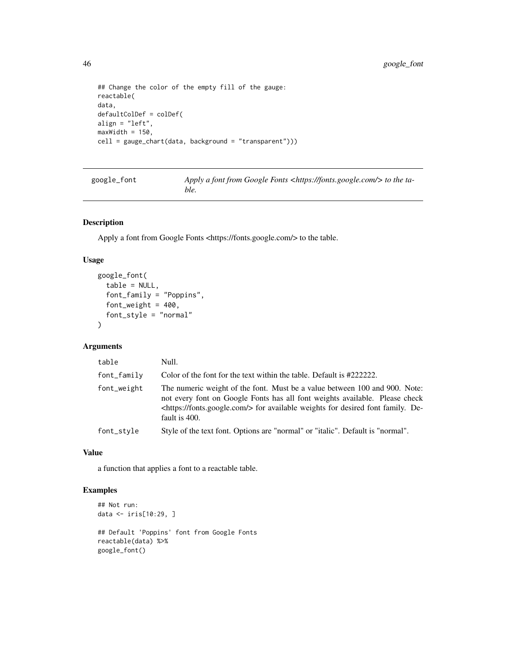```
## Change the color of the empty fill of the gauge:
reactable(
data,
defaultColDef = colDef(
align = "left",
maxWidth = 150,cell = gauge_chart(data, background = "transparent")))
```

| google_font | Apply a font from Google Fonts <https: fonts.google.com=""></https:> to the ta-<br>ble. |
|-------------|-----------------------------------------------------------------------------------------|
|-------------|-----------------------------------------------------------------------------------------|

Apply a font from Google Fonts <https://fonts.google.com/> to the table.

## Usage

```
google_font(
  table = NULL,
  font_family = "Poppins",
  font_weight = 400,
  font_style = "normal"
\lambda
```
## Arguments

| table            | Null.                                                                                                                                                                                                                                                                  |  |
|------------------|------------------------------------------------------------------------------------------------------------------------------------------------------------------------------------------------------------------------------------------------------------------------|--|
| $font$ $f$ amily | Color of the font for the text within the table. Default is #2222222.                                                                                                                                                                                                  |  |
| font_weight      | The numeric weight of the font. Must be a value between 100 and 900. Note:<br>not every font on Google Fonts has all font weights available. Please check<br><https: fonts.google.com=""></https:> for available weights for desired font family. De-<br>fault is 400. |  |
| font_style       | Style of the text font. Options are "normal" or "italic". Default is "normal".                                                                                                                                                                                         |  |

### Value

a function that applies a font to a reactable table.

```
## Not run:
data <- iris[10:29, ]
## Default 'Poppins' font from Google Fonts
reactable(data) %>%
google_font()
```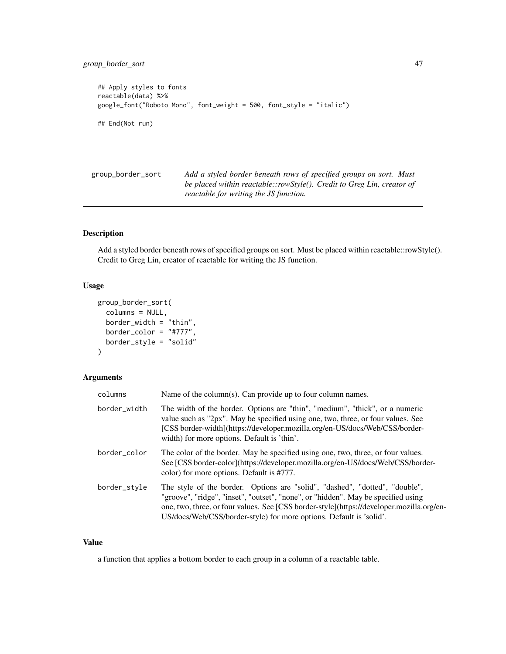```
## Apply styles to fonts
reactable(data) %>%
google_font("Roboto Mono", font_weight = 500, font_style = "italic")
## End(Not run)
```

| group_border_sort | Add a styled border beneath rows of specified groups on sort. Must     |
|-------------------|------------------------------------------------------------------------|
|                   | be placed within reactable::rowStyle(). Credit to Greg Lin, creator of |
|                   | reactable for writing the JS function.                                 |

Add a styled border beneath rows of specified groups on sort. Must be placed within reactable::rowStyle(). Credit to Greg Lin, creator of reactable for writing the JS function.

## Usage

```
group_border_sort(
  columns = NULL,
  border_width = "thin",
  border_color = "#777",
  border_style = "solid"
\mathcal{L}
```
## Arguments

| columns      | Name of the column(s). Can provide up to four column names.                                                                                                                                                                                                                                                                          |  |
|--------------|--------------------------------------------------------------------------------------------------------------------------------------------------------------------------------------------------------------------------------------------------------------------------------------------------------------------------------------|--|
| border_width | The width of the border. Options are "thin", "medium", "thick", or a numeric<br>value such as "2px". May be specified using one, two, three, or four values. See<br>[CSS border-width](https://developer.mozilla.org/en-US/docs/Web/CSS/border-<br>width) for more options. Default is 'thin'.                                       |  |
| border_color | The color of the border. May be specified using one, two, three, or four values.<br>See [CSS border-color](https://developer.mozilla.org/en-US/docs/Web/CSS/border-<br>color) for more options. Default is #777.                                                                                                                     |  |
| border_style | The style of the border. Options are "solid", "dashed", "dotted", "double",<br>"groove", "ridge", "inset", "outset", "none", or "hidden". May be specified using<br>one, two, three, or four values. See [CSS border-style](https://developer.mozilla.org/en-<br>US/docs/Web/CSS/border-style) for more options. Default is 'solid'. |  |

### Value

a function that applies a bottom border to each group in a column of a reactable table.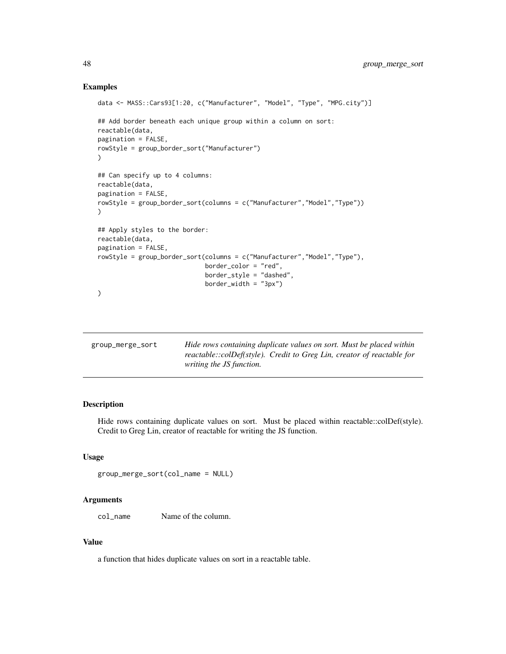### Examples

```
data <- MASS::Cars93[1:20, c("Manufacturer", "Model", "Type", "MPG.city")]
## Add border beneath each unique group within a column on sort:
reactable(data,
pagination = FALSE,
rowStyle = group_border_sort("Manufacturer")
)
## Can specify up to 4 columns:
reactable(data,
pagination = FALSE,
rowStyle = group_border_sort(columns = c("Manufacturer","Model","Type"))
)
## Apply styles to the border:
reactable(data,
pagination = FALSE,
rowStyle = group_border_sort(columns = c("Manufacturer","Model","Type"),
                             border_color = "red",
                             border_style = "dashed",
                             border\_width = "3px"))
```

| group_merge_sort | Hide rows containing duplicate values on sort. Must be placed within                                      |
|------------------|-----------------------------------------------------------------------------------------------------------|
|                  | reactable::colDef(style). Credit to Greg Lin, creator of reactable for<br><i>writing the JS function.</i> |
|                  |                                                                                                           |

## Description

Hide rows containing duplicate values on sort. Must be placed within reactable::colDef(style). Credit to Greg Lin, creator of reactable for writing the JS function.

## Usage

group\_merge\_sort(col\_name = NULL)

### Arguments

col\_name Name of the column.

#### Value

a function that hides duplicate values on sort in a reactable table.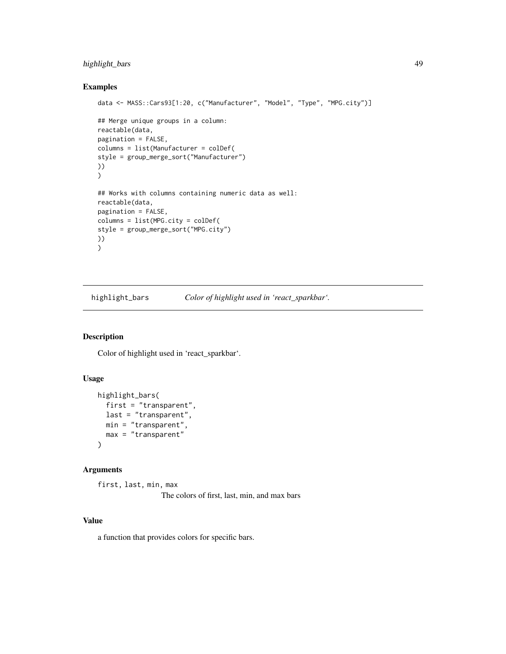## highlight\_bars 49

### Examples

```
data <- MASS::Cars93[1:20, c("Manufacturer", "Model", "Type", "MPG.city")]
## Merge unique groups in a column:
reactable(data,
pagination = FALSE,
columns = list(Manufacturer = colDef(
style = group_merge_sort("Manufacturer")
))
)
## Works with columns containing numeric data as well:
reactable(data,
pagination = FALSE,
columns = list(MPG.city = colDef(
style = group_merge_sort("MPG.city")
))
)
```
highlight\_bars *Color of highlight used in 'react\_sparkbar'.*

## Description

Color of highlight used in 'react\_sparkbar'.

### Usage

```
highlight_bars(
 first = "transparent",
 last = "transparent",
 min = "transparent",
 max = "transparent"
)
```
### Arguments

first, last, min, max The colors of first, last, min, and max bars

### Value

a function that provides colors for specific bars.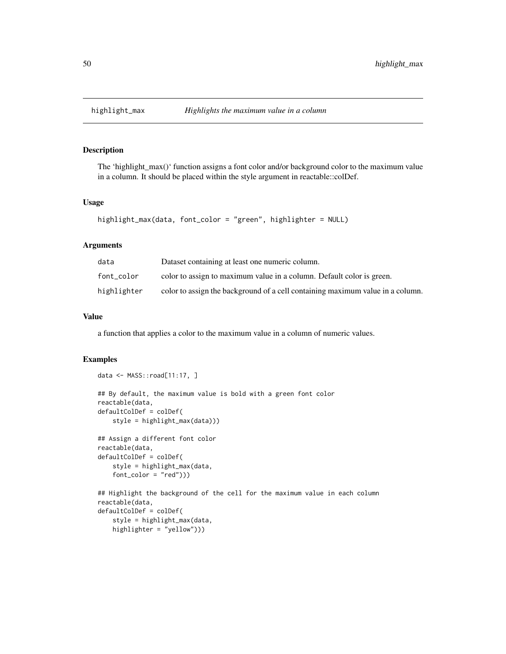The 'highlight\_max()' function assigns a font color and/or background color to the maximum value in a column. It should be placed within the style argument in reactable::colDef.

### Usage

```
highlight_max(data, font_color = "green", highlighter = NULL)
```
## Arguments

| data        | Dataset containing at least one numeric column.                                |
|-------------|--------------------------------------------------------------------------------|
| font color  | color to assign to maximum value in a column. Default color is green.          |
| highlighter | color to assign the background of a cell containing maximum value in a column. |

## Value

a function that applies a color to the maximum value in a column of numeric values.

### Examples

data <- MASS::road[11:17, ]

```
## By default, the maximum value is bold with a green font color
reactable(data,
defaultColDef = colDef(
   style = highlight_max(data)))
## Assign a different font color
reactable(data,
defaultColDef = colDef(
    style = highlight_max(data,
   font\_color = "red"))## Highlight the background of the cell for the maximum value in each column
reactable(data,
defaultColDef = colDef(
    style = highlight_max(data,
   highlighter = "yellow")))
```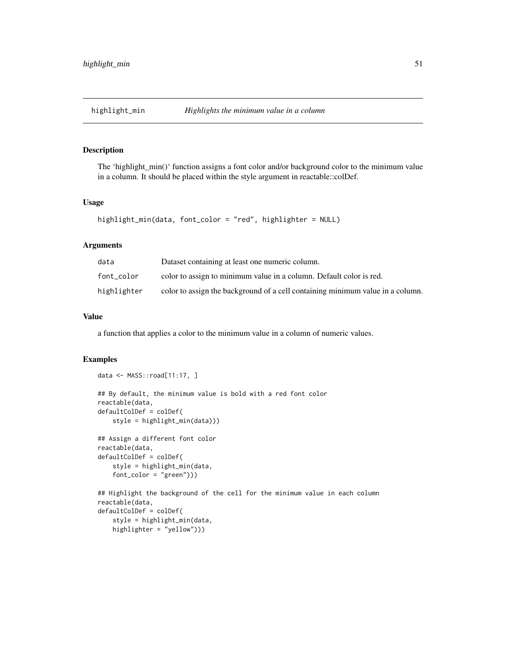The 'highlight\_min()' function assigns a font color and/or background color to the minimum value in a column. It should be placed within the style argument in reactable::colDef.

### Usage

```
highlight_min(data, font_color = "red", highlighter = NULL)
```
## Arguments

| data        | Dataset containing at least one numeric column.                                |
|-------------|--------------------------------------------------------------------------------|
| font color  | color to assign to minimum value in a column. Default color is red.            |
| highlighter | color to assign the background of a cell containing minimum value in a column. |

## Value

a function that applies a color to the minimum value in a column of numeric values.

```
data <- MASS::road[11:17, ]
## By default, the minimum value is bold with a red font color
reactable(data,
defaultColDef = colDef(
    style = highlight_min(data)))
## Assign a different font color
reactable(data,
defaultColDef = colDef(
    style = highlight_min(data,
    font_color = "green")))
## Highlight the background of the cell for the minimum value in each column
reactable(data,
defaultColDef = colDef(
    style = highlight_min(data,
    highlighter = "yellow")))
```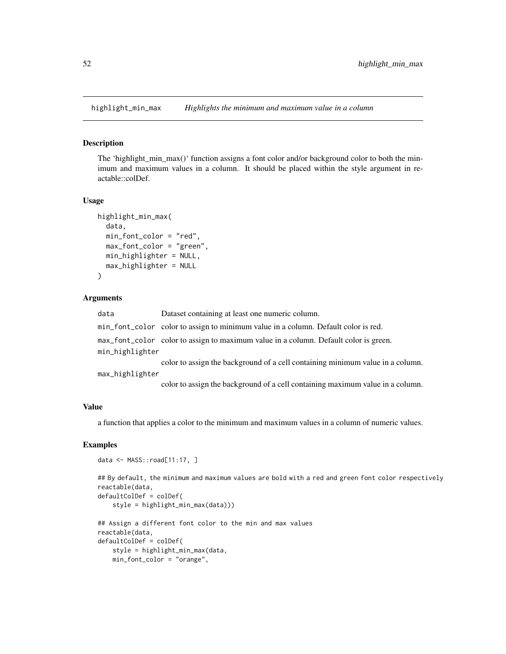The 'highlight\_min\_max()' function assigns a font color and/or background color to both the minimum and maximum values in a column. It should be placed within the style argument in reactable::colDef.

### Usage

```
highlight_min_max(
  data,
  min_font_color = "red",
  max_font_color = "green",
 min_highlighter = NULL,
  max_highlighter = NULL
)
```
#### Arguments

data Dataset containing at least one numeric column. min\_font\_color color to assign to minimum value in a column. Default color is red. max\_font\_color color to assign to maximum value in a column. Default color is green. min\_highlighter color to assign the background of a cell containing minimum value in a column. max\_highlighter

color to assign the background of a cell containing maximum value in a column.

## Value

a function that applies a color to the minimum and maximum values in a column of numeric values.

```
data <- MASS::road[11:17, ]
```

```
## By default, the minimum and maximum values are bold with a red and green font color respectively
reactable(data,
defaultColDef = colDef(
    style = highlight_min_max(data)))
## Assign a different font color to the min and max values
```

```
reactable(data,
defaultColDef = colDef(
   style = highlight_min_max(data,
   min_font_color = "orange",
```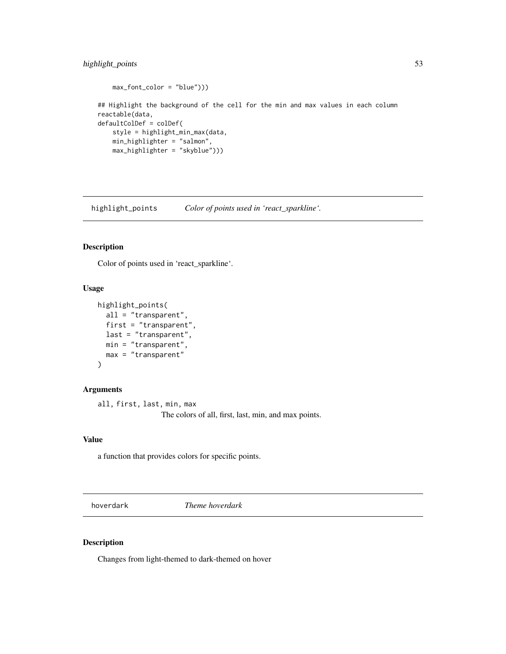## highlight\_points 53

```
max_font_color = "blue")))
## Highlight the background of the cell for the min and max values in each column
reactable(data,
defaultColDef = colDef(
   style = highlight_min_max(data,
   min_highlighter = "salmon",
   max_highlighter = "skyblue")))
```
highlight\_points *Color of points used in 'react\_sparkline'.*

### Description

Color of points used in 'react\_sparkline'.

## Usage

```
highlight_points(
  all = "transparent",
  first = "transparent",
  last = "transparent",
 min = "transparent",
 max = "transparent"
)
```
### Arguments

all, first, last, min, max

The colors of all, first, last, min, and max points.

## Value

a function that provides colors for specific points.

hoverdark *Theme hoverdark*

### Description

Changes from light-themed to dark-themed on hover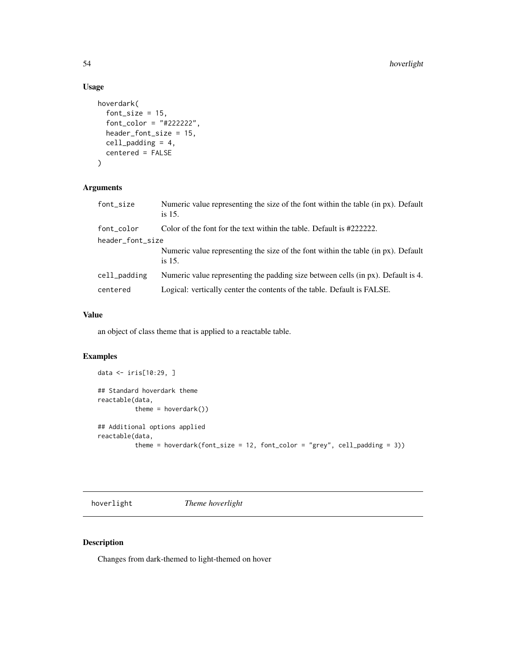## Usage

```
hoverdark(
  font\_size = 15,font\_color = "#222222",header_font_size = 15,
  cell_padding = 4,
  centered = FALSE
)
```
## Arguments

| font_size        | Numeric value representing the size of the font within the table (in px). Default<br>is $15$ . |  |
|------------------|------------------------------------------------------------------------------------------------|--|
| font_color       | Color of the font for the text within the table. Default is #2222222.                          |  |
| header_font_size |                                                                                                |  |
|                  | Numeric value representing the size of the font within the table (in px). Default<br>is $15$ . |  |
| cell_padding     | Numeric value representing the padding size between cells (in px). Default is 4.               |  |
| centered         | Logical: vertically center the contents of the table. Default is FALSE.                        |  |

## Value

an object of class theme that is applied to a reactable table.

## Examples

```
data <- iris[10:29, ]
## Standard hoverdark theme
reactable(data,
          theme = hoverdark())
## Additional options applied
reactable(data,
          theme = hoverdark(font_size = 12, font_color = "grey", cell_padding = 3))
```
hoverlight *Theme hoverlight*

## Description

Changes from dark-themed to light-themed on hover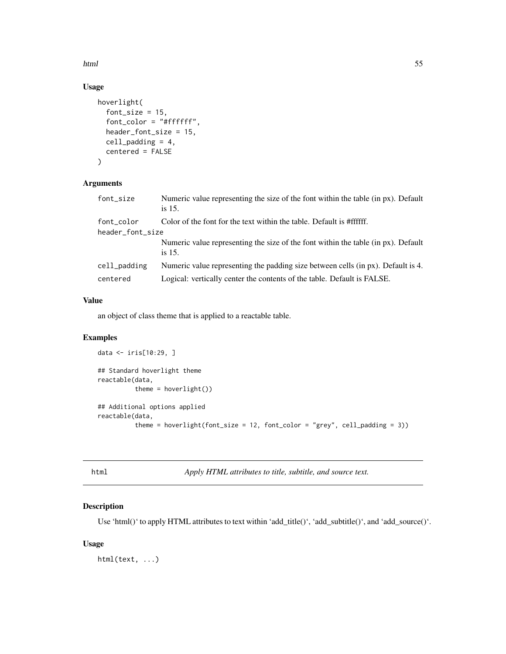html 55

## Usage

```
hoverlight(
  font_size = 15,
  font_color = "#ffffff",
 header_font_size = 15,
  cell_padding = 4,
  centered = FALSE
)
```
## Arguments

| font_size        | Numeric value representing the size of the font within the table (in px). Default<br>is 15. |
|------------------|---------------------------------------------------------------------------------------------|
| font color       | Color of the font for the text within the table. Default is #ffffff.                        |
| header_font_size |                                                                                             |
|                  | Numeric value representing the size of the font within the table (in px). Default<br>is 15. |
| cell_padding     | Numeric value representing the padding size between cells (in px). Default is 4.            |
| centered         | Logical: vertically center the contents of the table. Default is FALSE.                     |

## Value

an object of class theme that is applied to a reactable table.

## Examples

```
data <- iris[10:29, ]
## Standard hoverlight theme
reactable(data,
          theme = hoverlight())
## Additional options applied
reactable(data,
          theme = hoverlight(font_size = 12, font_color = "grey", cell_padding = 3))
```
html *Apply HTML attributes to title, subtitle, and source text.*

## Description

Use 'html()' to apply HTML attributes to text within 'add\_title()', 'add\_subtitle()', and 'add\_source()'.

## Usage

html(text, ...)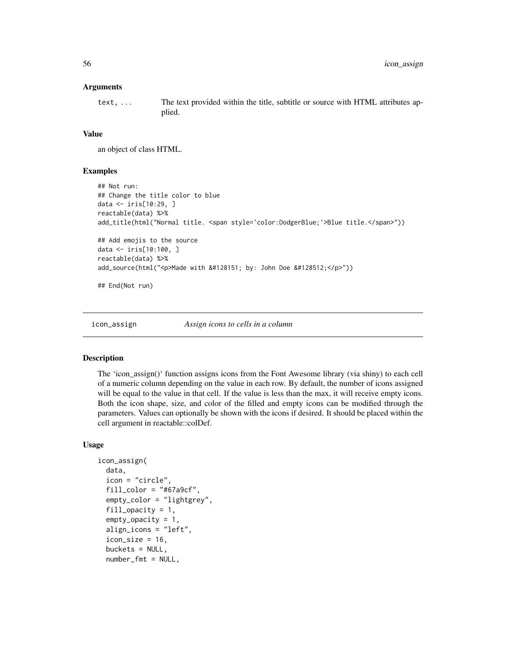### Arguments

text, ... The text provided within the title, subtitle or source with HTML attributes applied.

### Value

an object of class HTML.

### Examples

```
## Not run:
## Change the title color to blue
data <- iris[10:29, ]
reactable(data) %>%
add_title(html("Normal title. <span style='color:DodgerBlue;'>Blue title.</span>"))
## Add emojis to the source
data <- iris[10:100, ]
reactable(data) %>%
add_source(html("<p>Made with &#128151; by: John Doe &#128512;</p>"))
## End(Not run)
```
icon\_assign *Assign icons to cells in a column*

### **Description**

The 'icon\_assign()' function assigns icons from the Font Awesome library (via shiny) to each cell of a numeric column depending on the value in each row. By default, the number of icons assigned will be equal to the value in that cell. If the value is less than the max, it will receive empty icons. Both the icon shape, size, and color of the filled and empty icons can be modified through the parameters. Values can optionally be shown with the icons if desired. It should be placed within the cell argument in reactable::colDef.

### Usage

```
icon_assign(
  data,
  icon = "circle",
  fill\_color = "#67a9cf",empty_color = "lightgrey",
  fill\_opacity = 1,
  empty_opacity = 1,
  align_icons = "left",
  icon\_size = 16,
  buckets = NULL,
  number_fmt = NULL,
```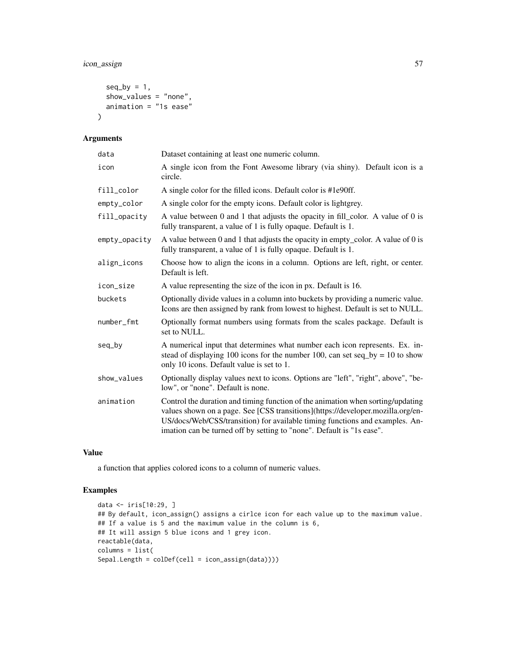## icon\_assign 57

```
seq_by = 1,
  show_values = "none",
  animation = "1s ease"
\mathcal{L}
```
## Arguments

| data          | Dataset containing at least one numeric column.                                                                                                                                                                                                                                                                             |
|---------------|-----------------------------------------------------------------------------------------------------------------------------------------------------------------------------------------------------------------------------------------------------------------------------------------------------------------------------|
| icon          | A single icon from the Font Awesome library (via shiny). Default icon is a<br>circle.                                                                                                                                                                                                                                       |
| fill_color    | A single color for the filled icons. Default color is #1e90ff.                                                                                                                                                                                                                                                              |
| empty_color   | A single color for the empty icons. Default color is lightgrey.                                                                                                                                                                                                                                                             |
| fill_opacity  | A value between 0 and 1 that adjusts the opacity in fill_color. A value of 0 is<br>fully transparent, a value of 1 is fully opaque. Default is 1.                                                                                                                                                                           |
| empty_opacity | A value between 0 and 1 that adjusts the opacity in empty_color. A value of 0 is<br>fully transparent, a value of 1 is fully opaque. Default is 1.                                                                                                                                                                          |
| align_icons   | Choose how to align the icons in a column. Options are left, right, or center.<br>Default is left.                                                                                                                                                                                                                          |
| icon_size     | A value representing the size of the icon in px. Default is 16.                                                                                                                                                                                                                                                             |
| buckets       | Optionally divide values in a column into buckets by providing a numeric value.<br>Icons are then assigned by rank from lowest to highest. Default is set to NULL.                                                                                                                                                          |
| number_fmt    | Optionally format numbers using formats from the scales package. Default is<br>set to NULL.                                                                                                                                                                                                                                 |
| seq_by        | A numerical input that determines what number each icon represents. Ex. in-<br>stead of displaying 100 icons for the number 100, can set seq_by = 10 to show<br>only 10 icons. Default value is set to 1.                                                                                                                   |
| show_values   | Optionally display values next to icons. Options are "left", "right", above", "be-<br>low", or "none". Default is none.                                                                                                                                                                                                     |
| animation     | Control the duration and timing function of the animation when sorting/updating<br>values shown on a page. See [CSS transitions](https://developer.mozilla.org/en-<br>US/docs/Web/CSS/transition) for available timing functions and examples. An-<br>imation can be turned off by setting to "none". Default is "1s ease". |

### Value

a function that applies colored icons to a column of numeric values.

```
data <- iris[10:29, ]
## By default, icon_assign() assigns a cirlce icon for each value up to the maximum value.
## If a value is 5 and the maximum value in the column is 6,
## It will assign 5 blue icons and 1 grey icon.
reactable(data,
columns = list(
Sepal.Length = colDef(cell = icon_assign(data))))
```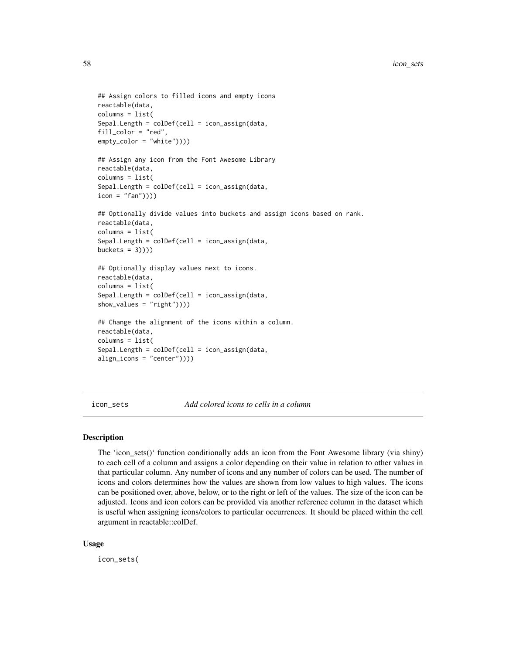```
## Assign colors to filled icons and empty icons
reactable(data,
columns = list(
Sepal.Length = colDef(cell = icon_assign(data,
fill_color = "red",
empty_color = "white"))))
## Assign any icon from the Font Awesome Library
reactable(data,
columns = list(
Sepal.Length = colDef(cell = icon_assign(data,
icon = "fan"))))
## Optionally divide values into buckets and assign icons based on rank.
reactable(data,
columns = list(
Sepal.Length = colDef(cell = icon_assign(data,
buckets = 3)))
## Optionally display values next to icons.
reactable(data,
columns = list(
Sepal.Length = colDef(cell = icon_assign(data,
show_values = "right"))))
## Change the alignment of the icons within a column.
```

```
reactable(data,
columns = list(
Sepal.Length = colDef(cell = icon_assign(data,
align_icons = "center"))))
```
icon\_sets *Add colored icons to cells in a column*

#### Description

The 'icon\_sets()' function conditionally adds an icon from the Font Awesome library (via shiny) to each cell of a column and assigns a color depending on their value in relation to other values in that particular column. Any number of icons and any number of colors can be used. The number of icons and colors determines how the values are shown from low values to high values. The icons can be positioned over, above, below, or to the right or left of the values. The size of the icon can be adjusted. Icons and icon colors can be provided via another reference column in the dataset which is useful when assigning icons/colors to particular occurrences. It should be placed within the cell argument in reactable::colDef.

#### Usage

icon\_sets(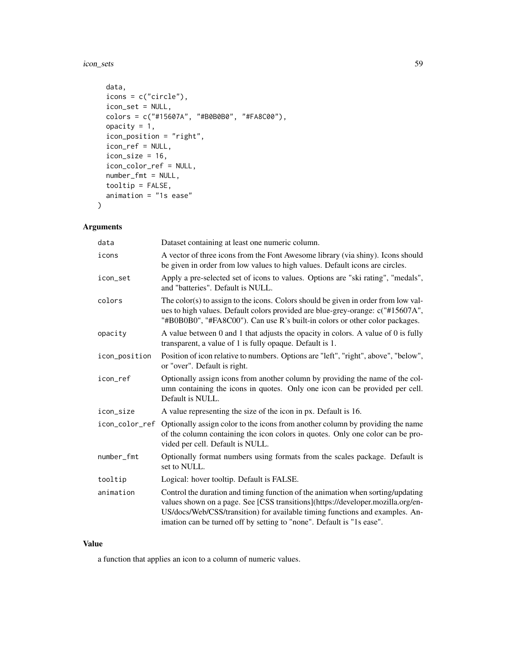icon\_sets 59

```
data,
  icons = c("circle"),
  icon_set = NULL,
 colors = c("#15607A", "#B0B0B0", "#FA8C00"),
  opacity = 1,
  icon_position = "right",
  icon_ref = NULL,
  icon\_size = 16,
  icon_color_ref = NULL,
 number_fmt = NULL,
  tooltip = FALSE,
  animation = "1s ease"
)
```
## Arguments

| data          | Dataset containing at least one numeric column.                                                                                                                                                                                                                                                                             |
|---------------|-----------------------------------------------------------------------------------------------------------------------------------------------------------------------------------------------------------------------------------------------------------------------------------------------------------------------------|
| icons         | A vector of three icons from the Font Awesome library (via shiny). Icons should<br>be given in order from low values to high values. Default icons are circles.                                                                                                                                                             |
| icon_set      | Apply a pre-selected set of icons to values. Options are "ski rating", "medals",<br>and "batteries". Default is NULL.                                                                                                                                                                                                       |
| colors        | The color(s) to assign to the icons. Colors should be given in order from low val-<br>ues to high values. Default colors provided are blue-grey-orange: c("#15607A",<br>"#B0B0B0", "#FA8C00"). Can use R's built-in colors or other color packages.                                                                         |
| opacity       | A value between 0 and 1 that adjusts the opacity in colors. A value of 0 is fully<br>transparent, a value of 1 is fully opaque. Default is 1.                                                                                                                                                                               |
| icon_position | Position of icon relative to numbers. Options are "left", "right", above", "below",<br>or "over". Default is right.                                                                                                                                                                                                         |
| icon ref      | Optionally assign icons from another column by providing the name of the col-<br>umn containing the icons in quotes. Only one icon can be provided per cell.<br>Default is NULL.                                                                                                                                            |
| icon_size     | A value representing the size of the icon in px. Default is 16.                                                                                                                                                                                                                                                             |
|               | icon_color_ref Optionally assign color to the icons from another column by providing the name<br>of the column containing the icon colors in quotes. Only one color can be pro-<br>vided per cell. Default is NULL.                                                                                                         |
| number_fmt    | Optionally format numbers using formats from the scales package. Default is<br>set to NULL.                                                                                                                                                                                                                                 |
| tooltip       | Logical: hover tooltip. Default is FALSE.                                                                                                                                                                                                                                                                                   |
| animation     | Control the duration and timing function of the animation when sorting/updating<br>values shown on a page. See [CSS transitions](https://developer.mozilla.org/en-<br>US/docs/Web/CSS/transition) for available timing functions and examples. An-<br>imation can be turned off by setting to "none". Default is "1s ease". |

## Value

a function that applies an icon to a column of numeric values.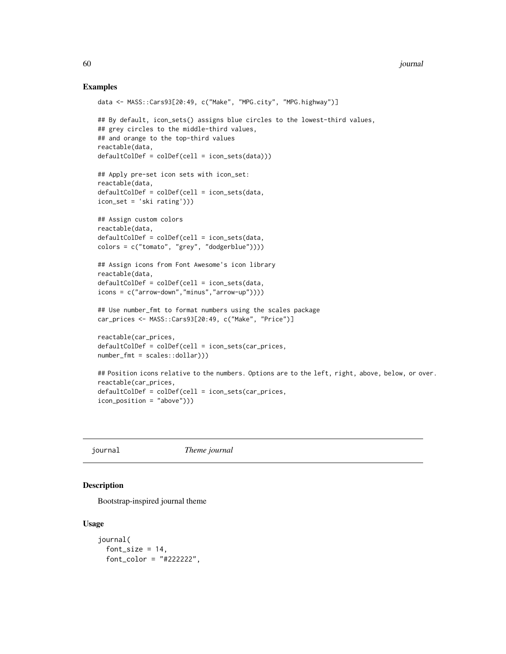### Examples

```
data <- MASS::Cars93[20:49, c("Make", "MPG.city", "MPG.highway")]
## By default, icon_sets() assigns blue circles to the lowest-third values,
## grey circles to the middle-third values,
## and orange to the top-third values
reactable(data,
defaultColDef = colDef(cell = icon_sets(data)))
## Apply pre-set icon sets with icon_set:
reactable(data,
defaultColDef = colDef(cell = icon_sets(data,
icon_set = 'ski rating')))
## Assign custom colors
reactable(data,
defaultColDef = colDef(cell = icon_sets(data,
colors = c("tomato", "grey", "dodgerblue"))))
## Assign icons from Font Awesome's icon library
reactable(data,
defaultColDef = colDef(cell = icon_sets(data,
icons = c("arrow-down","minus","arrow-up"))))
## Use number_fmt to format numbers using the scales package
car_prices <- MASS::Cars93[20:49, c("Make", "Price")]
reactable(car_prices,
defaultColDef = colDef(cell = icon_sets(car_prices,
number_fmt = scales::dollar)))
## Position icons relative to the numbers. Options are to the left, right, above, below, or over.
reactable(car_prices,
defaultColDef = colDef(cell = icon_sets(car_prices,
icon_position = "above")))
```
journal *Theme journal*

### Description

Bootstrap-inspired journal theme

#### Usage

```
journal(
 font_size = 14,
 font_color = "#222222",
```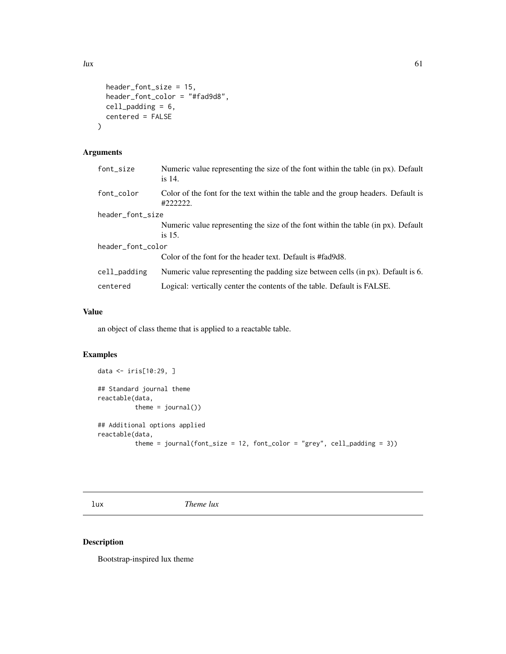$\ln x$  61

```
header_font_size = 15,
header_font_color = "#fad9d8",
cell_padding = 6,
centered = FALSE
```
## Arguments

)

| font_size         | Numeric value representing the size of the font within the table (in px). Default<br>is $14$ . |  |
|-------------------|------------------------------------------------------------------------------------------------|--|
| font color        | Color of the font for the text within the table and the group headers. Default is<br>#222222.  |  |
| header_font_size  |                                                                                                |  |
|                   | Numeric value representing the size of the font within the table (in px). Default              |  |
|                   | is 15.                                                                                         |  |
| header_font_color |                                                                                                |  |
|                   | Color of the font for the header text. Default is #fad9d8.                                     |  |
| cell_padding      | Numeric value representing the padding size between cells (in px). Default is 6.               |  |
| centered          | Logical: vertically center the contents of the table. Default is FALSE.                        |  |

## Value

an object of class theme that is applied to a reactable table.

## Examples

```
data <- iris[10:29, ]
## Standard journal theme
reactable(data,
          theme = journal()## Additional options applied
reactable(data,
          theme = journal(font_size = 12, font_color = "grey", cell_padding = 3))
```
lux *Theme lux*

## Description

Bootstrap-inspired lux theme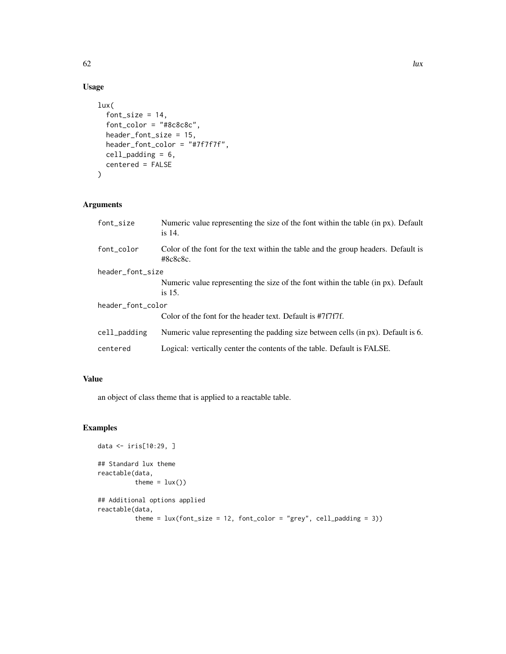## Usage

```
lux(
  font_size = 14,
  font_color = "#8c8c8c",
  header_font_size = 15,
  header_font_color = "#7f7f7f",
  cell_padding = 6,
  centered = FALSE
)
```
## Arguments

| font_size         | Numeric value representing the size of the font within the table (in px). Default<br>is $14$ . |  |
|-------------------|------------------------------------------------------------------------------------------------|--|
| font_color        | Color of the font for the text within the table and the group headers. Default is<br>#8c8c8c.  |  |
| header_font_size  |                                                                                                |  |
|                   | Numeric value representing the size of the font within the table (in px). Default<br>is $15$ . |  |
| header_font_color |                                                                                                |  |
|                   | Color of the font for the header text. Default is #7f7f7f.                                     |  |
| cell_padding      | Numeric value representing the padding size between cells (in px). Default is 6.               |  |
| centered          | Logical: vertically center the contents of the table. Default is FALSE.                        |  |

## Value

an object of class theme that is applied to a reactable table.

```
data <- iris[10:29, ]
## Standard lux theme
reactable(data,
         theme = lux()## Additional options applied
reactable(data,
          theme = lux(font_size = 12, font\_color = "grey", cell_padding = 3))
```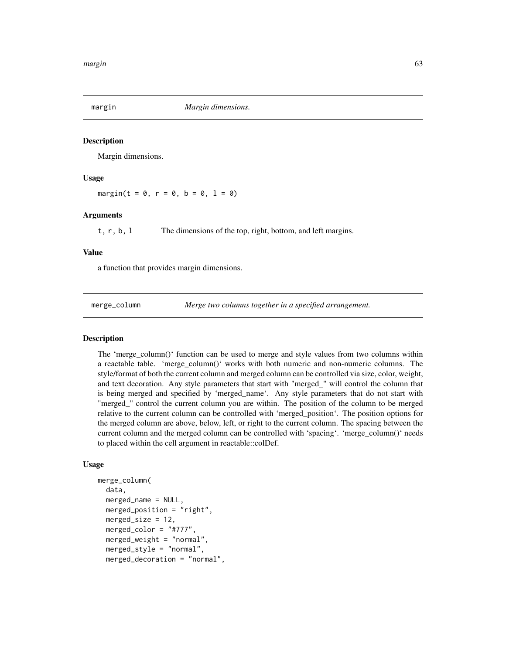Margin dimensions.

### Usage

 $margin(t = 0, r = 0, b = 0, 1 = 0)$ 

### Arguments

t, r, b, l The dimensions of the top, right, bottom, and left margins.

#### Value

a function that provides margin dimensions.

merge\_column *Merge two columns together in a specified arrangement.*

### Description

The 'merge\_column()' function can be used to merge and style values from two columns within a reactable table. 'merge\_column()' works with both numeric and non-numeric columns. The style/format of both the current column and merged column can be controlled via size, color, weight, and text decoration. Any style parameters that start with "merged\_" will control the column that is being merged and specified by 'merged\_name'. Any style parameters that do not start with "merged\_" control the current column you are within. The position of the column to be merged relative to the current column can be controlled with 'merged\_position'. The position options for the merged column are above, below, left, or right to the current column. The spacing between the current column and the merged column can be controlled with 'spacing'. 'merge\_column()' needs to placed within the cell argument in reactable::colDef.

### Usage

```
merge_column(
  data,
  merged_name = NULL,
 merged_position = "right",
 merged_size = 12,
 merged_color = "#777",
 merged_weight = "normal",
 merged_style = "normal",
 merged_decoration = "normal",
```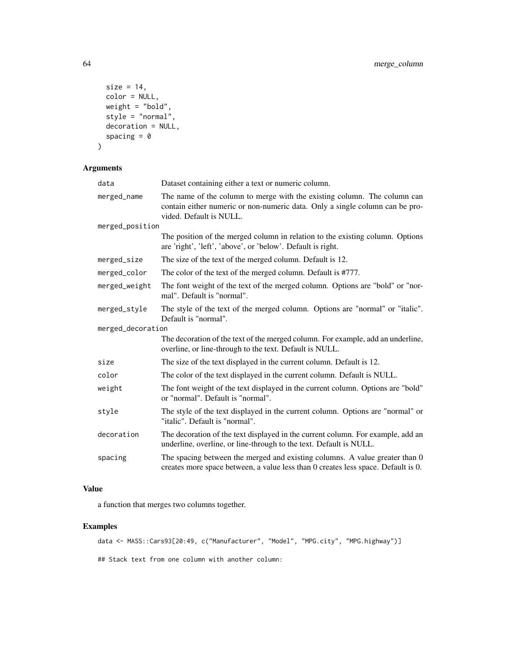```
size = 14,
color = NULL,
weight = "bold",
style = "normal",
decoration = NULL,
spacing = \theta
```
)

## Arguments

| data              | Dataset containing either a text or numeric column.                                                                                                                                 |
|-------------------|-------------------------------------------------------------------------------------------------------------------------------------------------------------------------------------|
| merged_name       | The name of the column to merge with the existing column. The column can<br>contain either numeric or non-numeric data. Only a single column can be pro-<br>vided. Default is NULL. |
| merged_position   |                                                                                                                                                                                     |
|                   | The position of the merged column in relation to the existing column. Options<br>are 'right', 'left', 'above', or 'below'. Default is right.                                        |
| merged_size       | The size of the text of the merged column. Default is 12.                                                                                                                           |
| merged_color      | The color of the text of the merged column. Default is #777.                                                                                                                        |
| merged_weight     | The font weight of the text of the merged column. Options are "bold" or "nor-<br>mal". Default is "normal".                                                                         |
| merged_style      | The style of the text of the merged column. Options are "normal" or "italic".<br>Default is "normal".                                                                               |
| merged_decoration |                                                                                                                                                                                     |
|                   | The decoration of the text of the merged column. For example, add an underline,<br>overline, or line-through to the text. Default is NULL.                                          |
| size              | The size of the text displayed in the current column. Default is 12.                                                                                                                |
| color             | The color of the text displayed in the current column. Default is NULL.                                                                                                             |
| weight            | The font weight of the text displayed in the current column. Options are "bold"<br>or "normal". Default is "normal".                                                                |
| style             | The style of the text displayed in the current column. Options are "normal" or<br>"italic". Default is "normal".                                                                    |
| decoration        | The decoration of the text displayed in the current column. For example, add an<br>underline, overline, or line-through to the text. Default is NULL.                               |
| spacing           | The spacing between the merged and existing columns. A value greater than 0<br>creates more space between, a value less than 0 creates less space. Default is 0.                    |

### Value

a function that merges two columns together.

## Examples

data <- MASS::Cars93[20:49, c("Manufacturer", "Model", "MPG.city", "MPG.highway")]

## Stack text from one column with another column: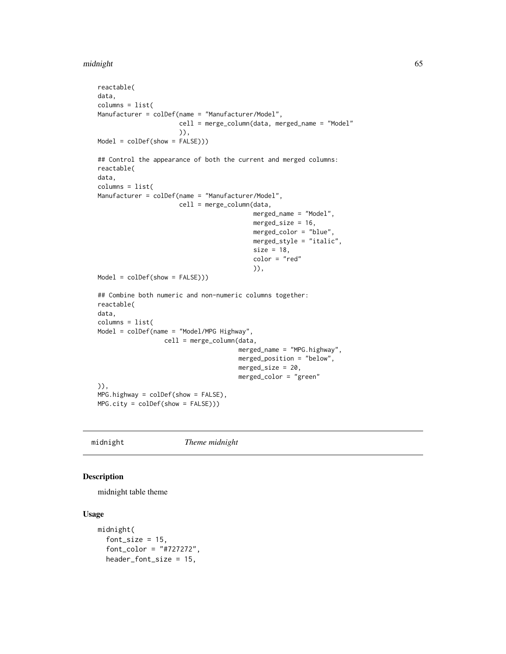#### midnight 65

```
reactable(
data,
columns = list(
Manufacturer = colDef(name = "Manufacturer/Model",
                      cell = merge_column(data, merged_name = "Model"
                      )),
Model = colDef(show = FALSE)))
## Control the appearance of both the current and merged columns:
reactable(
data,
columns = list(
Manufacturer = colDef(name = "Manufacturer/Model",
                      cell = merge_column(data,
                                          merged_name = "Model",
                                          merged_size = 16,
                                          merged_color = "blue",
                                          merged_style = "italic",
                                          size = 18,
                                          color = "red"
                                          )),
Model = colDef(show = FALSE)))
## Combine both numeric and non-numeric columns together:
reactable(
data,
columns = list(
Model = colDef(name = "Model/MPG Highway",
                  cell = merge_column(data,
                                      merged_name = "MPG.highway",
                                      merged_position = "below",
                                      merged_size = 20,
                                      merged_color = "green"
)),
MPG.highway = colDef(show = FALSE),
MPG.city = colDef(show = FALSE)))
```
midnight *Theme midnight*

## Description

midnight table theme

#### Usage

```
midnight(
  font_size = 15,
  font_color = "#727272",
  header_font_size = 15,
```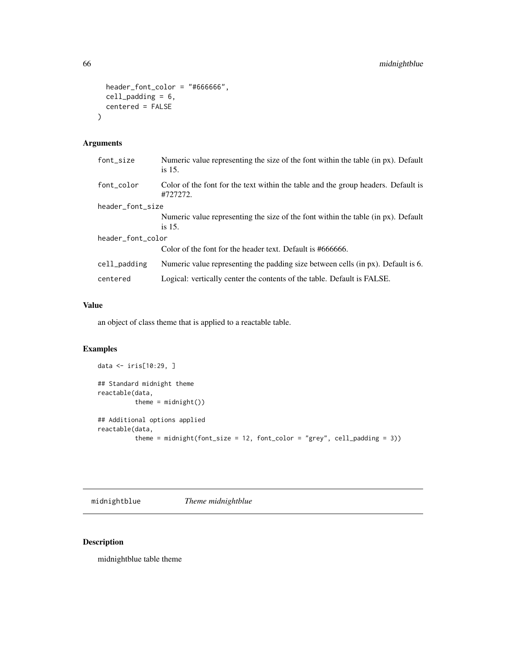```
header_font_color = "#666666",cell_padding = 6,
  centered = FALSE
\mathcal{L}
```
## Arguments

| font_size         | Numeric value representing the size of the font within the table (in px). Default<br>is 15.   |
|-------------------|-----------------------------------------------------------------------------------------------|
| font_color        | Color of the font for the text within the table and the group headers. Default is<br>#727272. |
| header_font_size  |                                                                                               |
|                   | Numeric value representing the size of the font within the table (in px). Default             |
|                   | is 15.                                                                                        |
| header_font_color |                                                                                               |
|                   | Color of the font for the header text. Default is #666666.                                    |
| cell_padding      | Numeric value representing the padding size between cells (in px). Default is 6.              |
| centered          | Logical: vertically center the contents of the table. Default is FALSE.                       |

## Value

an object of class theme that is applied to a reactable table.

## Examples

```
data <- iris[10:29, ]
## Standard midnight theme
reactable(data,
         theme = mid()## Additional options applied
reactable(data,
         theme = midnight(font_size = 12, font_color = "grey", cell_padding = 3))
```
midnightblue *Theme midnightblue*

## Description

midnightblue table theme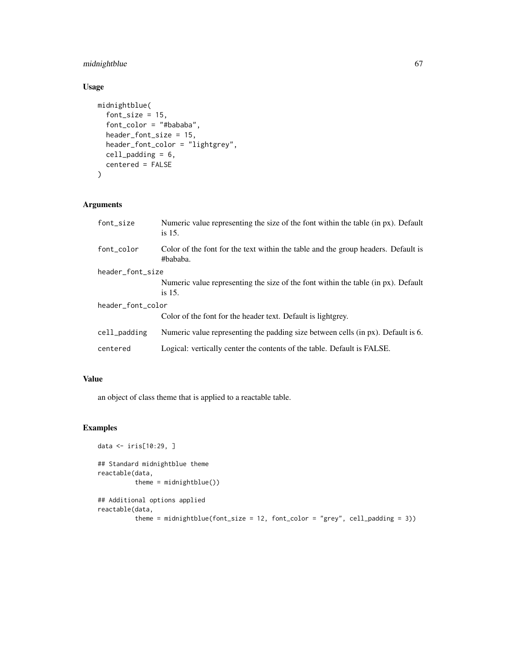## midnightblue 67

## Usage

```
midnightblue(
  font_size = 15,
  font_color = "#bababa",
 header_font_size = 15,
 header_font_color = "lightgrey",
 cell_padding = 6,
 centered = FALSE
)
```
## Arguments

| font_size         | Numeric value representing the size of the font within the table (in px). Default<br>is $15$ . |  |
|-------------------|------------------------------------------------------------------------------------------------|--|
| font_color        | Color of the font for the text within the table and the group headers. Default is<br>#bababa.  |  |
| header_font_size  |                                                                                                |  |
|                   | Numeric value representing the size of the font within the table (in px). Default<br>is $15$ . |  |
| header_font_color |                                                                                                |  |
|                   | Color of the font for the header text. Default is lightgrey.                                   |  |
| cell_padding      | Numeric value representing the padding size between cells (in px). Default is 6.               |  |
| centered          | Logical: vertically center the contents of the table. Default is FALSE.                        |  |

## Value

an object of class theme that is applied to a reactable table.

```
data <- iris[10:29, ]
## Standard midnightblue theme
reactable(data,
         theme = midnightblue())
## Additional options applied
reactable(data,
          theme = midnightblue(font_size = 12, font_color = "grey", cell_padding = 3))
```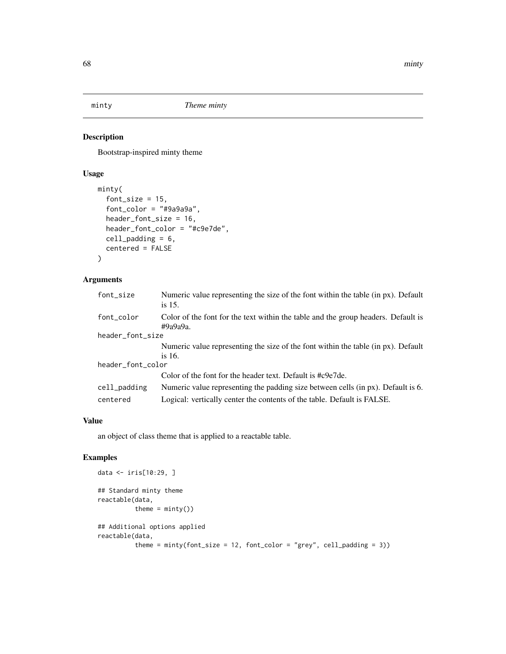Bootstrap-inspired minty theme

## Usage

```
minty(
  font_size = 15,
  font_color = "#9a9a9a",
  header_font_size = 16,
  header_font_color = "#c9e7de",
  cell_padding = 6,
  centered = FALSE
)
```
## Arguments

| font_size         | Numeric value representing the size of the font within the table (in px). Default<br>is $15$ .    |  |
|-------------------|---------------------------------------------------------------------------------------------------|--|
| font_color        | Color of the font for the text within the table and the group headers. Default is<br>$\#9a9a9a$ . |  |
| header_font_size  |                                                                                                   |  |
|                   | Numeric value representing the size of the font within the table (in px). Default                 |  |
|                   | is 16.                                                                                            |  |
| header_font_color |                                                                                                   |  |
|                   | Color of the font for the header text. Default is #c9e7de.                                        |  |
| cell_padding      | Numeric value representing the padding size between cells (in px). Default is 6.                  |  |
| centered          | Logical: vertically center the contents of the table. Default is FALSE.                           |  |

### Value

an object of class theme that is applied to a reactable table.

```
data <- iris[10:29, ]
## Standard minty theme
reactable(data,
         theme = min(y()## Additional options applied
reactable(data,
          theme = minty(font_size = 12, font_color = "grey", cell_padding = 3))
```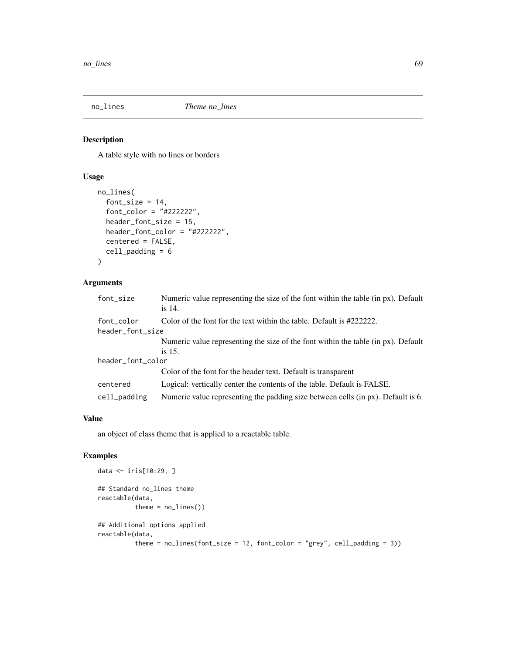A table style with no lines or borders

## Usage

```
no_lines(
  font_size = 14,
  font_color = "#222222",
  header_font_size = 15,
  header_font_color = "#222222",
  centered = FALSE,
  cell_padding = 6
)
```
### Arguments

| font_size         | Numeric value representing the size of the font within the table (in px). Default<br>is 14. |  |
|-------------------|---------------------------------------------------------------------------------------------|--|
| font_color        | Color of the font for the text within the table. Default is #2222222.                       |  |
| header_font_size  |                                                                                             |  |
|                   | Numeric value representing the size of the font within the table (in px). Default           |  |
|                   | is $15$ .                                                                                   |  |
| header_font_color |                                                                                             |  |
|                   | Color of the font for the header text. Default is transparent                               |  |
| centered          | Logical: vertically center the contents of the table. Default is FALSE.                     |  |
| cell_padding      | Numeric value representing the padding size between cells (in px). Default is 6.            |  |

## Value

an object of class theme that is applied to a reactable table.

```
data <- iris[10:29, ]
## Standard no_lines theme
reactable(data,
          theme = no_{{\text{lines}}}()## Additional options applied
reactable(data,
          theme = no\_lines(font\_size = 12, font\_color = "grey", cell\_padding = 3))
```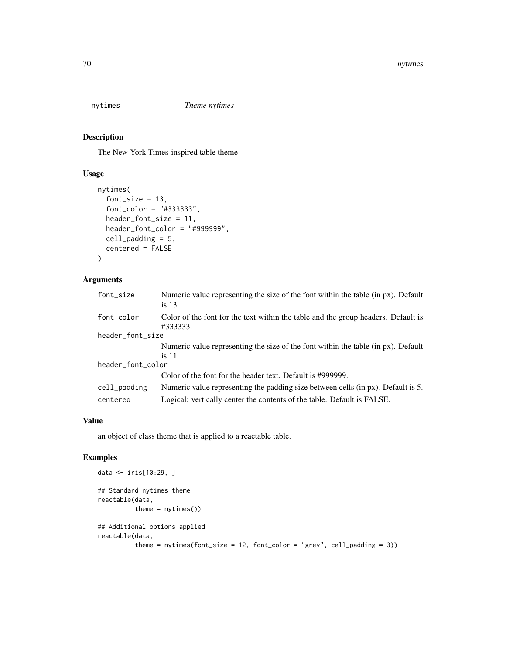The New York Times-inspired table theme

## Usage

```
nytimes(
  font\_size = 13,font_color = "#333333",
 header_font_size = 11,
  header_font_color = "#999999",
  cell_padding = 5,
  centered = FALSE
\mathcal{L}
```
## Arguments

| font_size         | Numeric value representing the size of the font within the table (in px). Default<br>is 13.   |  |
|-------------------|-----------------------------------------------------------------------------------------------|--|
| font_color        | Color of the font for the text within the table and the group headers. Default is<br>#333333. |  |
| header_font_size  |                                                                                               |  |
|                   | Numeric value representing the size of the font within the table (in px). Default             |  |
|                   | is 11.                                                                                        |  |
| header_font_color |                                                                                               |  |
|                   | Color of the font for the header text. Default is #999999.                                    |  |
| cell_padding      | Numeric value representing the padding size between cells (in px). Default is 5.              |  |
| centered          | Logical: vertically center the contents of the table. Default is FALSE.                       |  |

### Value

an object of class theme that is applied to a reactable table.

```
data <- iris[10:29, ]
## Standard nytimes theme
reactable(data,
         theme = nytimes()## Additional options applied
reactable(data,
          theme = nytimes(font_size = 12, font_color = "grey", cell_padding = 3))
```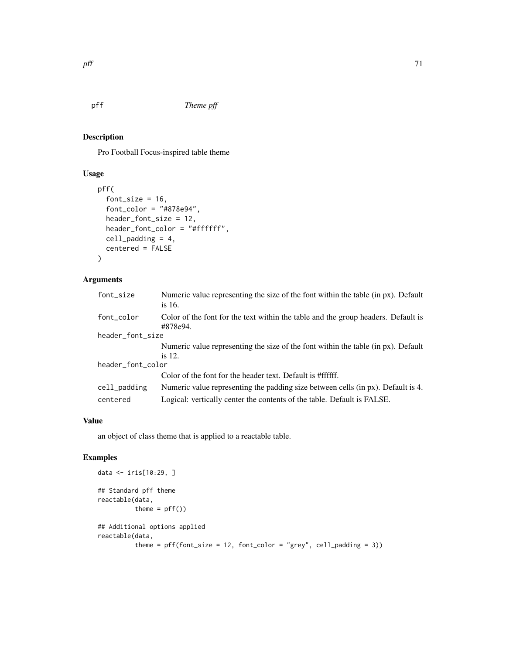Pro Football Focus-inspired table theme

## Usage

```
pff(
  font_size = 16,
  font_color = "#878e94",
  header_font_size = 12,
  header_font_color = "#ffffff",
  cell_padding = 4,
  centered = FALSE
)
```
## Arguments

| font_size         | Numeric value representing the size of the font within the table (in px). Default<br>is $16.$ |  |
|-------------------|-----------------------------------------------------------------------------------------------|--|
| font_color        | Color of the font for the text within the table and the group headers. Default is<br>#878e94. |  |
| header_font_size  |                                                                                               |  |
|                   | Numeric value representing the size of the font within the table (in px). Default             |  |
|                   | is 12.                                                                                        |  |
| header_font_color |                                                                                               |  |
|                   | Color of the font for the header text. Default is #ffffff.                                    |  |
| cell_padding      | Numeric value representing the padding size between cells (in px). Default is 4.              |  |
| centered          | Logical: vertically center the contents of the table. Default is FALSE.                       |  |

### Value

an object of class theme that is applied to a reactable table.

```
data <- iris[10:29, ]
## Standard pff theme
reactable(data,
          theme = pff()## Additional options applied
reactable(data,
          theme = pf(font_size = 12, font\_color = "grey", cell_padding = 3))
```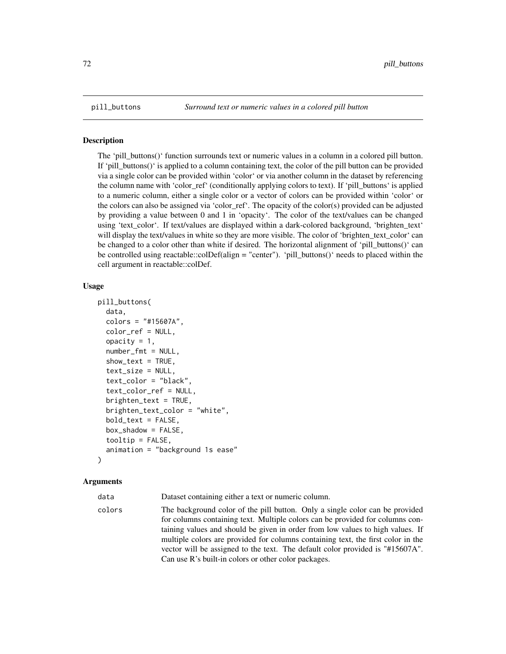The 'pill buttons()' function surrounds text or numeric values in a column in a colored pill button. If 'pill buttons()' is applied to a column containing text, the color of the pill button can be provided via a single color can be provided within 'color' or via another column in the dataset by referencing the column name with 'color\_ref' (conditionally applying colors to text). If 'pill\_buttons' is applied to a numeric column, either a single color or a vector of colors can be provided within 'color' or the colors can also be assigned via 'color\_ref'. The opacity of the color(s) provided can be adjusted by providing a value between 0 and 1 in 'opacity'. The color of the text/values can be changed using 'text\_color'. If text/values are displayed within a dark-colored background, 'brighten\_text' will display the text/values in white so they are more visible. The color of 'brighten\_text\_color' can be changed to a color other than white if desired. The horizontal alignment of 'pill\_buttons()' can be controlled using reactable::colDef(align = "center"). 'pill\_buttons()' needs to placed within the cell argument in reactable::colDef.

### Usage

```
pill_buttons(
  data,
  colors = "#15607A",
  color_ref = NULL,
  opacity = 1,
  number\_fmt = NULL,show\_text = TRUE,text_size = NULL,
  text_color = "black",
  text_color_ref = NULL,
  brighten_test = TRUE,brighten_text_color = "white",
  bold_{\text{text}} = FALSE,
  box_shadow = FALSE,
  tooltip = FALSE,
  animation = "background 1s ease"
)
```
#### Arguments

data Dataset containing either a text or numeric column.

colors The background color of the pill button. Only a single color can be provided for columns containing text. Multiple colors can be provided for columns containing values and should be given in order from low values to high values. If multiple colors are provided for columns containing text, the first color in the vector will be assigned to the text. The default color provided is "#15607A". Can use R's built-in colors or other color packages.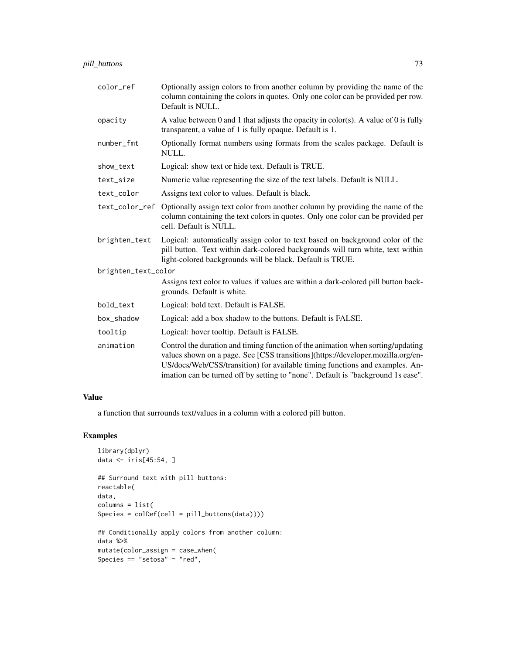| pill buttons | 70 |
|--------------|----|
|              | د، |

| color_ref           | Optionally assign colors to from another column by providing the name of the<br>column containing the colors in quotes. Only one color can be provided per row.<br>Default is NULL.                                                                                                                                                    |
|---------------------|----------------------------------------------------------------------------------------------------------------------------------------------------------------------------------------------------------------------------------------------------------------------------------------------------------------------------------------|
| opacity             | A value between 0 and 1 that adjusts the opacity in color(s). A value of 0 is fully<br>transparent, a value of 1 is fully opaque. Default is 1.                                                                                                                                                                                        |
| number_fmt          | Optionally format numbers using formats from the scales package. Default is<br>NULL.                                                                                                                                                                                                                                                   |
| show_text           | Logical: show text or hide text. Default is TRUE.                                                                                                                                                                                                                                                                                      |
| text_size           | Numeric value representing the size of the text labels. Default is NULL.                                                                                                                                                                                                                                                               |
| text_color          | Assigns text color to values. Default is black.                                                                                                                                                                                                                                                                                        |
| text_color_ref      | Optionally assign text color from another column by providing the name of the<br>column containing the text colors in quotes. Only one color can be provided per<br>cell. Default is NULL.                                                                                                                                             |
| brighten_text       | Logical: automatically assign color to text based on background color of the<br>pill button. Text within dark-colored backgrounds will turn white, text within<br>light-colored backgrounds will be black. Default is TRUE.                                                                                                            |
| brighten_text_color |                                                                                                                                                                                                                                                                                                                                        |
|                     | Assigns text color to values if values are within a dark-colored pill button back-<br>grounds. Default is white.                                                                                                                                                                                                                       |
| bold_text           | Logical: bold text. Default is FALSE.                                                                                                                                                                                                                                                                                                  |
| box_shadow          | Logical: add a box shadow to the buttons. Default is FALSE.                                                                                                                                                                                                                                                                            |
| tooltip             | Logical: hover tooltip. Default is FALSE.                                                                                                                                                                                                                                                                                              |
| animation           | Control the duration and timing function of the animation when sorting/updating<br>values shown on a page. See [CSS transitions](https://developer.mozilla.org/en-<br>US/docs/Web/CSS/transition) for available timing functions and examples. An-<br>imation can be turned off by setting to "none". Default is "background 1s ease". |

a function that surrounds text/values in a column with a colored pill button.

# Examples

```
library(dplyr)
data <- iris[45:54, ]
## Surround text with pill buttons:
reactable(
data,
columns = list(
Species = colDef(cell = pill_buttons(data))))
## Conditionally apply colors from another column:
data %>%
mutate(color_assign = case_when(
Species == "setosa" \sim "red",
```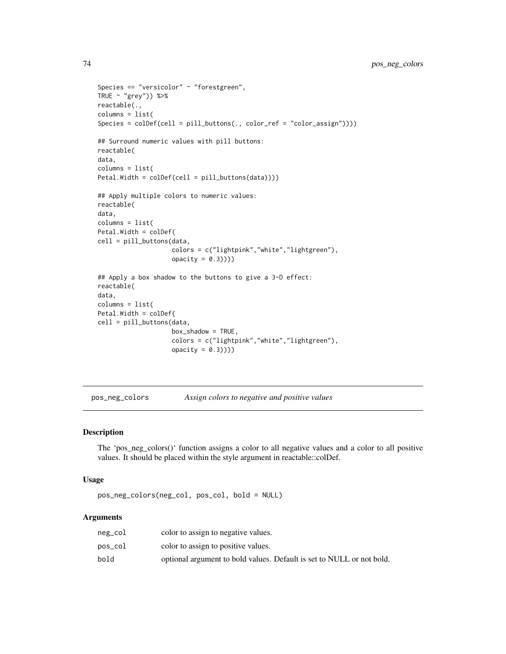```
Species == "versicolor" ~ "forestgreen",
TRUE \sim "grey")) %>%
reactable(.,
columns = list(
Species = colDef(cell = pill_buttons(., color_ref = "color_assign"))))
## Surround numeric values with pill buttons:
reactable(
data,
columns = list(
Petal.Width = colDef(cell = pill_buttons(data))))
## Apply multiple colors to numeric values:
reactable(
data,
columns = list(
Petal.Width = colDef(
cell = pill_buttons(data,
                    colors = c("lightpink","white","lightgreen"),
                    opacity = 0.3))))## Apply a box shadow to the buttons to give a 3-D effect:
reactable(
data,
columns = list(
Petal.Width = colDef(
cell = pill_buttons(data,
                    box_shadow = TRUE,
                    colors = c("lightpink","white","lightgreen"),
                    opacity = 0.3))))
```
pos\_neg\_colors *Assign colors to negative and positive values*

#### Description

The 'pos\_neg\_colors()' function assigns a color to all negative values and a color to all positive values. It should be placed within the style argument in reactable::colDef.

#### Usage

pos\_neg\_colors(neg\_col, pos\_col, bold = NULL)

| neg_col | color to assign to negative values.                                   |
|---------|-----------------------------------------------------------------------|
| pos_col | color to assign to positive values.                                   |
| bold    | optional argument to bold values. Default is set to NULL or not bold. |

<span id="page-73-0"></span>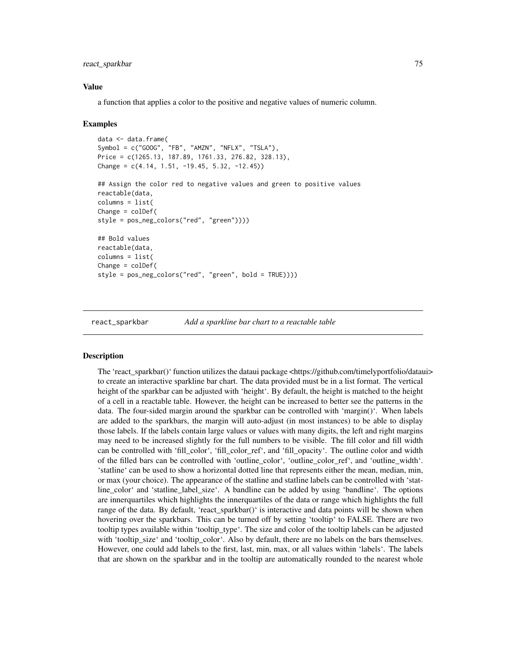<span id="page-74-0"></span>react\_sparkbar 75

#### Value

a function that applies a color to the positive and negative values of numeric column.

#### Examples

```
data <- data.frame(
Symbol = c("GOOG", "FB", "AMZN", "NFLX", "TSLA"),
Price = c(1265.13, 187.89, 1761.33, 276.82, 328.13),
Change = c(4.14, 1.51, -19.45, 5.32, -12.45)## Assign the color red to negative values and green to positive values
reactable(data,
columns = list(
Change = colDef(style = pos_neg_colors("red", "green"))))
## Bold values
reactable(data,
columns = list(
Change = colDef(style = pos_neg_colors("red", "green", bold = TRUE))))
```
react\_sparkbar *Add a sparkline bar chart to a reactable table*

#### **Description**

The 'react\_sparkbar()' function utilizes the dataui package <https://github.com/timelyportfolio/dataui> to create an interactive sparkline bar chart. The data provided must be in a list format. The vertical height of the sparkbar can be adjusted with 'height'. By default, the height is matched to the height of a cell in a reactable table. However, the height can be increased to better see the patterns in the data. The four-sided margin around the sparkbar can be controlled with 'margin()'. When labels are added to the sparkbars, the margin will auto-adjust (in most instances) to be able to display those labels. If the labels contain large values or values with many digits, the left and right margins may need to be increased slightly for the full numbers to be visible. The fill color and fill width can be controlled with 'fill\_color', 'fill\_color\_ref', and 'fill\_opacity'. The outline color and width of the filled bars can be controlled with 'outline\_color', 'outline\_color\_ref', and 'outline\_width'. 'statline' can be used to show a horizontal dotted line that represents either the mean, median, min, or max (your choice). The appearance of the statline and statline labels can be controlled with 'statline\_color' and 'statline\_label\_size'. A bandline can be added by using 'bandline'. The options are innerquartiles which highlights the innerquartiles of the data or range which highlights the full range of the data. By default, 'react\_sparkbar()' is interactive and data points will be shown when hovering over the sparkbars. This can be turned off by setting 'tooltip' to FALSE. There are two tooltip types available within 'tooltip\_type'. The size and color of the tooltip labels can be adjusted with 'tooltip\_size' and 'tooltip\_color'. Also by default, there are no labels on the bars themselves. However, one could add labels to the first, last, min, max, or all values within 'labels'. The labels that are shown on the sparkbar and in the tooltip are automatically rounded to the nearest whole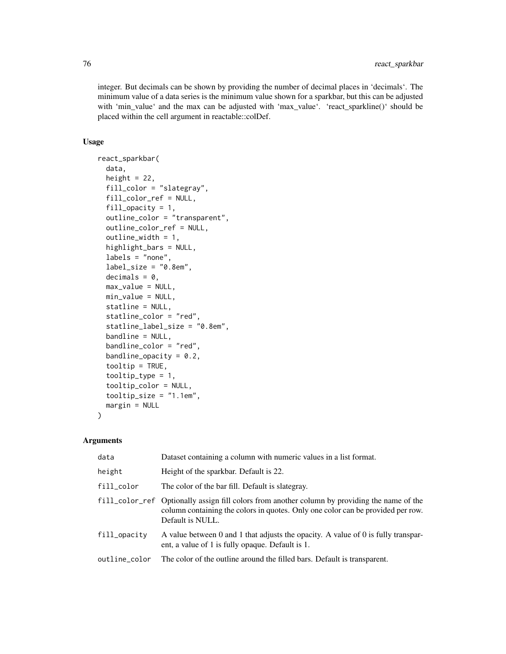integer. But decimals can be shown by providing the number of decimal places in 'decimals'. The minimum value of a data series is the minimum value shown for a sparkbar, but this can be adjusted with 'min\_value' and the max can be adjusted with 'max\_value'. 'react\_sparkline()' should be placed within the cell argument in reactable::colDef.

#### Usage

```
react_sparkbar(
  data,
  height = 22,
  fill_color = "slategray",
  fill_color_ref = NULL,
  fill_opacity = 1,
  outline_color = "transparent",
  outline_color_ref = NULL,
  outline_width = 1,
  highlight_bars = NULL,
  labels = "none",
  label_size = "0.8em",
  decimals = 0,max_value = NULL,
 min_value = NULL,
  statline = NULL,
  statline_color = "red",
  statline_label_size = "0.8em",
  bandline = NULL,
  bandline_color = "red",
  bandline_opacity = 0.2,
  tooltip = TRUE,
  tooltip_type = 1,
  tooltip_color = NULL,
  tooltip_size = "1.1em",
 margin = NULL
)
```

| data          | Dataset containing a column with numeric values in a list format.                                                                                                                                    |
|---------------|------------------------------------------------------------------------------------------------------------------------------------------------------------------------------------------------------|
| height        | Height of the sparkbar. Default is 22.                                                                                                                                                               |
| fill_color    | The color of the bar fill. Default is slategray.                                                                                                                                                     |
|               | fill_color_ref Optionally assign fill colors from another column by providing the name of the<br>column containing the colors in quotes. Only one color can be provided per row.<br>Default is NULL. |
| fill_opacity  | A value between 0 and 1 that adjusts the opacity. A value of 0 is fully transpar-<br>ent, a value of 1 is fully opaque. Default is 1.                                                                |
| outline_color | The color of the outline around the filled bars. Default is transparent.                                                                                                                             |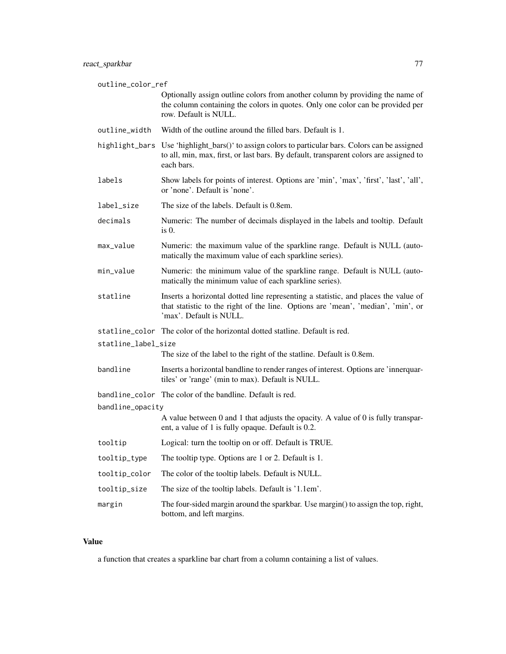outline\_color\_ref Optionally assign outline colors from another column by providing the name of the column containing the colors in quotes. Only one color can be provided per row. Default is NULL.

- outline\_width Width of the outline around the filled bars. Default is 1.
- highlight\_bars Use 'highlight\_bars()' to assign colors to particular bars. Colors can be assigned to all, min, max, first, or last bars. By default, transparent colors are assigned to each bars.
- labels Show labels for points of interest. Options are 'min', 'max', 'first', 'last', 'all', or 'none'. Default is 'none'.
- label\_size The size of the labels. Default is 0.8em.
- decimals Numeric: The number of decimals displayed in the labels and tooltip. Default is 0.
- max\_value Numeric: the maximum value of the sparkline range. Default is NULL (automatically the maximum value of each sparkline series).
- min\_value Numeric: the minimum value of the sparkline range. Default is NULL (automatically the minimum value of each sparkline series).
- statline Inserts a horizontal dotted line representing a statistic, and places the value of that statistic to the right of the line. Options are 'mean', 'median', 'min', or 'max'. Default is NULL.

statline\_color The color of the horizontal dotted statline. Default is red.

statline\_label\_size

The size of the label to the right of the statline. Default is 0.8em.

bandline Inserts a horizontal bandline to render ranges of interest. Options are 'innerquartiles' or 'range' (min to max). Default is NULL.

bandline\_color The color of the bandline. Default is red.

### bandline\_opacity

A value between 0 and 1 that adjusts the opacity. A value of 0 is fully transparent, a value of 1 is fully opaque. Default is 0.2.

- tooltip Logical: turn the tooltip on or off. Default is TRUE.
- tooltip\_type The tooltip type. Options are 1 or 2. Default is 1.
- tooltip\_color The color of the tooltip labels. Default is NULL.
- tooltip\_size The size of the tooltip labels. Default is '1.1em'.
- margin The four-sided margin around the sparkbar. Use margin() to assign the top, right, bottom, and left margins.

#### Value

a function that creates a sparkline bar chart from a column containing a list of values.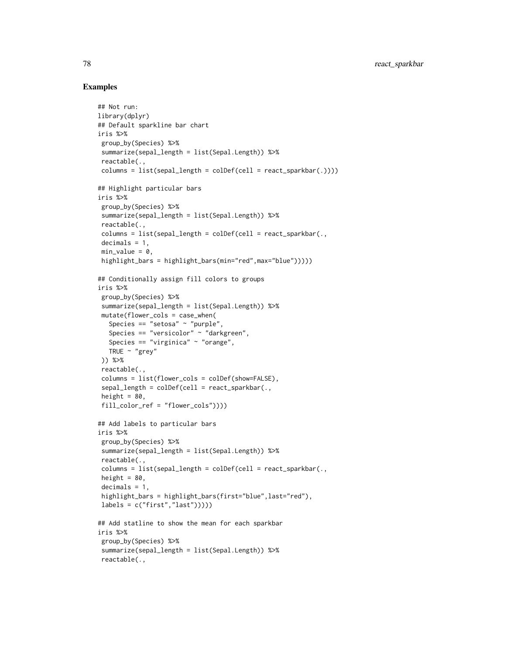#### Examples

```
## Not run:
library(dplyr)
## Default sparkline bar chart
iris %>%
 group_by(Species) %>%
 summarize(sepal_length = list(Sepal.Length)) %>%
 reactable(.,
 columns = list(sepal_length = colDef(cell = react_sparkbar(.))))
## Highlight particular bars
iris %>%
group_by(Species) %>%
 summarize(sepal_length = list(Sepal.Length)) %>%
 reactable(.,
 columns = list(sepal_length = colDef(cell = react_sparkbar(.,
 decimals = 1,
 min_value = 0,
 highlight_bars = highlight_bars(min="red",max="blue")))))
## Conditionally assign fill colors to groups
iris %>%
 group_by(Species) %>%
 summarize(sepal_length = list(Sepal.Length)) %>%
 mutate(flower_cols = case_when(
  Species == "setosa" \sim "purple",
   Species == "versicolor" ~ "darkgreen",
   Species == "virginica" \sim "orange",
  TRUE \sim "grey"
 )) %>%
 reactable(.,
 columns = list(flower_cols = colDef(show=FALSE),
 sepal_length = colDef(cell = react_sparkbar(.,height = 80,
 fill_color_ref = "flower_cols"))))
## Add labels to particular bars
iris %>%
group_by(Species) %>%
 summarize(sepal_length = list(Sepal.Length)) %>%
 reactable(.,
 columns = list(sepal_length = collect(cell = react_sparkbar(.,height = 80,
 decimals = 1,
 highlight_bars = highlight_bars(first="blue",last="red"),
 labels = c("first", "last"))))## Add statline to show the mean for each sparkbar
iris %>%
 group_by(Species) %>%
 summarize(sepal_length = list(Sepal.Length)) %>%
 reactable(.,
```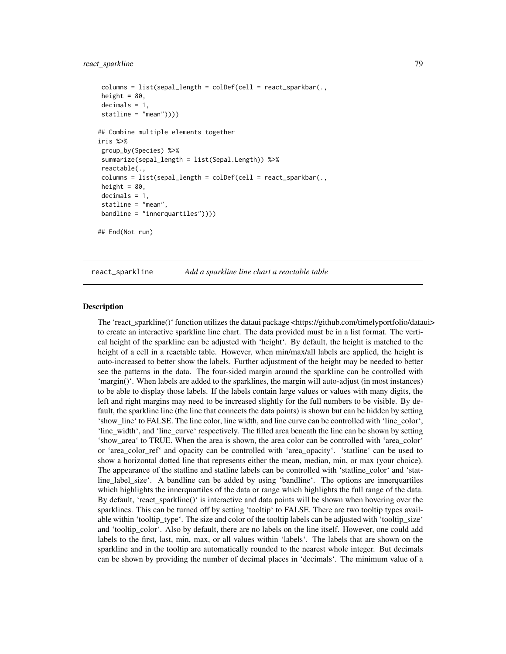#### <span id="page-78-0"></span>react\_sparkline 79

```
column = list(sepal_length = collect(cell = react_sparkbar(.,height = 80,
decimals = 1,
statline = "mean")))
## Combine multiple elements together
iris %>%
group_by(Species) %>%
summarize(sepal_length = list(Sepal.Length)) %>%
reactable(.,
columns = list(sepal_length = colDef(cell = react_sparkbar(.,
height = 80,
decimals = 1,
statline = "mean",
bandline = "innerquartiles"))))
## End(Not run)
```
react\_sparkline *Add a sparkline line chart a reactable table*

#### **Description**

The 'react\_sparkline()' function utilizes the dataui package <https://github.com/timelyportfolio/dataui> to create an interactive sparkline line chart. The data provided must be in a list format. The vertical height of the sparkline can be adjusted with 'height'. By default, the height is matched to the height of a cell in a reactable table. However, when min/max/all labels are applied, the height is auto-increased to better show the labels. Further adjustment of the height may be needed to better see the patterns in the data. The four-sided margin around the sparkline can be controlled with  $'$ margin $()$ <sup> $\dot{ }$ </sup>. When labels are added to the sparklines, the margin will auto-adjust (in most instances) to be able to display those labels. If the labels contain large values or values with many digits, the left and right margins may need to be increased slightly for the full numbers to be visible. By default, the sparkline line (the line that connects the data points) is shown but can be hidden by setting 'show\_line' to FALSE. The line color, line width, and line curve can be controlled with 'line\_color', 'line\_width', and 'line\_curve' respectively. The filled area beneath the line can be shown by setting 'show\_area' to TRUE. When the area is shown, the area color can be controlled with 'area\_color' or 'area color ref' and opacity can be controlled with 'area opacity'. 'statline' can be used to show a horizontal dotted line that represents either the mean, median, min, or max (your choice). The appearance of the statline and statline labels can be controlled with 'statline\_color' and 'statline\_label\_size'. A bandline can be added by using 'bandline'. The options are innerquartiles which highlights the innerquartiles of the data or range which highlights the full range of the data. By default, 'react\_sparkline()' is interactive and data points will be shown when hovering over the sparklines. This can be turned off by setting 'tooltip' to FALSE. There are two tooltip types available within 'tooltip\_type'. The size and color of the tooltip labels can be adjusted with 'tooltip\_size' and 'tooltip\_color'. Also by default, there are no labels on the line itself. However, one could add labels to the first, last, min, max, or all values within 'labels'. The labels that are shown on the sparkline and in the tooltip are automatically rounded to the nearest whole integer. But decimals can be shown by providing the number of decimal places in 'decimals'. The minimum value of a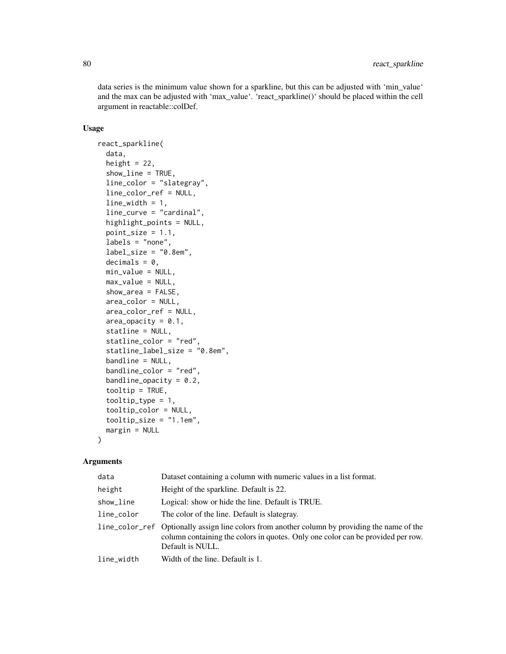data series is the minimum value shown for a sparkline, but this can be adjusted with 'min\_value' and the max can be adjusted with 'max\_value'. 'react\_sparkline()' should be placed within the cell argument in reactable::colDef.

## Usage

```
react_sparkline(
  data,
  height = 22,
  show_line = TRUE,
  line_color = "slategray",
  line_color_ref = NULL,
  line\_width = 1,line_curve = "cardinal",
  highlight_points = NULL,
  point_size = 1.1,
  labels = "none",label\_size = "0.8em",decimals = 0,min_value = NULL,
 max_value = NULL,
  show_area = FALSE,
  area_color = NULL,
  area_color_ref = NULL,
  area\_opacity = 0.1,
  statline = NULL,
  statline_color = "red",
  statline_label_size = "0.8em",
  bandline = NULL,
  bandline_color = "red",
  bandline_opacity = 0.2,
  tooltip = TRUE,
  tooltip_type = 1,
  tooltip_color = NULL,
  to oltip_size = "1.1em",margin = NULL
)
```

| data       | Dataset containing a column with numeric values in a list format.                                                                                                                                    |
|------------|------------------------------------------------------------------------------------------------------------------------------------------------------------------------------------------------------|
| height     | Height of the sparkline. Default is 22.                                                                                                                                                              |
| show_line  | Logical: show or hide the line. Default is TRUE.                                                                                                                                                     |
| line_color | The color of the line. Default is slategray.                                                                                                                                                         |
|            | line_color_ref Optionally assign line colors from another column by providing the name of the<br>column containing the colors in quotes. Only one color can be provided per row.<br>Default is NULL. |
| line_width | Width of the line. Default is 1.                                                                                                                                                                     |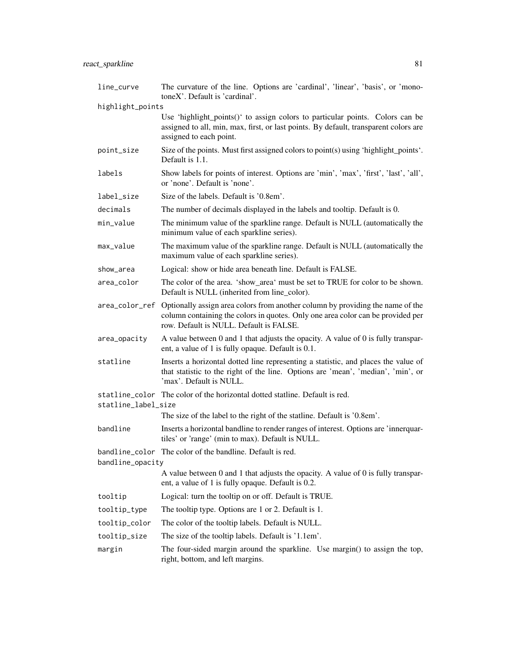| line_curve                                                                                            | The curvature of the line. Options are 'cardinal', 'linear', 'basis', or 'mono-<br>toneX'. Default is 'cardinal'.                                                                                            |  |
|-------------------------------------------------------------------------------------------------------|--------------------------------------------------------------------------------------------------------------------------------------------------------------------------------------------------------------|--|
| highlight_points                                                                                      |                                                                                                                                                                                                              |  |
|                                                                                                       | Use 'highlight_points()' to assign colors to particular points. Colors can be<br>assigned to all, min, max, first, or last points. By default, transparent colors are<br>assigned to each point.             |  |
| point_size                                                                                            | Size of the points. Must first assigned colors to point(s) using 'highlight_points'.<br>Default is 1.1.                                                                                                      |  |
| labels                                                                                                | Show labels for points of interest. Options are 'min', 'max', 'first', 'last', 'all',<br>or 'none'. Default is 'none'.                                                                                       |  |
| label_size                                                                                            | Size of the labels. Default is '0.8em'.                                                                                                                                                                      |  |
| decimals                                                                                              | The number of decimals displayed in the labels and tooltip. Default is 0.                                                                                                                                    |  |
| min_value                                                                                             | The minimum value of the sparkline range. Default is NULL (automatically the<br>minimum value of each sparkline series).                                                                                     |  |
| max_value                                                                                             | The maximum value of the sparkline range. Default is NULL (automatically the<br>maximum value of each sparkline series).                                                                                     |  |
| show_area                                                                                             | Logical: show or hide area beneath line. Default is FALSE.                                                                                                                                                   |  |
| area_color                                                                                            | The color of the area. 'show_area' must be set to TRUE for color to be shown.<br>Default is NULL (inherited from line_color).                                                                                |  |
| area_color_ref                                                                                        | Optionally assign area colors from another column by providing the name of the<br>column containing the colors in quotes. Only one area color can be provided per<br>row. Default is NULL. Default is FALSE. |  |
| area_opacity                                                                                          | A value between 0 and 1 that adjusts the opacity. A value of 0 is fully transpar-<br>ent, a value of 1 is fully opaque. Default is 0.1.                                                                      |  |
| statline                                                                                              | Inserts a horizontal dotted line representing a statistic, and places the value of<br>that statistic to the right of the line. Options are 'mean', 'median', 'min', or<br>'max'. Default is NULL.            |  |
|                                                                                                       | statline_color The color of the horizontal dotted statline. Default is red.                                                                                                                                  |  |
| statline_label_size                                                                                   | The size of the label to the right of the statline. Default is '0.8em'.                                                                                                                                      |  |
|                                                                                                       |                                                                                                                                                                                                              |  |
| bandline                                                                                              | Inserts a horizontal bandline to render ranges of interest. Options are 'innerquar-<br>tiles' or 'range' (min to max). Default is NULL.                                                                      |  |
|                                                                                                       | bandline_color The color of the bandline. Default is red.                                                                                                                                                    |  |
| bandline_opacity<br>A value between 0 and 1 that adjusts the opacity. A value of 0 is fully transpar- |                                                                                                                                                                                                              |  |
|                                                                                                       | ent, a value of 1 is fully opaque. Default is 0.2.                                                                                                                                                           |  |
| tooltip                                                                                               | Logical: turn the tooltip on or off. Default is TRUE.                                                                                                                                                        |  |
| tooltip_type                                                                                          | The tooltip type. Options are 1 or 2. Default is 1.                                                                                                                                                          |  |
| tooltip_color                                                                                         | The color of the tooltip labels. Default is NULL.                                                                                                                                                            |  |
| tooltip_size                                                                                          | The size of the tooltip labels. Default is '1.1em'.                                                                                                                                                          |  |
| margin                                                                                                | The four-sided margin around the sparkline. Use margin() to assign the top,<br>right, bottom, and left margins.                                                                                              |  |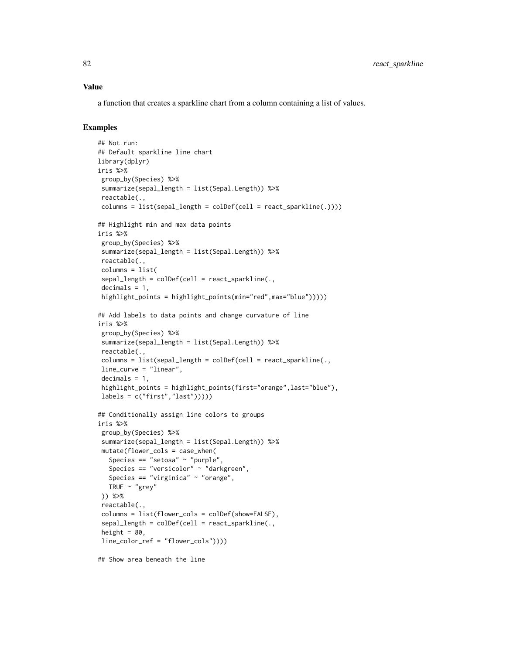a function that creates a sparkline chart from a column containing a list of values.

## Examples

```
## Not run:
## Default sparkline line chart
library(dplyr)
iris %>%
 group_by(Species) %>%
 summarize(sepal_length = list(Sepal.Length)) %>%
 reactable(.,
 columns = list(sepal_length = collect(cell = react_sparkline(.))))## Highlight min and max data points
iris %>%
 group_by(Species) %>%
 summarize(sepal_length = list(Sepal.Length)) %>%
 reactable(.,
 columns = list(
 sepal_length = colDef(cell = react_sparkline(.,decimals = 1,
 highlight_points = highlight_points(min="red",max="blue")))))
## Add labels to data points and change curvature of line
iris %>%
 group_by(Species) %>%
 summarize(sepal_length = list(Sepal.Length)) %>%
 reactable(.,
 columns = list(sepal_length = colDef(cell = react_sparkline(.,
 line_curve = "linear",
 decimals = 1,
 highlight_points = highlight_points(first="orange",last="blue"),
 labels = c("first", "last"))))## Conditionally assign line colors to groups
iris %>%
 group_by(Species) %>%
 summarize(sepal_length = list(Sepal.Length)) %>%
 mutate(flower_cols = case_when(
  Species == "setosa" \sim "purple",
   Species == "versicolor" ~ "darkgreen",
  Species == "virginica" ~ "orange",
  TRUE \sim "grey"
 )) %>%
 reactable(.,
 columns = list(flower_cols = colDef(show=FALSE),
 sepal_length = colDef(cell = react_sparkline(.,height = 80,
 line_color_ref = "flower_cols"))))
```
## Show area beneath the line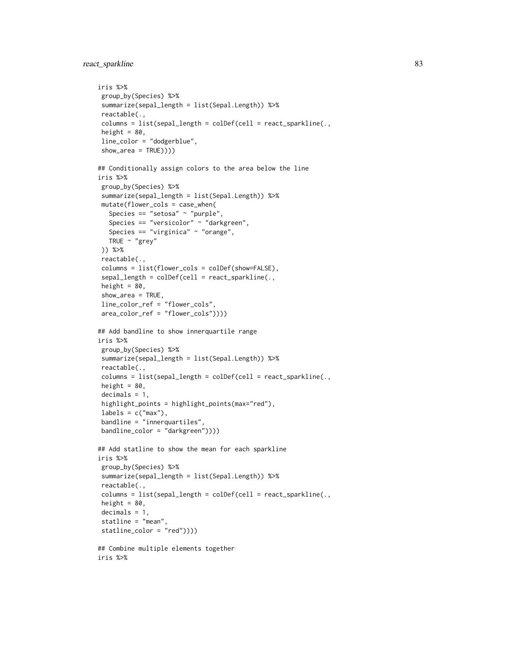```
iris %>%
group_by(Species) %>%
summarize(sepal_length = list(Sepal.Length)) %>%
reactable(.,
columns = list(sepal_length = colDef(cell = react_sparkline(.,
height = 80,
line_color = "dodgerblue",
show_area = TRUE))))
## Conditionally assign colors to the area below the line
iris %>%
group_by(Species) %>%
 summarize(sepal_length = list(Sepal.Length)) %>%
mutate(flower_cols = case_when(
  Species == "setosa" \sim "purple",
  Species == "versicolor" ~ "darkgreen",
  Species == "virginica" ~ "orange",
  TRUE ~ "grey"
)) %>%
reactable(.,
columns = list(flower_cols = colDef(show=FALSE),
 sepal_length = colDef(cell = react_sparkline(.,height = 80,
 show_area = TRUE,
line_color_ref = "flower_cols",
 area_color_ref = "flower_cols"))))
## Add bandline to show innerquartile range
iris %>%
group_by(Species) %>%
summarize(sepal_length = list(Sepal.Length)) %>%
reactable(.,
columns = list(sepal_length = colDef(cell = react_sparkline(.,
height = 80,
decimals = 1,
highlight_points = highlight_points(max="red"),
labels = c("max"),
bandline = "innerquartiles",
bandline_color = "darkgreen"))))
## Add statline to show the mean for each sparkline
iris %>%
group_by(Species) %>%
summarize(sepal_length = list(Sepal.Length)) %>%
reactable(.,
columns = list(sepal_length = colDef(cell = react_sparkline(.,
height = 80,
decimals = 1,
statline = "mean",
statline_color = "red"))))
## Combine multiple elements together
iris %>%
```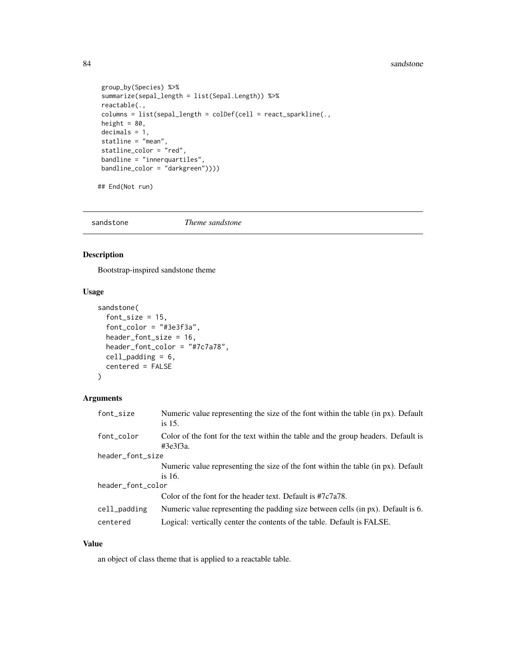#### 84 sandstone

```
group_by(Species) %>%
summarize(sepal_length = list(Sepal.Length)) %>%
reactable(.,
column = list(sepal_length = collect(cell = react_sparkline(.,height = 80,
decimals = 1,
statline = "mean",
statline_color = "red",
bandline = "innerquartiles",
bandline_color = "darkgreen"))))
```
## End(Not run)

sandstone *Theme sandstone*

## Description

Bootstrap-inspired sandstone theme

#### Usage

```
sandstone(
  font_size = 15,
  font_color = "#3e3f3a",
  header_font_size = 16,
  header_font_color = "#7c7a78",
  cell_padding = 6,
  centered = FALSE
)
```
#### Arguments

| font_size         | Numeric value representing the size of the font within the table (in px). Default<br>is 15.   |  |
|-------------------|-----------------------------------------------------------------------------------------------|--|
| font_color        | Color of the font for the text within the table and the group headers. Default is<br>#3e3f3a. |  |
| header_font_size  |                                                                                               |  |
|                   | Numeric value representing the size of the font within the table (in px). Default             |  |
|                   | is $16$ .                                                                                     |  |
| header_font_color |                                                                                               |  |
|                   | Color of the font for the header text. Default is #7c7a78.                                    |  |
| cell_padding      | Numeric value representing the padding size between cells (in px). Default is 6.              |  |
| centered          | Logical: vertically center the contents of the table. Default is FALSE.                       |  |

## Value

an object of class theme that is applied to a reactable table.

<span id="page-83-0"></span>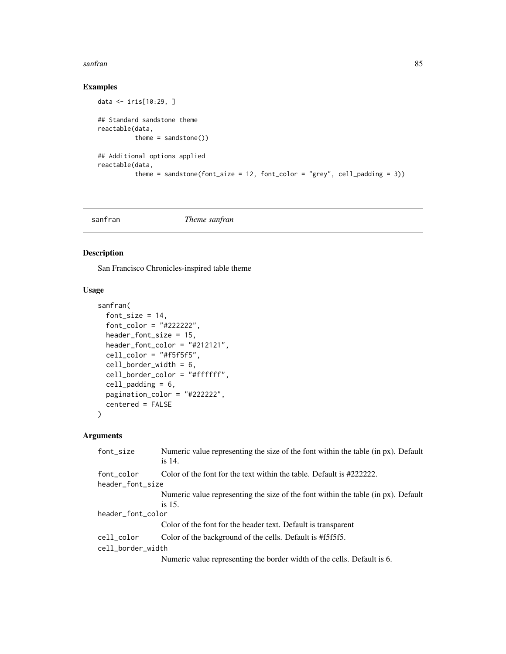#### <span id="page-84-0"></span>sanfran 85

## Examples

```
data <- iris[10:29, ]
## Standard sandstone theme
reactable(data,
          theme = sandstone()## Additional options applied
reactable(data,
          theme = sandstone(font_size = 12, font_color = "grey", cell_padding = 3))
```
sanfran *Theme sanfran*

## Description

San Francisco Chronicles-inspired table theme

## Usage

```
sanfran(
  font_size = 14,
  font_color = "#222222",
  header_font_size = 15,
 header_font_color = "#212121",
 cell\_color = "#f5f5f5",cell_border_width = 6,
 cell_border_color = "#ffffff",
 cell\_padding = 6,pagination_color = "#222222",
 centered = FALSE
)
```

| font_size         | Numeric value representing the size of the font within the table (in px). Default<br>is 14. |  |
|-------------------|---------------------------------------------------------------------------------------------|--|
| font_color        | Color of the font for the text within the table. Default is $\#222222$ .                    |  |
| header_font_size  |                                                                                             |  |
|                   | Numeric value representing the size of the font within the table (in px). Default           |  |
|                   | is $15$ .                                                                                   |  |
| header_font_color |                                                                                             |  |
|                   | Color of the font for the header text. Default is transparent                               |  |
| cell_color        | Color of the background of the cells. Default is #f5f5f5.                                   |  |
| cell_border_width |                                                                                             |  |
|                   | Numeric value representing the border width of the cells. Default is 6.                     |  |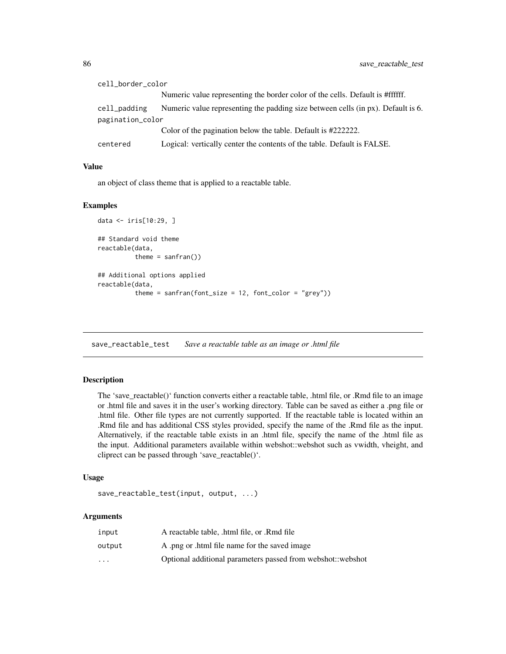<span id="page-85-0"></span>

| cell_border_color |                                                                                  |  |
|-------------------|----------------------------------------------------------------------------------|--|
|                   | Numeric value representing the border color of the cells. Default is #ffffff.    |  |
| cell_padding      | Numeric value representing the padding size between cells (in px). Default is 6. |  |
| pagination_color  |                                                                                  |  |
|                   | Color of the pagination below the table. Default is #2222222.                    |  |
| centered          | Logical: vertically center the contents of the table. Default is FALSE.          |  |

an object of class theme that is applied to a reactable table.

#### Examples

```
data <- iris[10:29, ]
## Standard void theme
reactable(data,
          theme = sanfran()## Additional options applied
reactable(data,
          theme = sanfran(font_size = 12, font_color = "grey"))
```
save\_reactable\_test *Save a reactable table as an image or .html file*

#### Description

The 'save\_reactable()' function converts either a reactable table, .html file, or .Rmd file to an image or .html file and saves it in the user's working directory. Table can be saved as either a .png file or .html file. Other file types are not currently supported. If the reactable table is located within an .Rmd file and has additional CSS styles provided, specify the name of the .Rmd file as the input. Alternatively, if the reactable table exists in an .html file, specify the name of the .html file as the input. Additional parameters available within webshot::webshot such as vwidth, vheight, and cliprect can be passed through 'save\_reactable()'.

## Usage

```
save_reactable_test(input, output, ...)
```

| input                   | A reactable table, .html file, or .Rmd file                 |
|-------------------------|-------------------------------------------------------------|
| output                  | A png or html file name for the saved image                 |
| $\cdot$ $\cdot$ $\cdot$ | Optional additional parameters passed from webshot: webshot |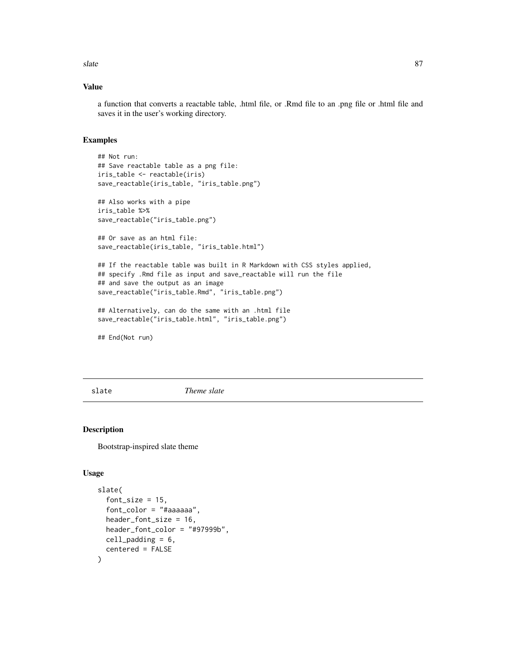<span id="page-86-0"></span>slate 87

## Value

a function that converts a reactable table, .html file, or .Rmd file to an .png file or .html file and saves it in the user's working directory.

#### Examples

```
## Not run:
## Save reactable table as a png file:
iris_table <- reactable(iris)
save_reactable(iris_table, "iris_table.png")
## Also works with a pipe
iris_table %>%
save_reactable("iris_table.png")
## Or save as an html file:
save_reactable(iris_table, "iris_table.html")
## If the reactable table was built in R Markdown with CSS styles applied,
## specify .Rmd file as input and save_reactable will run the file
## and save the output as an image
save_reactable("iris_table.Rmd", "iris_table.png")
## Alternatively, can do the same with an .html file
save_reactable("iris_table.html", "iris_table.png")
```
## End(Not run)

slate *Theme slate*

#### Description

Bootstrap-inspired slate theme

```
slate(
  font\_size = 15,font_color = "#aaaaaa",
  header_font_size = 16,
  header_font_color = "#97999b",
 cell_padding = 6,
  centered = FALSE
)
```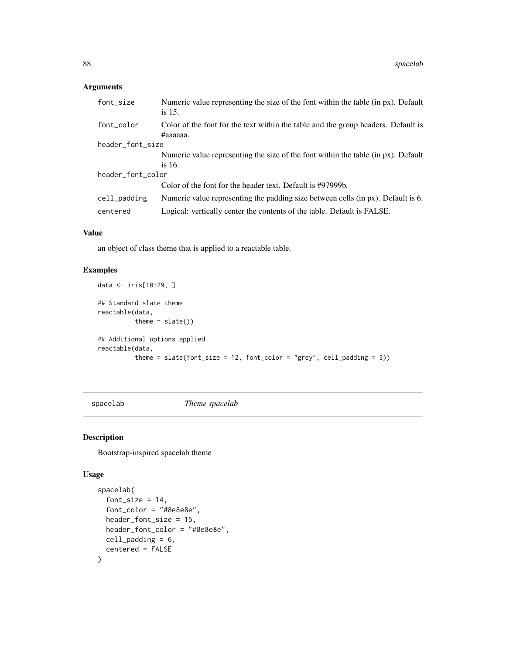## <span id="page-87-0"></span>Arguments

| font_size         | Numeric value representing the size of the font within the table (in px). Default<br>is $15$ . |  |
|-------------------|------------------------------------------------------------------------------------------------|--|
| font_color        | Color of the font for the text within the table and the group headers. Default is<br>#aaaaaa.  |  |
| header_font_size  |                                                                                                |  |
|                   | Numeric value representing the size of the font within the table (in px). Default              |  |
|                   | is $16.$                                                                                       |  |
| header_font_color |                                                                                                |  |
|                   | Color of the font for the header text. Default is #97999b.                                     |  |
| cell_padding      | Numeric value representing the padding size between cells (in px). Default is 6.               |  |
| centered          | Logical: vertically center the contents of the table. Default is FALSE.                        |  |
|                   |                                                                                                |  |

# Value

an object of class theme that is applied to a reactable table.

## Examples

```
data <- iris[10:29, ]
## Standard slate theme
reactable(data,
         theme = slate()## Additional options applied
reactable(data,
          theme = slate(font_size = 12, font_color = "grey", cell_padding = 3))
```
spacelab *Theme spacelab*

## Description

Bootstrap-inspired spacelab theme

```
spacelab(
  font_size = 14,
  font_color = "#8e8e8e",
 header_font_size = 15,
 header_font_color = "#8e8e8e",
 cell_padding = 6,
  centered = FALSE
\mathcal{L}
```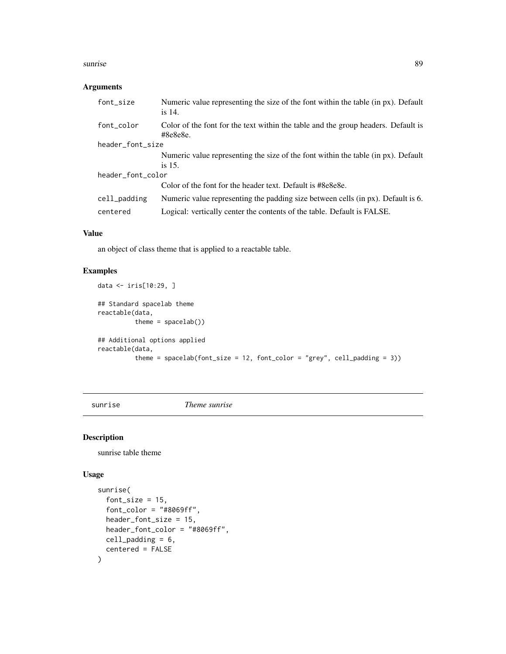#### <span id="page-88-0"></span>sunrise 89

#### Arguments

| Numeric value representing the size of the font within the table (in px). Default<br>is 14.             |  |  |
|---------------------------------------------------------------------------------------------------------|--|--|
| Color of the font for the text within the table and the group headers. Default is<br>$\text{\#8e8e8e}.$ |  |  |
| header_font_size                                                                                        |  |  |
| Numeric value representing the size of the font within the table (in px). Default                       |  |  |
| is $15$ .                                                                                               |  |  |
| header_font_color                                                                                       |  |  |
| Color of the font for the header text. Default is #8e8e8e.                                              |  |  |
| Numeric value representing the padding size between cells (in px). Default is 6.                        |  |  |
| Logical: vertically center the contents of the table. Default is FALSE.                                 |  |  |
|                                                                                                         |  |  |

## Value

an object of class theme that is applied to a reactable table.

## Examples

```
data <- iris[10:29, ]
## Standard spacelab theme
reactable(data,
          theme = spacelab())
## Additional options applied
reactable(data,
          theme = spacelab(font_size = 12, font_color = "grey", cell_padding = 3))
```
sunrise *Theme sunrise*

## Description

sunrise table theme

```
sunrise(
  font\_size = 15,font\_color = "#8069ff",header_font_size = 15,
 header_font_color = "#8069ff",
 cell_padding = 6,
  centered = FALSE
\mathcal{L}
```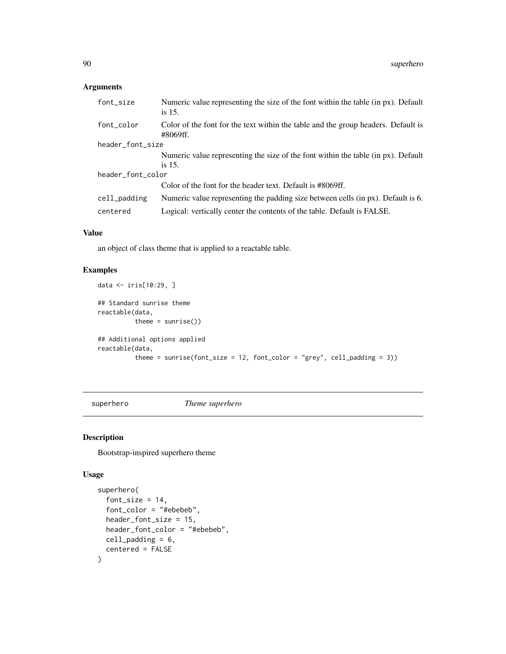## <span id="page-89-0"></span>Arguments

| font_size         | Numeric value representing the size of the font within the table (in px). Default<br>is 15.   |  |
|-------------------|-----------------------------------------------------------------------------------------------|--|
| font_color        | Color of the font for the text within the table and the group headers. Default is<br>#8069ff. |  |
| header_font_size  |                                                                                               |  |
|                   | Numeric value representing the size of the font within the table (in px). Default             |  |
|                   | is 15.                                                                                        |  |
| header_font_color |                                                                                               |  |
|                   | Color of the font for the header text. Default is #8069ff.                                    |  |
| cell_padding      | Numeric value representing the padding size between cells (in px). Default is 6.              |  |
| centered          | Logical: vertically center the contents of the table. Default is FALSE.                       |  |
|                   |                                                                                               |  |

#### Value

an object of class theme that is applied to a reactable table.

## Examples

```
data <- iris[10:29, ]
## Standard sunrise theme
reactable(data,
          theme = sunrise())
## Additional options applied
reactable(data,
          theme = sunrise(font_size = 12, font_color = "grey", cell_padding = 3))
```
superhero *Theme superhero*

## Description

Bootstrap-inspired superhero theme

```
superhero(
  font_size = 14,
  font_color = "#ebebeb",
 header_font_size = 15,
 header_font_color = "#ebebeb",
 cell_padding = 6,
  centered = FALSE
\mathcal{E}
```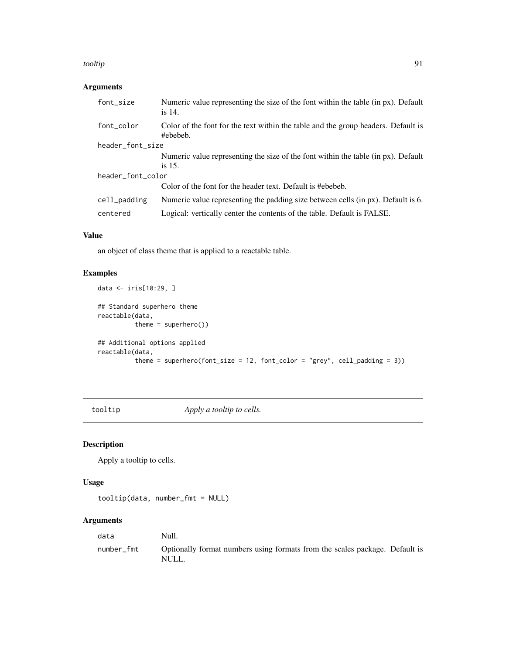#### <span id="page-90-0"></span>tooltip 91

# Arguments

| font_size         | Numeric value representing the size of the font within the table (in px). Default<br>is $14$ . |  |
|-------------------|------------------------------------------------------------------------------------------------|--|
| font_color        | Color of the font for the text within the table and the group headers. Default is<br>#ebebeb.  |  |
| header_font_size  |                                                                                                |  |
|                   | Numeric value representing the size of the font within the table (in px). Default              |  |
|                   | is $15$ .                                                                                      |  |
| header_font_color |                                                                                                |  |
|                   | Color of the font for the header text. Default is #ebebeb.                                     |  |
| cell_padding      | Numeric value representing the padding size between cells (in px). Default is 6.               |  |
| centered          | Logical: vertically center the contents of the table. Default is FALSE.                        |  |

#### Value

an object of class theme that is applied to a reactable table.

# Examples

```
data <- iris[10:29, ]
## Standard superhero theme
reactable(data,
         theme = superhero())
## Additional options applied
reactable(data,
         theme = superhero(font_size = 12, font_color = "grey", cell_padding = 3))
```
tooltip *Apply a tooltip to cells.*

## Description

Apply a tooltip to cells.

#### Usage

tooltip(data, number\_fmt = NULL)

| data       | Null.                                                                                |  |
|------------|--------------------------------------------------------------------------------------|--|
| number fmt | Optionally format numbers using formats from the scales package. Default is<br>NULL. |  |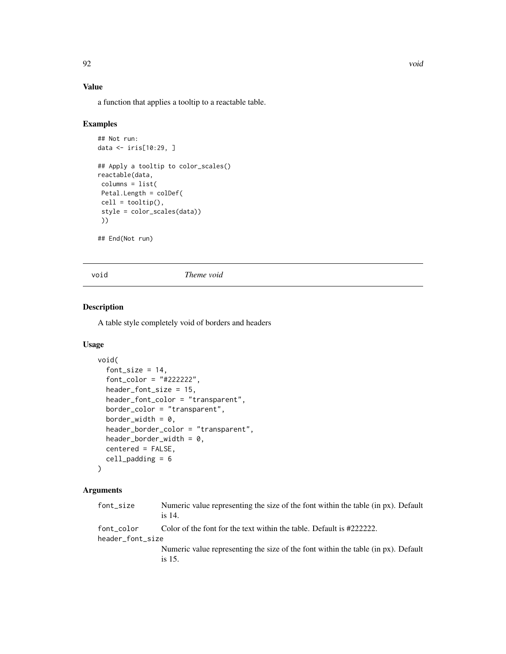a function that applies a tooltip to a reactable table.

#### Examples

```
## Not run:
data <- iris[10:29, ]
## Apply a tooltip to color_scales()
reactable(data,
columns = list(
Petal.Length = colDef(
cell = tooltip(),
 style = color_scales(data))
 ))
## End(Not run)
```
void *Theme void*

#### Description

A table style completely void of borders and headers

## Usage

```
void(
  font_size = 14,
  font_color = "#222222",
  header_font_size = 15,
  header_font_color = "transparent",
  border_color = "transparent",
  border_width = 0,
  header_border_color = "transparent",
  header_border_width = 0,
  centered = FALSE,
  cell_padding = 6
\lambda
```

| font_size                      | Numeric value representing the size of the font within the table (in px). Default<br>is 14. |
|--------------------------------|---------------------------------------------------------------------------------------------|
| font color<br>header_font_size | Color of the font for the text within the table. Default is #2222222.                       |
|                                | Numeric value representing the size of the font within the table (in px). Default<br>is 15. |

<span id="page-91-0"></span>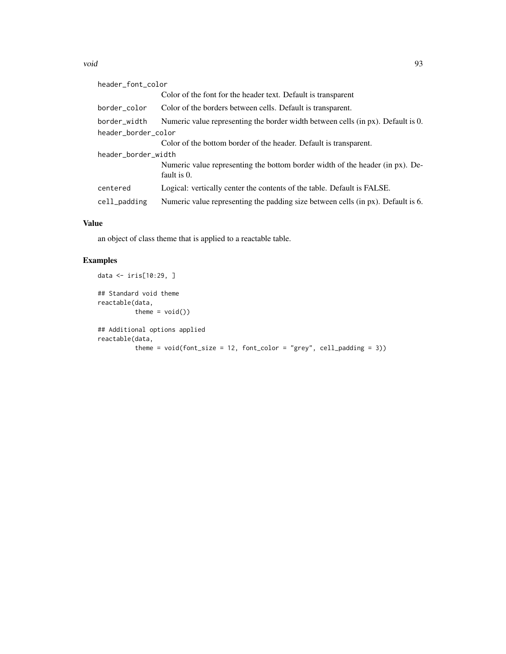#### void 93

| header_font_color   |                  |                                                                                              |
|---------------------|------------------|----------------------------------------------------------------------------------------------|
|                     |                  | Color of the font for the header text. Default is transparent                                |
|                     | border_color     | Color of the borders between cells. Default is transparent.                                  |
|                     | border_width     | Numeric value representing the border width between cells (in px). Default is 0.             |
| header_border_color |                  |                                                                                              |
|                     |                  | Color of the bottom border of the header. Default is transparent.                            |
| header_border_width |                  |                                                                                              |
|                     |                  | Numeric value representing the bottom border width of the header (in px). De-<br>fault is 0. |
|                     | centered         | Logical: vertically center the contents of the table. Default is FALSE.                      |
|                     | $cell$ $padding$ | Numeric value representing the padding size between cells (in px). Default is 6.             |

# Value

an object of class theme that is applied to a reactable table.

# Examples

```
data <- iris[10:29, ]
## Standard void theme
reactable(data,
         theme = void()## Additional options applied
reactable(data,
         theme = void(font_size = 12, font\_color = "grey", cell_padding = 3))
```